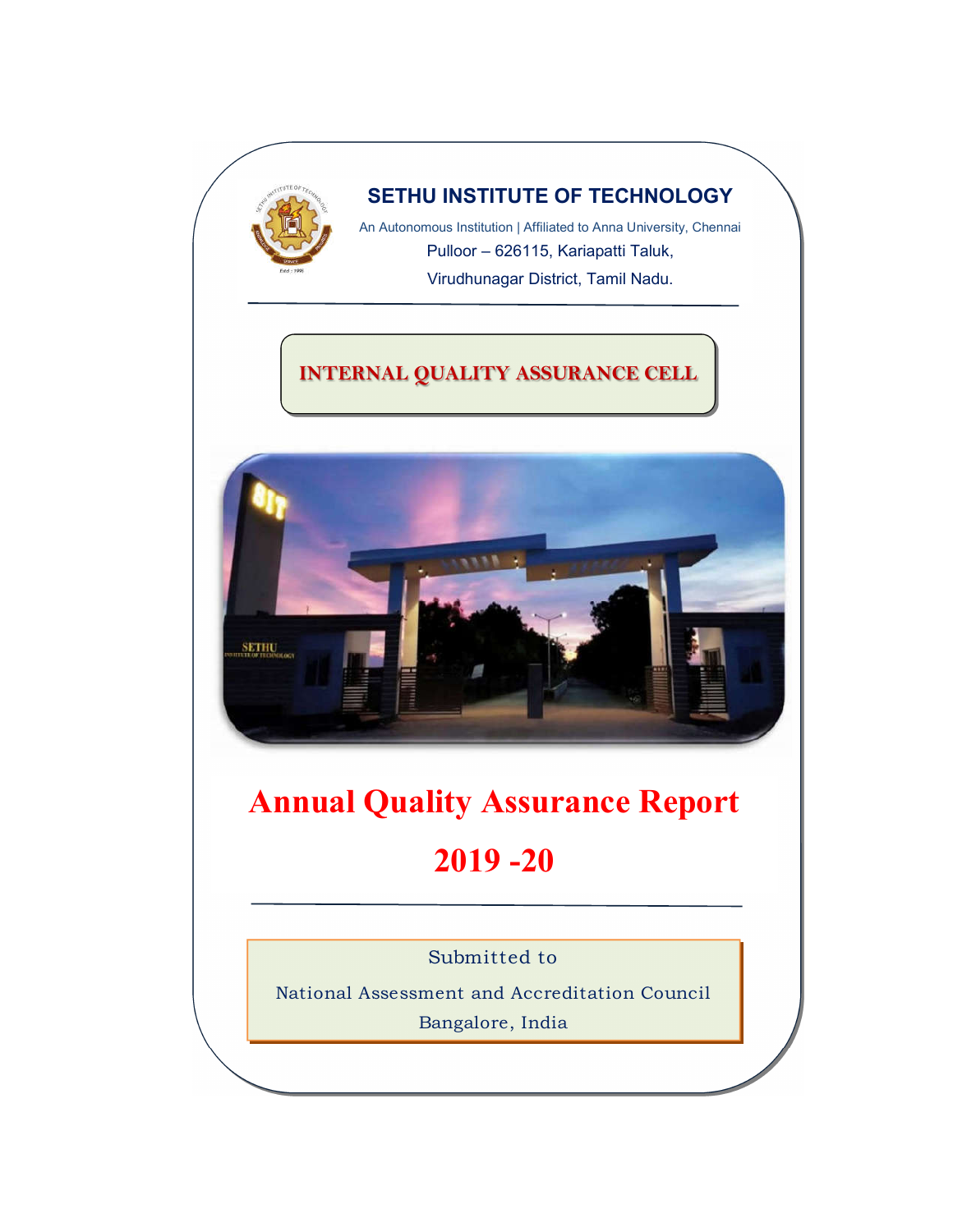

# **SETHU INSTITUTE OF TECHNOLOGY**

An Autonomous Institution | Affiliated to Anna University, Chennai Pulloor – 626115, Kariapatti Taluk, Virudhunagar District, Tamil Nadu.

# **INTERNAL QUALITY ASSURANCE CELL**



# **Annual Quality Assurance Report 2019 -20**

Submitted to

National Assessment and Accreditation Council Bangalore, India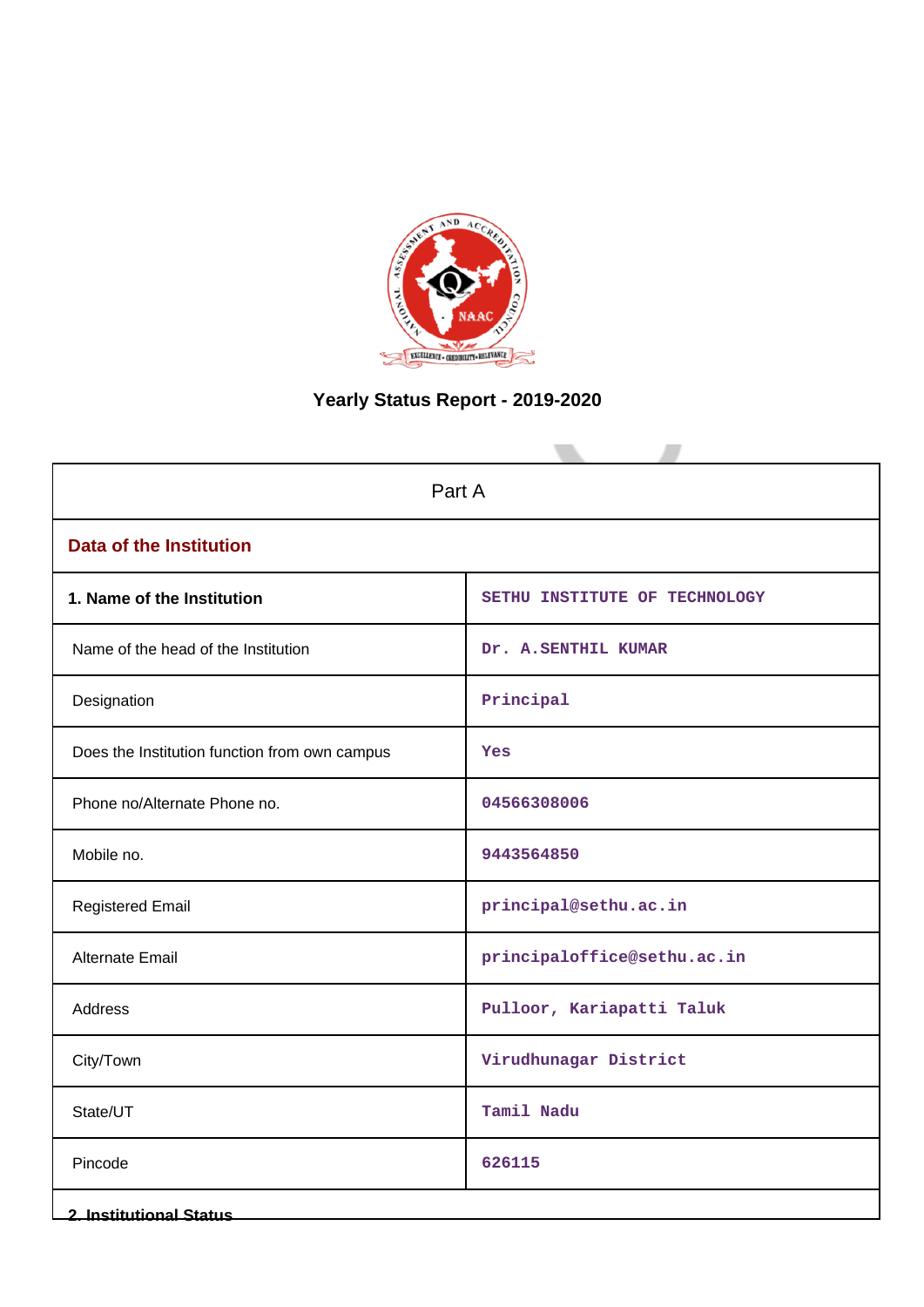

# **Yearly Status Report - 2019-2020**

| Part A                                        |                               |  |
|-----------------------------------------------|-------------------------------|--|
| <b>Data of the Institution</b>                |                               |  |
| 1. Name of the Institution                    | SETHU INSTITUTE OF TECHNOLOGY |  |
| Name of the head of the Institution           | Dr. A.SENTHIL KUMAR           |  |
| Designation                                   | Principal                     |  |
| Does the Institution function from own campus | Yes                           |  |
| Phone no/Alternate Phone no.                  | 04566308006                   |  |
| Mobile no.                                    | 9443564850                    |  |
| <b>Registered Email</b>                       | principal@sethu.ac.in         |  |
| <b>Alternate Email</b>                        | principaloffice@sethu.ac.in   |  |
| Address                                       | Pulloor, Kariapatti Taluk     |  |
| City/Town                                     | Virudhunagar District         |  |
| State/UT                                      | Tamil Nadu                    |  |
| Pincode                                       | 626115                        |  |
| <b>2. Institutional Status</b>                |                               |  |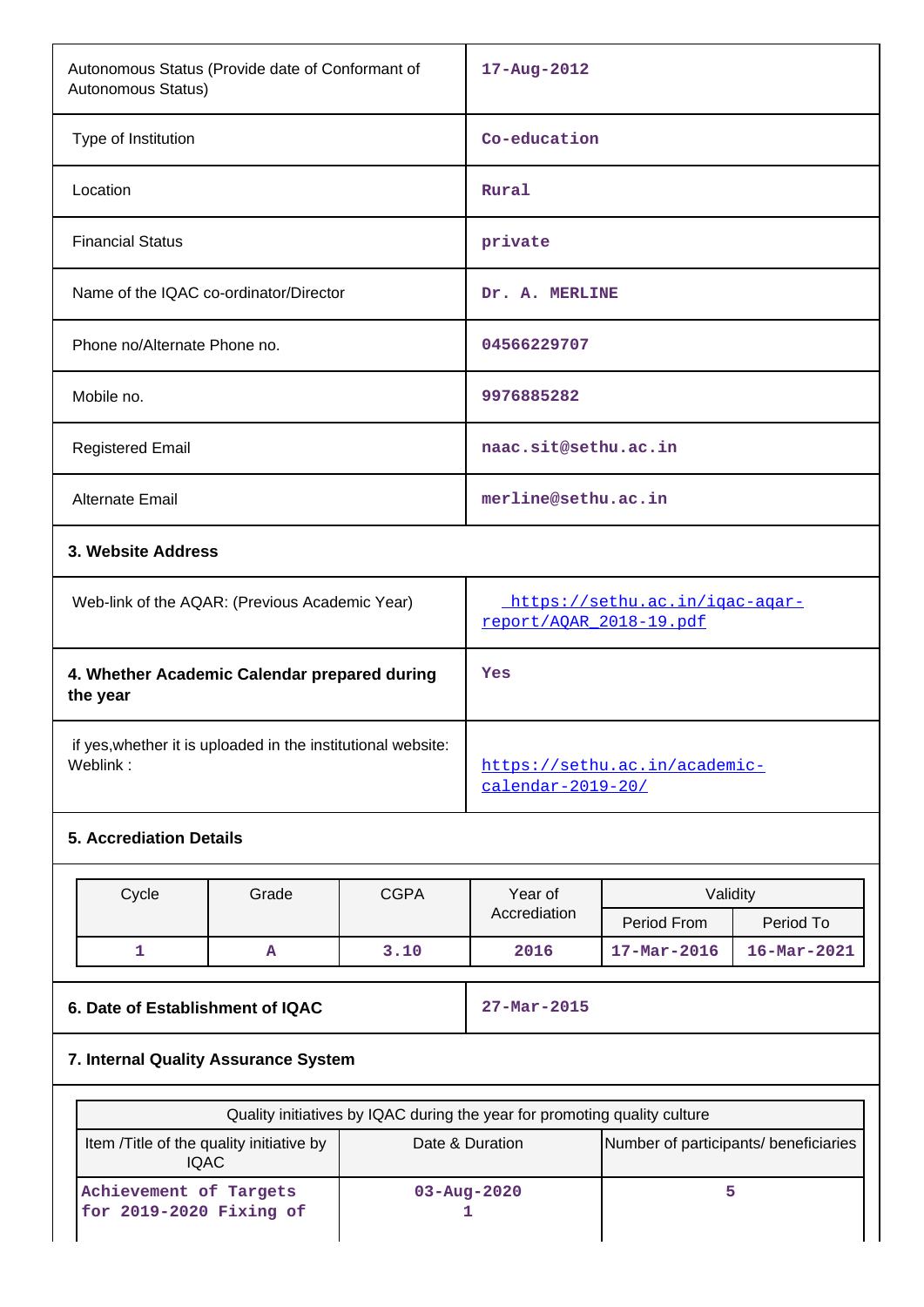| Autonomous Status (Provide date of Conformant of<br>Autonomous Status)    |                                                                                                             | 17-Aug-2012                                              |                      |                   |                   |
|---------------------------------------------------------------------------|-------------------------------------------------------------------------------------------------------------|----------------------------------------------------------|----------------------|-------------------|-------------------|
| Type of Institution                                                       |                                                                                                             | Co-education                                             |                      |                   |                   |
| Location                                                                  |                                                                                                             |                                                          | Rural                |                   |                   |
| <b>Financial Status</b>                                                   |                                                                                                             |                                                          | private              |                   |                   |
| Name of the IQAC co-ordinator/Director                                    |                                                                                                             |                                                          | Dr. A. MERLINE       |                   |                   |
| Phone no/Alternate Phone no.                                              |                                                                                                             |                                                          | 04566229707          |                   |                   |
| Mobile no.                                                                |                                                                                                             |                                                          | 9976885282           |                   |                   |
| <b>Registered Email</b>                                                   |                                                                                                             |                                                          | naac.sit@sethu.ac.in |                   |                   |
| Alternate Email                                                           |                                                                                                             |                                                          | merline@sethu.ac.in  |                   |                   |
| 3. Website Address                                                        |                                                                                                             |                                                          |                      |                   |                   |
|                                                                           | https://sethu.ac.in/igac-agar-<br>Web-link of the AQAR: (Previous Academic Year)<br>report/AQAR 2018-19.pdf |                                                          |                      |                   |                   |
| 4. Whether Academic Calendar prepared during<br>Yes<br>the year           |                                                                                                             |                                                          |                      |                   |                   |
| if yes, whether it is uploaded in the institutional website:<br>Weblink:  |                                                                                                             | https://sethu.ac.in/academic-<br>calendar-2019-20/       |                      |                   |                   |
| <b>5. Accrediation Details</b>                                            |                                                                                                             |                                                          |                      |                   |                   |
| Cycle                                                                     | Grade                                                                                                       | <b>CGPA</b>                                              | Year of              | Validity          |                   |
|                                                                           |                                                                                                             |                                                          | Accrediation         | Period From       | Period To         |
| $\mathbf{1}$                                                              | A                                                                                                           | 3.10                                                     | 2016                 | $17 - Mar - 2016$ | $16 - Mar - 2021$ |
| 6. Date of Establishment of IQAC                                          |                                                                                                             |                                                          | 27-Mar-2015          |                   |                   |
| 7. Internal Quality Assurance System                                      |                                                                                                             |                                                          |                      |                   |                   |
| Quality initiatives by IQAC during the year for promoting quality culture |                                                                                                             |                                                          |                      |                   |                   |
| Item /Title of the quality initiative by<br><b>IQAC</b>                   |                                                                                                             | Date & Duration<br>Number of participants/ beneficiaries |                      |                   |                   |
| Achievement of Targets<br>for $2019 - 2020$ Fixing of                     |                                                                                                             | 03-Aug-2020<br>1                                         | 5                    |                   |                   |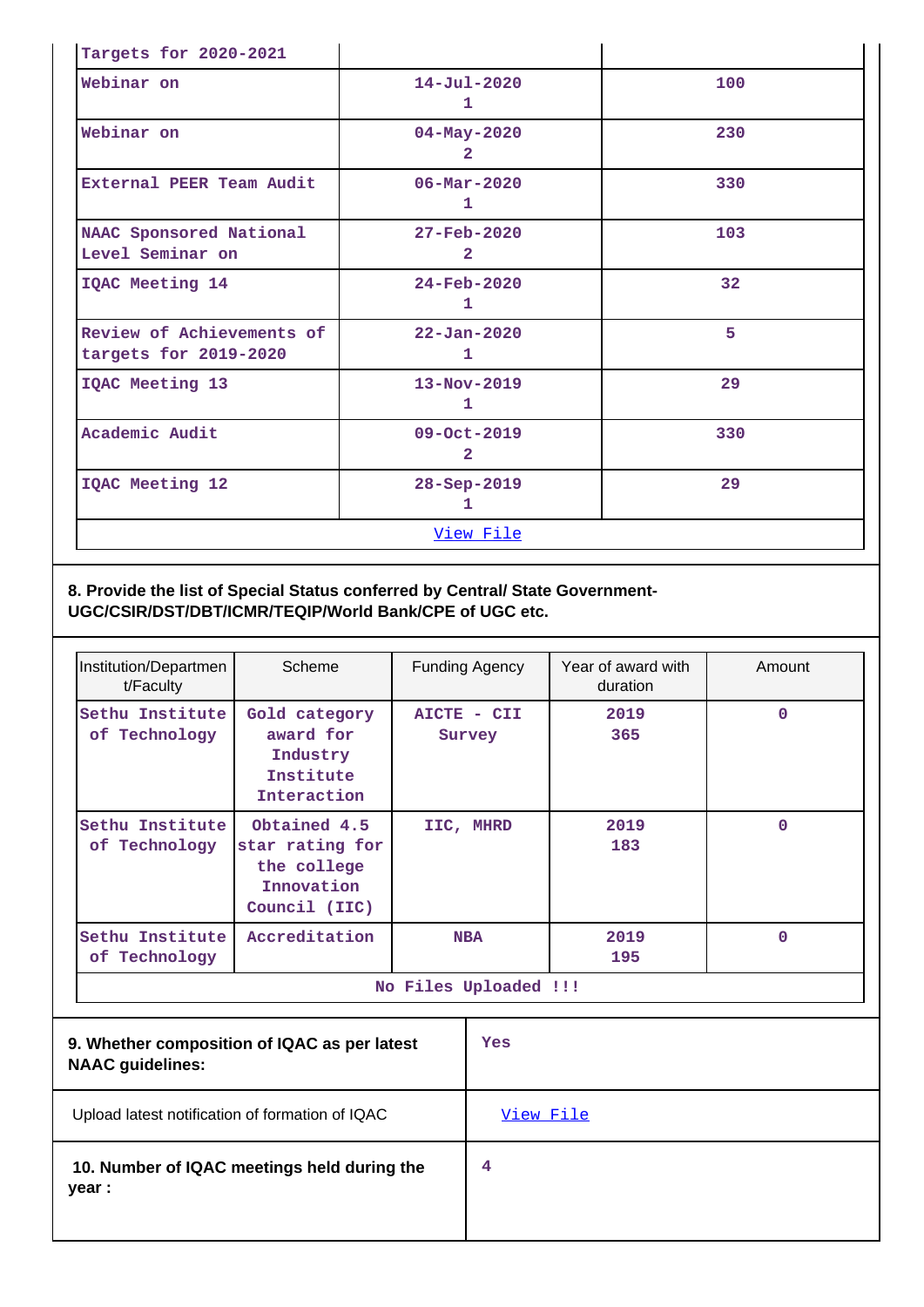| Targets for 2020-2021                              |                                            |                 |  |
|----------------------------------------------------|--------------------------------------------|-----------------|--|
| Webinar on                                         | $14 - Jul - 2020$<br>1                     | 100             |  |
| Webinar on                                         | $04 - May - 2020$<br>$\overline{2}$        | 230             |  |
| External PEER Team Audit                           | $06 - \text{Mar} - 2020$<br>1              | 330             |  |
| NAAC Sponsored National<br>Level Seminar on        | $27 - \text{Feb} - 2020$<br>$\overline{2}$ | 103             |  |
| IQAC Meeting 14                                    | $24 - Feb - 2020$<br>1                     | 32 <sub>2</sub> |  |
| Review of Achievements of<br>targets for 2019-2020 | $22 - Jan - 2020$<br>1                     | 5               |  |
| IQAC Meeting 13                                    | 13-Nov-2019<br>1                           | 29              |  |
| Academic Audit                                     | 09-Oct-2019<br>$\mathbf{2}$                | 330             |  |
| IQAC Meeting 12                                    | 28-Sep-2019<br>1.                          | 29              |  |
| View File                                          |                                            |                 |  |

#### **8. Provide the list of Special Status conferred by Central/ State Government-UGC/CSIR/DST/DBT/ICMR/TEQIP/World Bank/CPE of UGC etc.**

| Institution/Departmen<br>t/Faculty | Scheme                                                                        | <b>Funding Agency</b> | Year of award with<br>duration | Amount      |
|------------------------------------|-------------------------------------------------------------------------------|-----------------------|--------------------------------|-------------|
| Sethu Institute<br>of Technology   | Gold category<br>award for<br>Industry<br>Institute<br>Interaction            | AICTE - CII<br>Survey | 2019<br>365                    | $\Omega$    |
| Sethu Institute<br>of Technology   | Obtained 4.5<br>star rating for<br>the college<br>Innovation<br>Council (IIC) | IIC, MHRD             | 2019<br>183                    | $\mathbf 0$ |
| Sethu Institute<br>of Technology   | Accreditation                                                                 | <b>NBA</b>            | 2019<br>195                    | $\Omega$    |
| No Files Uploaded !!!              |                                                                               |                       |                                |             |

| 9. Whether composition of IQAC as per latest<br><b>NAAC guidelines:</b> | Yes              |
|-------------------------------------------------------------------------|------------------|
| Upload latest notification of formation of IQAC                         | <u>View File</u> |
| 10. Number of IQAC meetings held during the<br>year :                   | 4                |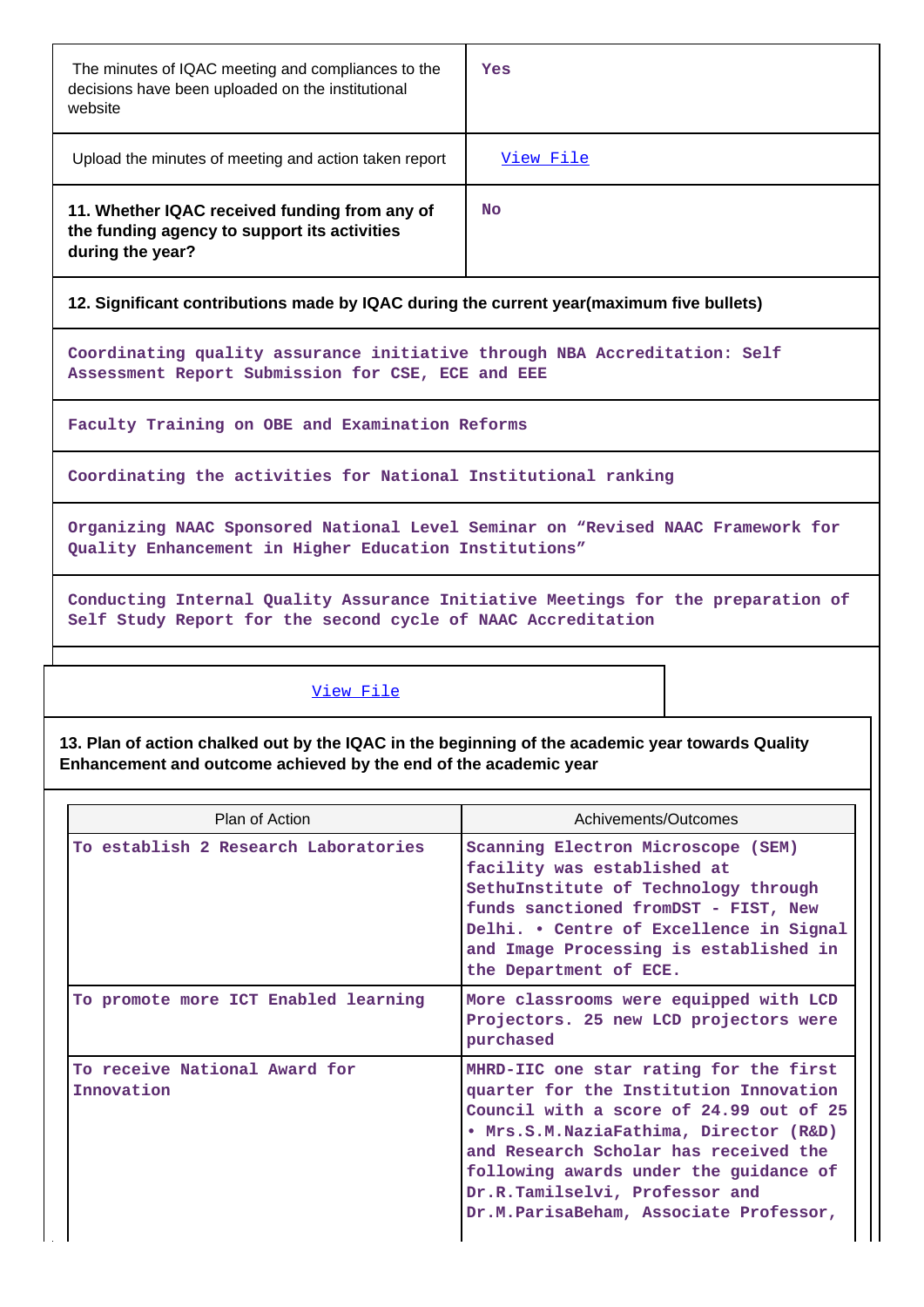| The minutes of IQAC meeting and compliances to the<br>decisions have been uploaded on the institutional<br>website | Yes       |
|--------------------------------------------------------------------------------------------------------------------|-----------|
| Upload the minutes of meeting and action taken report                                                              | View File |
| 11. Whether IQAC received funding from any of<br>the funding agency to support its activities<br>during the year?  | <b>No</b> |

#### **12. Significant contributions made by IQAC during the current year(maximum five bullets)**

**Coordinating quality assurance initiative through NBA Accreditation: Self Assessment Report Submission for CSE, ECE and EEE**

**Faculty Training on OBE and Examination Reforms**

**Coordinating the activities for National Institutional ranking**

**Organizing NAAC Sponsored National Level Seminar on "Revised NAAC Framework for Quality Enhancement in Higher Education Institutions"**

**Conducting Internal Quality Assurance Initiative Meetings for the preparation of Self Study Report for the second cycle of NAAC Accreditation**

#### [View File](https://assessmentonline.naac.gov.in/public/Postacc/Contribution/11242_Contribution.xlsx)

**13. Plan of action chalked out by the IQAC in the beginning of the academic year towards Quality Enhancement and outcome achieved by the end of the academic year**

| Plan of Action                              | Achivements/Outcomes                                                                                                                                                                                                                                                                                                                 |
|---------------------------------------------|--------------------------------------------------------------------------------------------------------------------------------------------------------------------------------------------------------------------------------------------------------------------------------------------------------------------------------------|
| To establish 2 Research Laboratories        | Scanning Electron Microscope (SEM)<br>facility was established at<br>SethuInstitute of Technology through<br>funds sanctioned fromDST - FIST, New<br>Delhi. . Centre of Excellence in Signal<br>and Image Processing is established in<br>the Department of ECE.                                                                     |
| To promote more ICT Enabled learning        | More classrooms were equipped with LCD<br>Projectors. 25 new LCD projectors were<br>purchased                                                                                                                                                                                                                                        |
| To receive National Award for<br>Innovation | MHRD-IIC one star rating for the first<br>quarter for the Institution Innovation<br>Council with a score of 24.99 out of 25<br>• Mrs.S.M.NaziaFathima, Director (R&D)<br>and Research Scholar has received the<br>following awards under the guidance of<br>Dr.R.Tamilselvi, Professor and<br>Dr.M.ParisaBeham, Associate Professor, |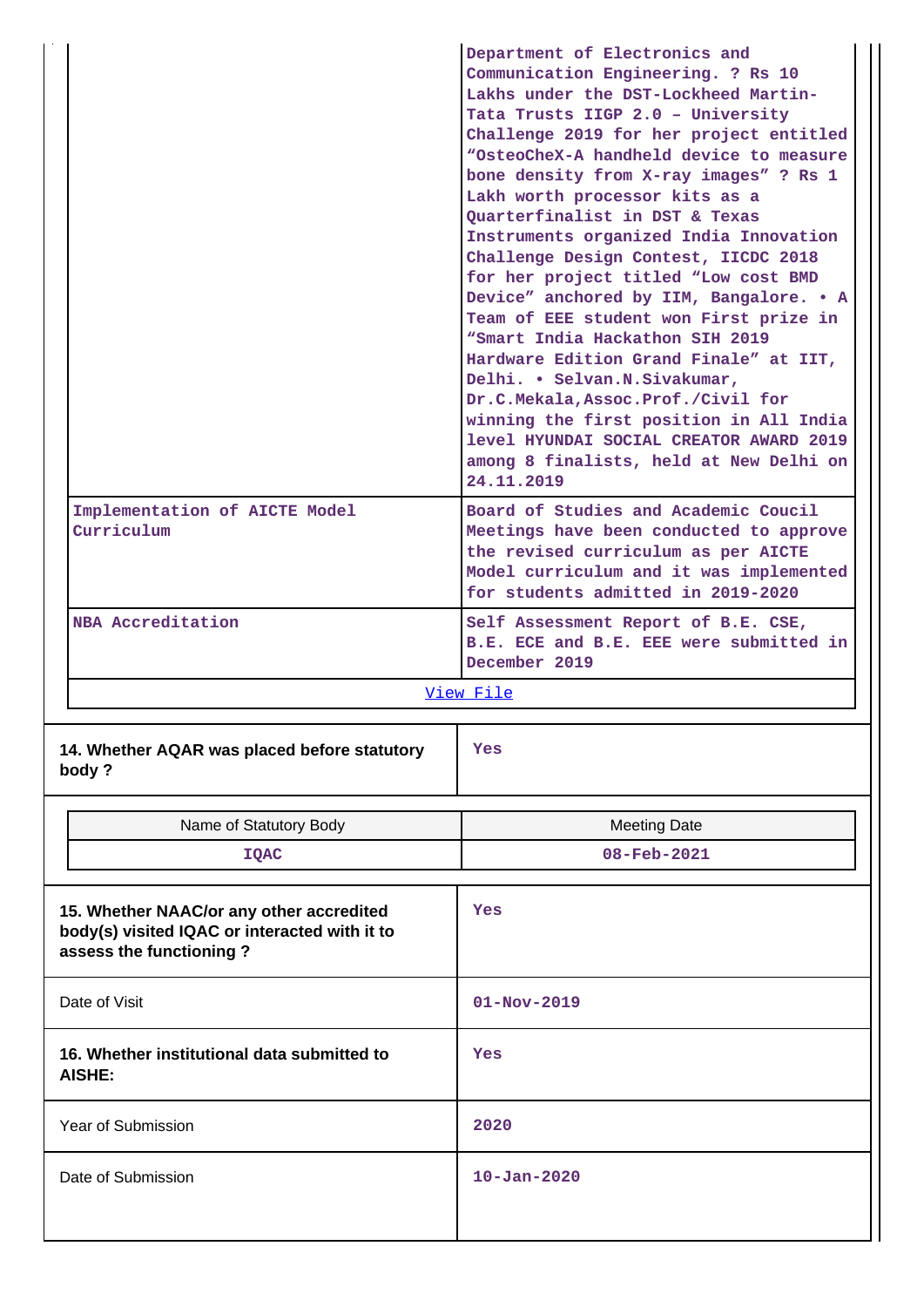|                                             | Department of Electronics and<br>Communication Engineering. ? Rs 10<br>Lakhs under the DST-Lockheed Martin-<br>Tata Trusts IIGP 2.0 - University<br>Challenge 2019 for her project entitled<br>"OsteoCheX-A handheld device to measure<br>bone density from X-ray images" ? Rs 1<br>Lakh worth processor kits as a<br>Ouarterfinalist in DST & Texas                                                                                                                                                          |  |
|---------------------------------------------|---------------------------------------------------------------------------------------------------------------------------------------------------------------------------------------------------------------------------------------------------------------------------------------------------------------------------------------------------------------------------------------------------------------------------------------------------------------------------------------------------------------|--|
|                                             | Instruments organized India Innovation<br>Challenge Design Contest, IICDC 2018<br>for her project titled "Low cost BMD<br>Device" anchored by IIM, Bangalore. . A<br>Team of EEE student won First prize in<br>"Smart India Hackathon SIH 2019<br>Hardware Edition Grand Finale" at IIT,<br>Delhi. • Selvan.N.Sivakumar,<br>Dr.C.Mekala, Assoc.Prof./Civil for<br>winning the first position in All India<br>level HYUNDAI SOCIAL CREATOR AWARD 2019<br>among 8 finalists, held at New Delhi on<br>24.11.2019 |  |
| Implementation of AICTE Model<br>Curriculum | Board of Studies and Academic Coucil<br>Meetings have been conducted to approve<br>the revised curriculum as per AICTE<br>Model curriculum and it was implemented<br>for students admitted in 2019-2020                                                                                                                                                                                                                                                                                                       |  |
| NBA Accreditation                           | Self Assessment Report of B.E. CSE,<br>B.E. ECE and B.E. EEE were submitted in<br>December 2019                                                                                                                                                                                                                                                                                                                                                                                                               |  |
| View File                                   |                                                                                                                                                                                                                                                                                                                                                                                                                                                                                                               |  |

| 14. Whether AQAR was placed before statutory<br>body? | Yes |
|-------------------------------------------------------|-----|
|                                                       |     |
|                                                       |     |

|                                                                                                                      | Name of Statutory Body                                | <b>Meeting Date</b> |  |
|----------------------------------------------------------------------------------------------------------------------|-------------------------------------------------------|---------------------|--|
|                                                                                                                      | IQAC                                                  | 08-Feb-2021         |  |
| 15. Whether NAAC/or any other accredited<br>body(s) visited IQAC or interacted with it to<br>assess the functioning? |                                                       | Yes                 |  |
|                                                                                                                      | Date of Visit                                         | $01 - Nov - 2019$   |  |
|                                                                                                                      | 16. Whether institutional data submitted to<br>AISHE: | Yes                 |  |
|                                                                                                                      | Year of Submission                                    | 2020                |  |
|                                                                                                                      | Date of Submission                                    | $10 - Jan - 2020$   |  |
|                                                                                                                      |                                                       |                     |  |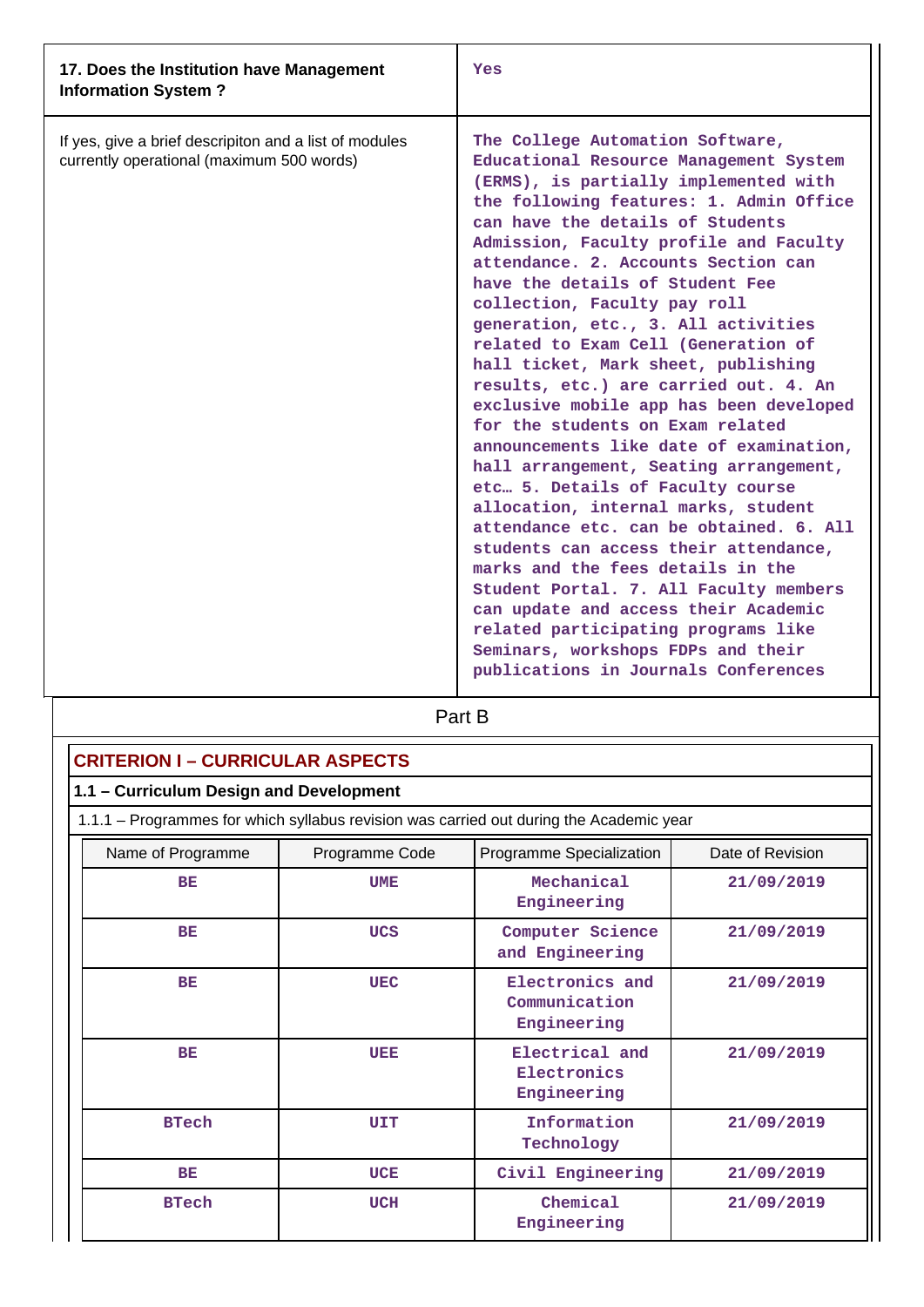| 17. Does the Institution have Management<br><b>Information System?</b>                              | Yes                                                                                                                                                                                                                                                                                                                                                                                                                                                                                                                                                                                                                                                                                                                                                                                                                                                                                                                                                                                                                                                                                                 |
|-----------------------------------------------------------------------------------------------------|-----------------------------------------------------------------------------------------------------------------------------------------------------------------------------------------------------------------------------------------------------------------------------------------------------------------------------------------------------------------------------------------------------------------------------------------------------------------------------------------------------------------------------------------------------------------------------------------------------------------------------------------------------------------------------------------------------------------------------------------------------------------------------------------------------------------------------------------------------------------------------------------------------------------------------------------------------------------------------------------------------------------------------------------------------------------------------------------------------|
| If yes, give a brief descripiton and a list of modules<br>currently operational (maximum 500 words) | The College Automation Software,<br>Educational Resource Management System<br>(ERMS), is partially implemented with<br>the following features: 1. Admin Office<br>can have the details of Students<br>Admission, Faculty profile and Faculty<br>attendance. 2. Accounts Section can<br>have the details of Student Fee<br>collection, Faculty pay roll<br>generation, etc., 3. All activities<br>related to Exam Cell (Generation of<br>hall ticket, Mark sheet, publishing<br>results, etc.) are carried out. 4. An<br>exclusive mobile app has been developed<br>for the students on Exam related<br>announcements like date of examination,<br>hall arrangement, Seating arrangement,<br>etc 5. Details of Faculty course<br>allocation, internal marks, student<br>attendance etc. can be obtained. 6. All<br>students can access their attendance,<br>marks and the fees details in the<br>Student Portal. 7. All Faculty members<br>can update and access their Academic<br>related participating programs like<br>Seminars, workshops FDPs and their<br>publications in Journals Conferences |

## Part B

| <b>CRITERION I - CURRICULAR ASPECTS</b> |                |                                                                                         |                  |  |  |
|-----------------------------------------|----------------|-----------------------------------------------------------------------------------------|------------------|--|--|
| 1.1 - Curriculum Design and Development |                |                                                                                         |                  |  |  |
|                                         |                | 1.1.1 – Programmes for which syllabus revision was carried out during the Academic year |                  |  |  |
| Name of Programme                       | Programme Code | Programme Specialization                                                                | Date of Revision |  |  |
| BE                                      | <b>UME</b>     | Mechanical<br>Engineering                                                               | 21/09/2019       |  |  |
| BE                                      | <b>UCS</b>     | Computer Science<br>and Engineering                                                     | 21/09/2019       |  |  |
| BE                                      | <b>UEC</b>     | Electronics and<br>Communication<br>Engineering                                         | 21/09/2019       |  |  |
| BE                                      | UEE            | Electrical and<br>Electronics<br>Engineering                                            | 21/09/2019       |  |  |
| <b>BTech</b>                            | UIT            | Information<br>Technology                                                               | 21/09/2019       |  |  |
| <b>BE</b>                               | <b>UCE</b>     | Civil Engineering                                                                       | 21/09/2019       |  |  |
| <b>BTech</b>                            | <b>UCH</b>     | Chemical<br>Engineering                                                                 | 21/09/2019       |  |  |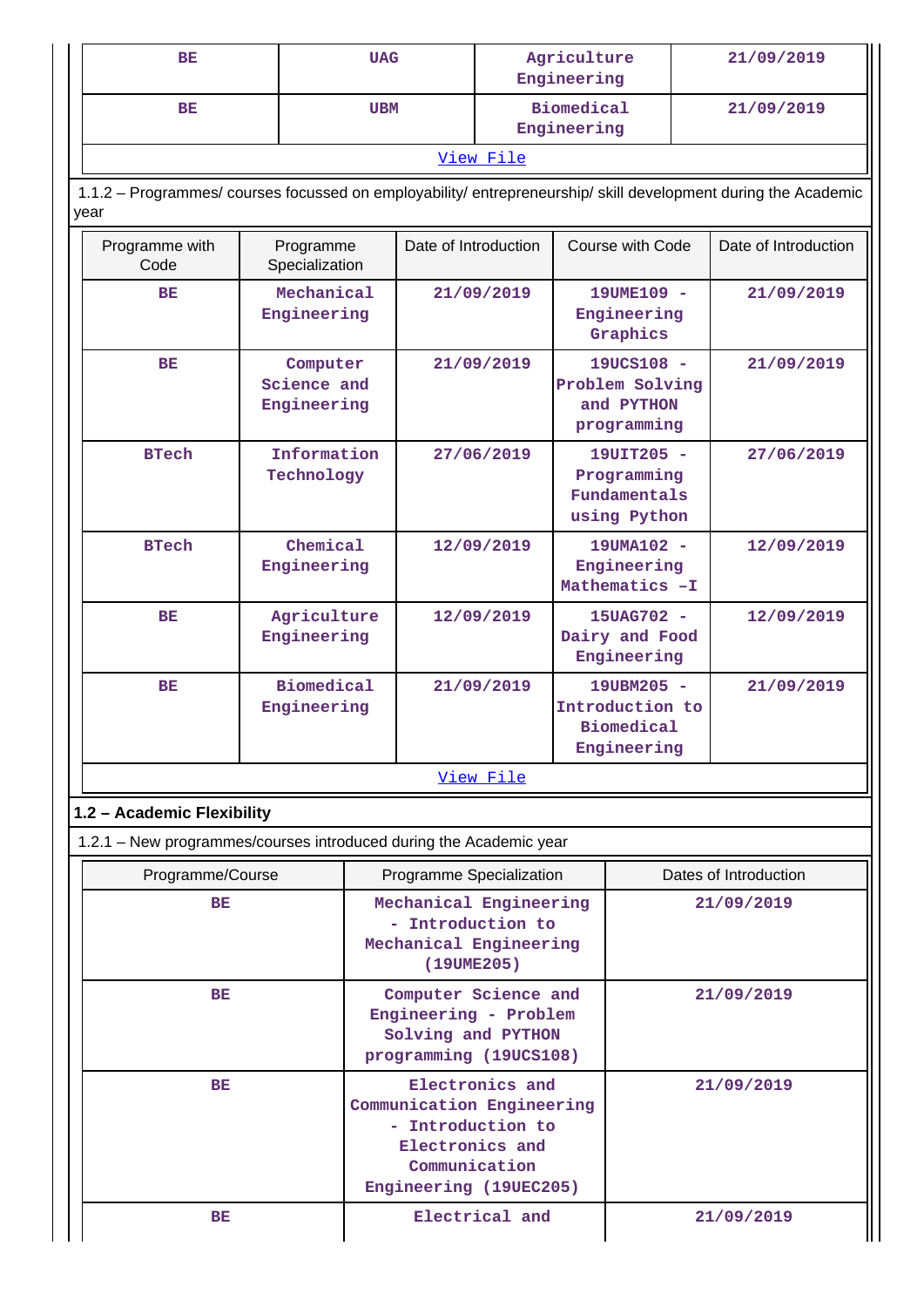| BE                                                                                                                     |                                        | <b>UAG</b>                                                                                                                      |                      | Agriculture<br>Engineering                                        |                                             |                                                            | 21/09/2019           |  |
|------------------------------------------------------------------------------------------------------------------------|----------------------------------------|---------------------------------------------------------------------------------------------------------------------------------|----------------------|-------------------------------------------------------------------|---------------------------------------------|------------------------------------------------------------|----------------------|--|
| <b>BE</b>                                                                                                              |                                        | <b>UBM</b>                                                                                                                      |                      |                                                                   | <b>Biomedical</b><br>Engineering            |                                                            | 21/09/2019           |  |
|                                                                                                                        |                                        |                                                                                                                                 |                      | View File                                                         |                                             |                                                            |                      |  |
| 1.1.2 - Programmes/ courses focussed on employability/ entrepreneurship/ skill development during the Academic<br>year |                                        |                                                                                                                                 |                      |                                                                   |                                             |                                                            |                      |  |
| Programme with<br>Code                                                                                                 | Programme<br>Specialization            |                                                                                                                                 | Date of Introduction |                                                                   |                                             | Course with Code                                           | Date of Introduction |  |
| BE                                                                                                                     | Mechanical<br>Engineering              |                                                                                                                                 |                      | 21/09/2019                                                        |                                             | 19UME109 -<br>Engineering<br>Graphics                      | 21/09/2019           |  |
| <b>BE</b>                                                                                                              | Computer<br>Science and<br>Engineering |                                                                                                                                 |                      | 21/09/2019                                                        |                                             | 19UCS108 -<br>Problem Solving<br>and PYTHON<br>programming | 21/09/2019           |  |
| <b>BTech</b>                                                                                                           | Information<br>Technology              |                                                                                                                                 |                      | 27/06/2019                                                        |                                             | 19UIT205 -<br>Programming<br>Fundamentals<br>using Python  | 27/06/2019           |  |
| <b>BTech</b>                                                                                                           | Chemical<br>Engineering                |                                                                                                                                 |                      | 12/09/2019<br>Engineering<br>Mathematics -I                       |                                             | 19UMA102 -                                                 | 12/09/2019           |  |
| BE                                                                                                                     | Agriculture<br>Engineering             |                                                                                                                                 |                      | 12/09/2019                                                        | 15UAG702 -<br>Dairy and Food<br>Engineering |                                                            | 12/09/2019           |  |
| BE                                                                                                                     | <b>Biomedical</b><br>Engineering       |                                                                                                                                 |                      | 21/09/2019<br>Introduction to<br><b>Biomedical</b><br>Engineering |                                             | 19UBM205 -                                                 | 21/09/2019           |  |
|                                                                                                                        |                                        |                                                                                                                                 |                      | View File                                                         |                                             |                                                            |                      |  |
| 1.2 - Academic Flexibility                                                                                             |                                        |                                                                                                                                 |                      |                                                                   |                                             |                                                            |                      |  |
| 1.2.1 - New programmes/courses introduced during the Academic year                                                     |                                        |                                                                                                                                 |                      |                                                                   |                                             |                                                            |                      |  |
| Programme/Course                                                                                                       |                                        | Programme Specialization                                                                                                        |                      | Dates of Introduction                                             |                                             |                                                            |                      |  |
| BE                                                                                                                     |                                        | Mechanical Engineering<br>- Introduction to<br>Mechanical Engineering<br>(19UME205)                                             |                      |                                                                   |                                             | 21/09/2019                                                 |                      |  |
| BE                                                                                                                     |                                        | Computer Science and<br>Engineering - Problem<br>Solving and PYTHON<br>programming (19UCS108)                                   |                      |                                                                   | 21/09/2019                                  |                                                            |                      |  |
| <b>BE</b>                                                                                                              |                                        | Electronics and<br>Communication Engineering<br>- Introduction to<br>Electronics and<br>Communication<br>Engineering (19UEC205) |                      |                                                                   |                                             | 21/09/2019                                                 |                      |  |
| <b>BE</b>                                                                                                              |                                        |                                                                                                                                 |                      | Electrical and                                                    |                                             | 21/09/2019                                                 |                      |  |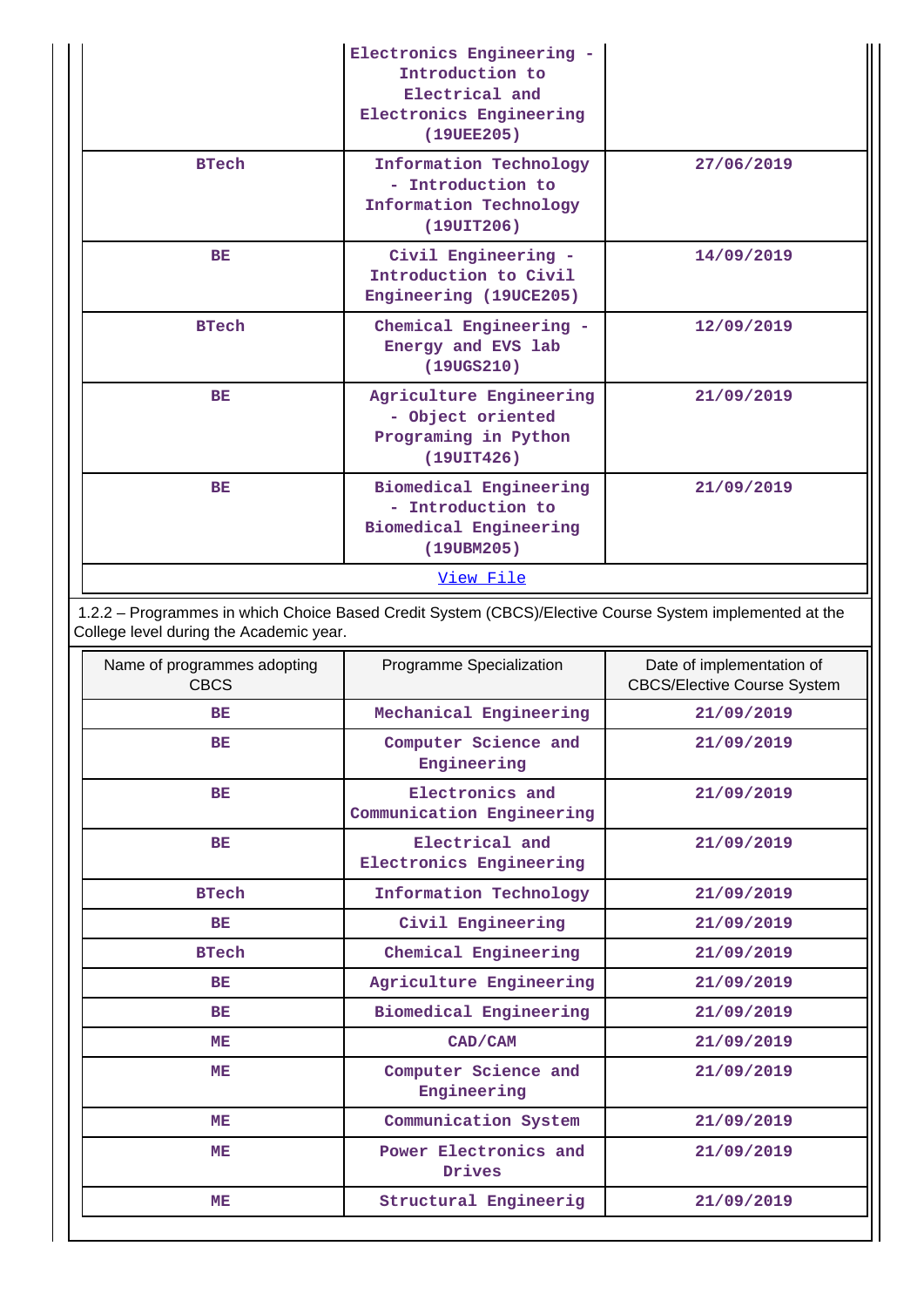|              | Electronics Engineering -<br>Introduction to<br>Electrical and<br>Electronics Engineering<br>(19UEE205) |            |
|--------------|---------------------------------------------------------------------------------------------------------|------------|
| <b>BTech</b> | Information Technology<br>- Introduction to<br>Information Technology<br>(19UIT206)                     | 27/06/2019 |
| BE           | Civil Engineering -<br>Introduction to Civil<br>Engineering (19UCE205)                                  | 14/09/2019 |
| <b>BTech</b> | Chemical Engineering -<br>Energy and EVS lab<br>(19UGS210)                                              | 12/09/2019 |
| BE           | Agriculture Engineering<br>- Object oriented<br>Programing in Python<br>(19UIT426)                      | 21/09/2019 |
| <b>BE</b>    | Biomedical Engineering<br>- Introduction to<br>Biomedical Engineering<br>(19UBM205)                     | 21/09/2019 |
|              | View File                                                                                               |            |

 1.2.2 – Programmes in which Choice Based Credit System (CBCS)/Elective Course System implemented at the College level during the Academic year.

| Name of programmes adopting<br><b>CBCS</b> | Programme Specialization                     | Date of implementation of<br><b>CBCS/Elective Course System</b> |
|--------------------------------------------|----------------------------------------------|-----------------------------------------------------------------|
| BE                                         | Mechanical Engineering                       | 21/09/2019                                                      |
| BE                                         | Computer Science and<br>Engineering          | 21/09/2019                                                      |
| BE                                         | Electronics and<br>Communication Engineering | 21/09/2019                                                      |
| BE                                         | Electrical and<br>Electronics Engineering    | 21/09/2019                                                      |
| <b>BTech</b>                               | Information Technology                       | 21/09/2019                                                      |
| BE                                         | Civil Engineering                            | 21/09/2019                                                      |
| <b>BTech</b>                               | Chemical Engineering                         | 21/09/2019                                                      |
| BE                                         | Agriculture Engineering                      | 21/09/2019                                                      |
| BE                                         | Biomedical Engineering                       | 21/09/2019                                                      |
| MЕ                                         | CAD/CAM                                      | 21/09/2019                                                      |
| <b>ME</b>                                  | Computer Science and<br>Engineering          | 21/09/2019                                                      |
| MЕ                                         | Communication System                         | 21/09/2019                                                      |
| ME.                                        | Power Electronics and<br>Drives              | 21/09/2019                                                      |
| <b>ME</b>                                  | Structural Engineerig                        | 21/09/2019                                                      |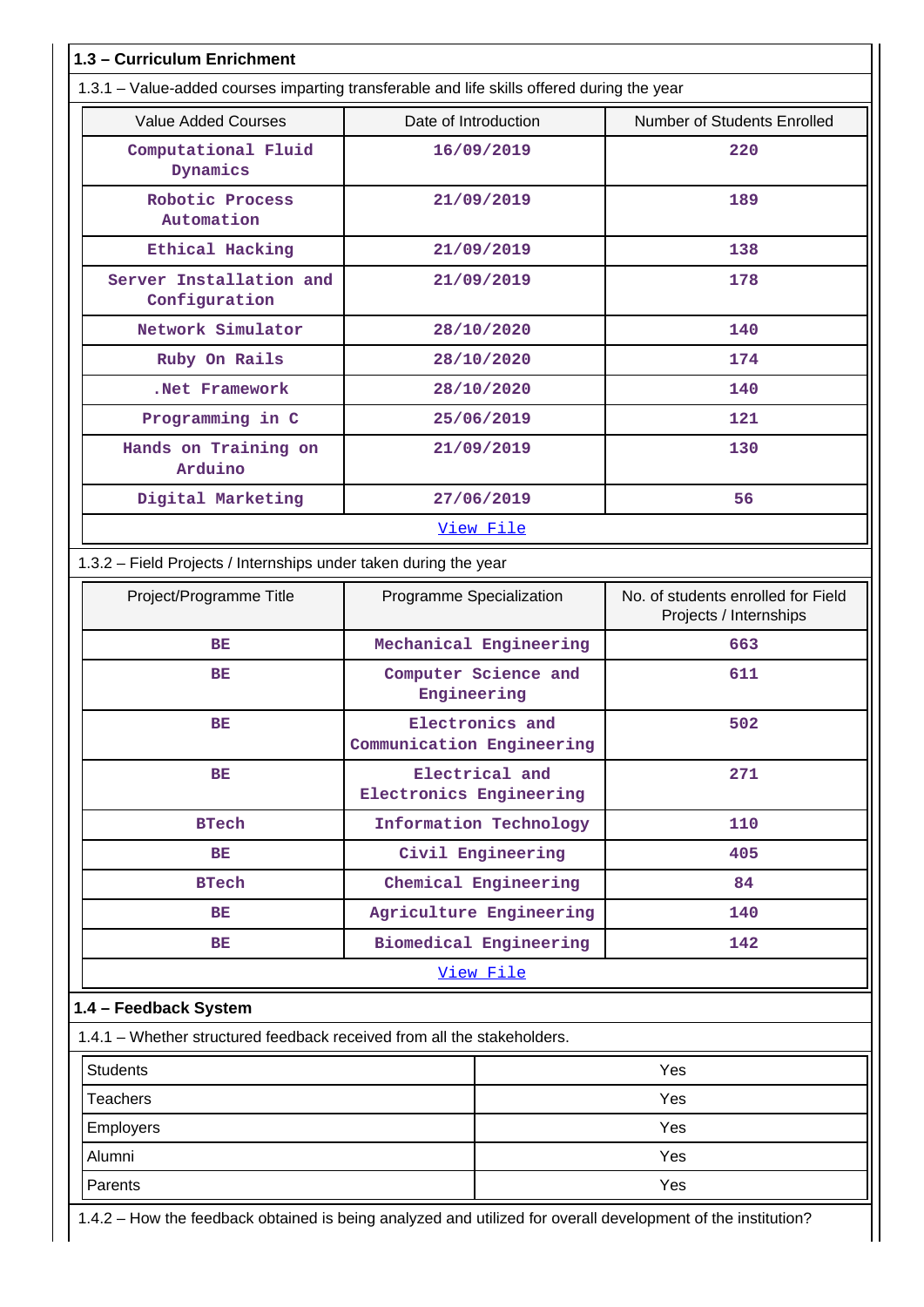|                                                                         |                                              | 1.3.1 – Value-added courses imparting transferable and life skills offered during the year |  |  |
|-------------------------------------------------------------------------|----------------------------------------------|--------------------------------------------------------------------------------------------|--|--|
| <b>Value Added Courses</b>                                              | Date of Introduction                         | Number of Students Enrolled                                                                |  |  |
| Computational Fluid<br>Dynamics                                         | 16/09/2019                                   | 220                                                                                        |  |  |
| Robotic Process<br>Automation                                           | 21/09/2019                                   | 189                                                                                        |  |  |
| Ethical Hacking                                                         | 21/09/2019                                   | 138                                                                                        |  |  |
| Server Installation and<br>Configuration                                | 21/09/2019                                   | 178                                                                                        |  |  |
| Network Simulator                                                       | 28/10/2020                                   | 140                                                                                        |  |  |
| Ruby On Rails                                                           | 28/10/2020                                   | 174                                                                                        |  |  |
| .Net Framework                                                          | 28/10/2020                                   | 140                                                                                        |  |  |
| Programming in C                                                        | 25/06/2019                                   | 121                                                                                        |  |  |
| Hands on Training on<br>Arduino                                         | 21/09/2019                                   | 130                                                                                        |  |  |
| Digital Marketing                                                       | 27/06/2019                                   | 56                                                                                         |  |  |
|                                                                         | View File                                    |                                                                                            |  |  |
| 1.3.2 - Field Projects / Internships under taken during the year        |                                              |                                                                                            |  |  |
| Project/Programme Title                                                 | Programme Specialization                     | No. of students enrolled for Field<br>Projects / Internships                               |  |  |
| BE                                                                      | Mechanical Engineering                       | 663                                                                                        |  |  |
| BE                                                                      | Computer Science and<br>Engineering          | 611                                                                                        |  |  |
| BE                                                                      | Electronics and<br>Communication Engineering | 502                                                                                        |  |  |
| <b>BE</b>                                                               | Electrical and<br>Electronics Engineering    | 271                                                                                        |  |  |
| <b>BTech</b>                                                            | Information Technology                       | 110                                                                                        |  |  |
| BE                                                                      | Civil Engineering                            | 405                                                                                        |  |  |
| <b>BTech</b>                                                            | Chemical Engineering                         | 84                                                                                         |  |  |
| ВE                                                                      | Agriculture Engineering                      | 140                                                                                        |  |  |
| BE                                                                      | Biomedical Engineering                       | 142                                                                                        |  |  |
|                                                                         | View File                                    |                                                                                            |  |  |
| 1.4 - Feedback System                                                   |                                              |                                                                                            |  |  |
| 1.4.1 – Whether structured feedback received from all the stakeholders. |                                              |                                                                                            |  |  |
| <b>Students</b>                                                         |                                              | Yes                                                                                        |  |  |
| <b>Teachers</b>                                                         |                                              | Yes                                                                                        |  |  |
| <b>Employers</b>                                                        |                                              | Yes                                                                                        |  |  |
| Alumni                                                                  |                                              | Yes                                                                                        |  |  |
|                                                                         |                                              |                                                                                            |  |  |

Ш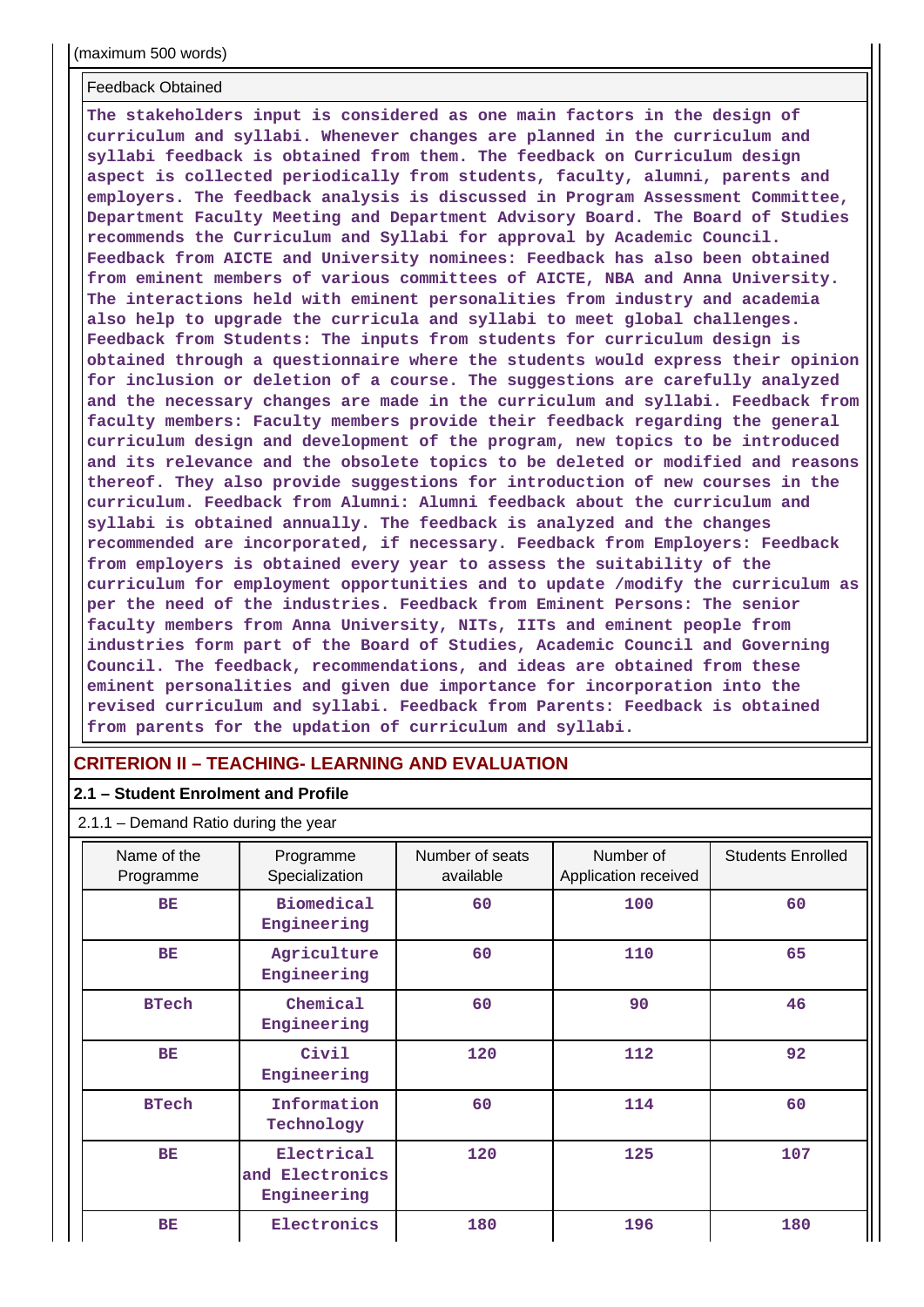#### Feedback Obtained

**The stakeholders input is considered as one main factors in the design of curriculum and syllabi. Whenever changes are planned in the curriculum and syllabi feedback is obtained from them. The feedback on Curriculum design aspect is collected periodically from students, faculty, alumni, parents and employers. The feedback analysis is discussed in Program Assessment Committee, Department Faculty Meeting and Department Advisory Board. The Board of Studies recommends the Curriculum and Syllabi for approval by Academic Council. Feedback from AICTE and University nominees: Feedback has also been obtained from eminent members of various committees of AICTE, NBA and Anna University. The interactions held with eminent personalities from industry and academia also help to upgrade the curricula and syllabi to meet global challenges. Feedback from Students: The inputs from students for curriculum design is obtained through a questionnaire where the students would express their opinion for inclusion or deletion of a course. The suggestions are carefully analyzed and the necessary changes are made in the curriculum and syllabi. Feedback from faculty members: Faculty members provide their feedback regarding the general curriculum design and development of the program, new topics to be introduced and its relevance and the obsolete topics to be deleted or modified and reasons thereof. They also provide suggestions for introduction of new courses in the curriculum. Feedback from Alumni: Alumni feedback about the curriculum and syllabi is obtained annually. The feedback is analyzed and the changes recommended are incorporated, if necessary. Feedback from Employers: Feedback from employers is obtained every year to assess the suitability of the curriculum for employment opportunities and to update /modify the curriculum as per the need of the industries. Feedback from Eminent Persons: The senior faculty members from Anna University, NITs, IITs and eminent people from industries form part of the Board of Studies, Academic Council and Governing Council. The feedback, recommendations, and ideas are obtained from these eminent personalities and given due importance for incorporation into the revised curriculum and syllabi. Feedback from Parents: Feedback is obtained from parents for the updation of curriculum and syllabi.**

#### **CRITERION II – TEACHING- LEARNING AND EVALUATION**

#### **2.1 – Student Enrolment and Profile**

#### 2.1.1 – Demand Ratio during the year

| Name of the<br>Programme | Programme<br>Specialization                  | Number of seats<br>available | Number of<br>Application received | <b>Students Enrolled</b> |
|--------------------------|----------------------------------------------|------------------------------|-----------------------------------|--------------------------|
| <b>BE</b>                | <b>Biomedical</b><br>Engineering             | 60                           | 100                               | 60                       |
| <b>BE</b>                | Agriculture<br>Engineering                   | 60                           | 110                               | 65                       |
| <b>BTech</b>             | Chemical<br>Engineering                      | 60                           | 90                                | 46                       |
| <b>BE</b>                | Civil<br>Engineering                         | 120                          | 112                               | 92                       |
| <b>BTech</b>             | Information<br>Technology                    | 60                           | 114                               | 60                       |
| <b>BE</b>                | Electrical<br>and Electronics<br>Engineering | 120                          | 125                               | 107                      |
| BE                       | Electronics                                  | 180                          | 196                               | 180                      |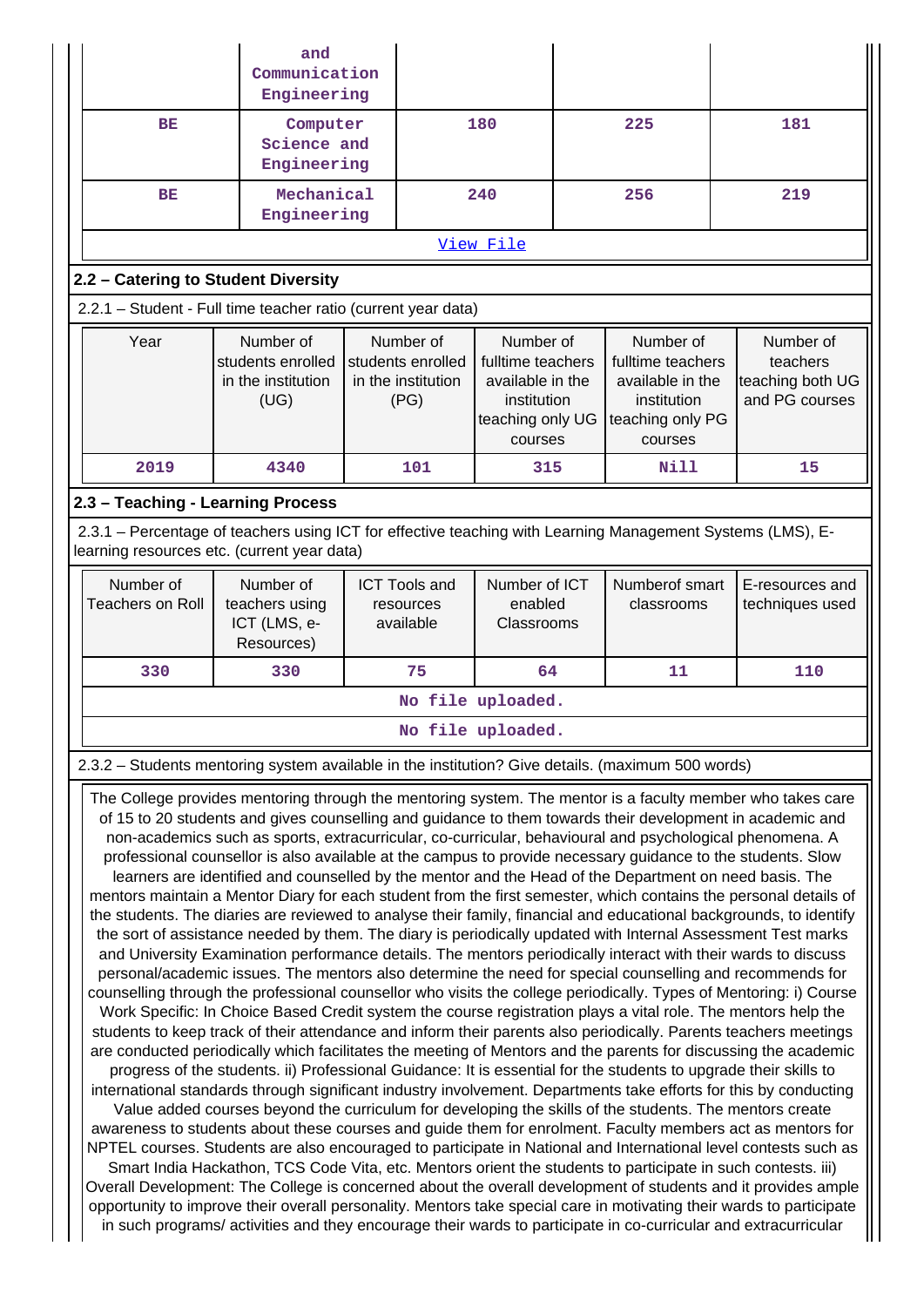|                                                                                                                                                                                                                                                                                                                                                                                                                                                                                                                                                                                                                                                                                                                                                                                                                                                                                                                                                                                                                                                                                                                                                                                                                                                                                                                                                                                                                                                                                                                                                                                                                                                                                                                                                                                                                                                                                                                                                                                                                                                                                                                                                                                                                                                                                                                                                                                                                                                                                                                                                                                                                                                                                                                                                                                                         | and<br>Communication<br>Engineering                          |  |                                                              |                                                                                                  |     |                                                                                                  |     |                                                             |
|---------------------------------------------------------------------------------------------------------------------------------------------------------------------------------------------------------------------------------------------------------------------------------------------------------------------------------------------------------------------------------------------------------------------------------------------------------------------------------------------------------------------------------------------------------------------------------------------------------------------------------------------------------------------------------------------------------------------------------------------------------------------------------------------------------------------------------------------------------------------------------------------------------------------------------------------------------------------------------------------------------------------------------------------------------------------------------------------------------------------------------------------------------------------------------------------------------------------------------------------------------------------------------------------------------------------------------------------------------------------------------------------------------------------------------------------------------------------------------------------------------------------------------------------------------------------------------------------------------------------------------------------------------------------------------------------------------------------------------------------------------------------------------------------------------------------------------------------------------------------------------------------------------------------------------------------------------------------------------------------------------------------------------------------------------------------------------------------------------------------------------------------------------------------------------------------------------------------------------------------------------------------------------------------------------------------------------------------------------------------------------------------------------------------------------------------------------------------------------------------------------------------------------------------------------------------------------------------------------------------------------------------------------------------------------------------------------------------------------------------------------------------------------------------------------|--------------------------------------------------------------|--|--------------------------------------------------------------|--------------------------------------------------------------------------------------------------|-----|--------------------------------------------------------------------------------------------------|-----|-------------------------------------------------------------|
| <b>BE</b>                                                                                                                                                                                                                                                                                                                                                                                                                                                                                                                                                                                                                                                                                                                                                                                                                                                                                                                                                                                                                                                                                                                                                                                                                                                                                                                                                                                                                                                                                                                                                                                                                                                                                                                                                                                                                                                                                                                                                                                                                                                                                                                                                                                                                                                                                                                                                                                                                                                                                                                                                                                                                                                                                                                                                                                               | Computer<br>Science and<br>Engineering                       |  | 180                                                          |                                                                                                  | 225 |                                                                                                  | 181 |                                                             |
| BE                                                                                                                                                                                                                                                                                                                                                                                                                                                                                                                                                                                                                                                                                                                                                                                                                                                                                                                                                                                                                                                                                                                                                                                                                                                                                                                                                                                                                                                                                                                                                                                                                                                                                                                                                                                                                                                                                                                                                                                                                                                                                                                                                                                                                                                                                                                                                                                                                                                                                                                                                                                                                                                                                                                                                                                                      | Mechanical<br>Engineering                                    |  |                                                              | 240                                                                                              |     | 256                                                                                              |     | 219                                                         |
|                                                                                                                                                                                                                                                                                                                                                                                                                                                                                                                                                                                                                                                                                                                                                                                                                                                                                                                                                                                                                                                                                                                                                                                                                                                                                                                                                                                                                                                                                                                                                                                                                                                                                                                                                                                                                                                                                                                                                                                                                                                                                                                                                                                                                                                                                                                                                                                                                                                                                                                                                                                                                                                                                                                                                                                                         |                                                              |  |                                                              | View File                                                                                        |     |                                                                                                  |     |                                                             |
| 2.2 - Catering to Student Diversity                                                                                                                                                                                                                                                                                                                                                                                                                                                                                                                                                                                                                                                                                                                                                                                                                                                                                                                                                                                                                                                                                                                                                                                                                                                                                                                                                                                                                                                                                                                                                                                                                                                                                                                                                                                                                                                                                                                                                                                                                                                                                                                                                                                                                                                                                                                                                                                                                                                                                                                                                                                                                                                                                                                                                                     |                                                              |  |                                                              |                                                                                                  |     |                                                                                                  |     |                                                             |
| 2.2.1 - Student - Full time teacher ratio (current year data)                                                                                                                                                                                                                                                                                                                                                                                                                                                                                                                                                                                                                                                                                                                                                                                                                                                                                                                                                                                                                                                                                                                                                                                                                                                                                                                                                                                                                                                                                                                                                                                                                                                                                                                                                                                                                                                                                                                                                                                                                                                                                                                                                                                                                                                                                                                                                                                                                                                                                                                                                                                                                                                                                                                                           |                                                              |  |                                                              |                                                                                                  |     |                                                                                                  |     |                                                             |
| Year                                                                                                                                                                                                                                                                                                                                                                                                                                                                                                                                                                                                                                                                                                                                                                                                                                                                                                                                                                                                                                                                                                                                                                                                                                                                                                                                                                                                                                                                                                                                                                                                                                                                                                                                                                                                                                                                                                                                                                                                                                                                                                                                                                                                                                                                                                                                                                                                                                                                                                                                                                                                                                                                                                                                                                                                    | Number of<br>students enrolled<br>in the institution<br>(UG) |  | Number of<br>students enrolled<br>in the institution<br>(PG) | Number of<br>fulltime teachers<br>available in the<br>institution<br>teaching only UG<br>courses |     | Number of<br>fulltime teachers<br>available in the<br>institution<br>teaching only PG<br>courses |     | Number of<br>teachers<br>teaching both UG<br>and PG courses |
| 2019                                                                                                                                                                                                                                                                                                                                                                                                                                                                                                                                                                                                                                                                                                                                                                                                                                                                                                                                                                                                                                                                                                                                                                                                                                                                                                                                                                                                                                                                                                                                                                                                                                                                                                                                                                                                                                                                                                                                                                                                                                                                                                                                                                                                                                                                                                                                                                                                                                                                                                                                                                                                                                                                                                                                                                                                    | 4340                                                         |  | 101                                                          | 315                                                                                              |     | Nill                                                                                             |     | 15                                                          |
| 2.3 - Teaching - Learning Process                                                                                                                                                                                                                                                                                                                                                                                                                                                                                                                                                                                                                                                                                                                                                                                                                                                                                                                                                                                                                                                                                                                                                                                                                                                                                                                                                                                                                                                                                                                                                                                                                                                                                                                                                                                                                                                                                                                                                                                                                                                                                                                                                                                                                                                                                                                                                                                                                                                                                                                                                                                                                                                                                                                                                                       |                                                              |  |                                                              |                                                                                                  |     |                                                                                                  |     |                                                             |
| 2.3.1 – Percentage of teachers using ICT for effective teaching with Learning Management Systems (LMS), E-<br>learning resources etc. (current year data)                                                                                                                                                                                                                                                                                                                                                                                                                                                                                                                                                                                                                                                                                                                                                                                                                                                                                                                                                                                                                                                                                                                                                                                                                                                                                                                                                                                                                                                                                                                                                                                                                                                                                                                                                                                                                                                                                                                                                                                                                                                                                                                                                                                                                                                                                                                                                                                                                                                                                                                                                                                                                                               |                                                              |  |                                                              |                                                                                                  |     |                                                                                                  |     |                                                             |
| Number of<br><b>Teachers on Roll</b>                                                                                                                                                                                                                                                                                                                                                                                                                                                                                                                                                                                                                                                                                                                                                                                                                                                                                                                                                                                                                                                                                                                                                                                                                                                                                                                                                                                                                                                                                                                                                                                                                                                                                                                                                                                                                                                                                                                                                                                                                                                                                                                                                                                                                                                                                                                                                                                                                                                                                                                                                                                                                                                                                                                                                                    | Number of<br>teachers using<br>ICT (LMS, e-<br>Resources)    |  | <b>ICT Tools and</b><br>resources<br>available               | Number of ICT<br>enabled<br>Classrooms                                                           |     | Numberof smart<br>classrooms                                                                     |     | E-resources and<br>techniques used                          |
| 330                                                                                                                                                                                                                                                                                                                                                                                                                                                                                                                                                                                                                                                                                                                                                                                                                                                                                                                                                                                                                                                                                                                                                                                                                                                                                                                                                                                                                                                                                                                                                                                                                                                                                                                                                                                                                                                                                                                                                                                                                                                                                                                                                                                                                                                                                                                                                                                                                                                                                                                                                                                                                                                                                                                                                                                                     | 330                                                          |  | 75                                                           | 64                                                                                               |     | 11                                                                                               |     | 110                                                         |
|                                                                                                                                                                                                                                                                                                                                                                                                                                                                                                                                                                                                                                                                                                                                                                                                                                                                                                                                                                                                                                                                                                                                                                                                                                                                                                                                                                                                                                                                                                                                                                                                                                                                                                                                                                                                                                                                                                                                                                                                                                                                                                                                                                                                                                                                                                                                                                                                                                                                                                                                                                                                                                                                                                                                                                                                         |                                                              |  |                                                              | No file uploaded.                                                                                |     |                                                                                                  |     |                                                             |
|                                                                                                                                                                                                                                                                                                                                                                                                                                                                                                                                                                                                                                                                                                                                                                                                                                                                                                                                                                                                                                                                                                                                                                                                                                                                                                                                                                                                                                                                                                                                                                                                                                                                                                                                                                                                                                                                                                                                                                                                                                                                                                                                                                                                                                                                                                                                                                                                                                                                                                                                                                                                                                                                                                                                                                                                         |                                                              |  |                                                              | No file uploaded.                                                                                |     |                                                                                                  |     |                                                             |
|                                                                                                                                                                                                                                                                                                                                                                                                                                                                                                                                                                                                                                                                                                                                                                                                                                                                                                                                                                                                                                                                                                                                                                                                                                                                                                                                                                                                                                                                                                                                                                                                                                                                                                                                                                                                                                                                                                                                                                                                                                                                                                                                                                                                                                                                                                                                                                                                                                                                                                                                                                                                                                                                                                                                                                                                         |                                                              |  |                                                              |                                                                                                  |     |                                                                                                  |     |                                                             |
| 2.3.2 - Students mentoring system available in the institution? Give details. (maximum 500 words)<br>The College provides mentoring through the mentoring system. The mentor is a faculty member who takes care<br>of 15 to 20 students and gives counselling and guidance to them towards their development in academic and<br>non-academics such as sports, extracurricular, co-curricular, behavioural and psychological phenomena. A<br>professional counsellor is also available at the campus to provide necessary guidance to the students. Slow<br>learners are identified and counselled by the mentor and the Head of the Department on need basis. The<br>mentors maintain a Mentor Diary for each student from the first semester, which contains the personal details of<br>the students. The diaries are reviewed to analyse their family, financial and educational backgrounds, to identify<br>the sort of assistance needed by them. The diary is periodically updated with Internal Assessment Test marks<br>and University Examination performance details. The mentors periodically interact with their wards to discuss<br>personal/academic issues. The mentors also determine the need for special counselling and recommends for<br>counselling through the professional counsellor who visits the college periodically. Types of Mentoring: i) Course<br>Work Specific: In Choice Based Credit system the course registration plays a vital role. The mentors help the<br>students to keep track of their attendance and inform their parents also periodically. Parents teachers meetings<br>are conducted periodically which facilitates the meeting of Mentors and the parents for discussing the academic<br>progress of the students. ii) Professional Guidance: It is essential for the students to upgrade their skills to<br>international standards through significant industry involvement. Departments take efforts for this by conducting<br>Value added courses beyond the curriculum for developing the skills of the students. The mentors create<br>awareness to students about these courses and guide them for enrolment. Faculty members act as mentors for<br>NPTEL courses. Students are also encouraged to participate in National and International level contests such as<br>Smart India Hackathon, TCS Code Vita, etc. Mentors orient the students to participate in such contests. iii)<br>Overall Development: The College is concerned about the overall development of students and it provides ample<br>opportunity to improve their overall personality. Mentors take special care in motivating their wards to participate<br>in such programs/ activities and they encourage their wards to participate in co-curricular and extracurricular |                                                              |  |                                                              |                                                                                                  |     |                                                                                                  |     |                                                             |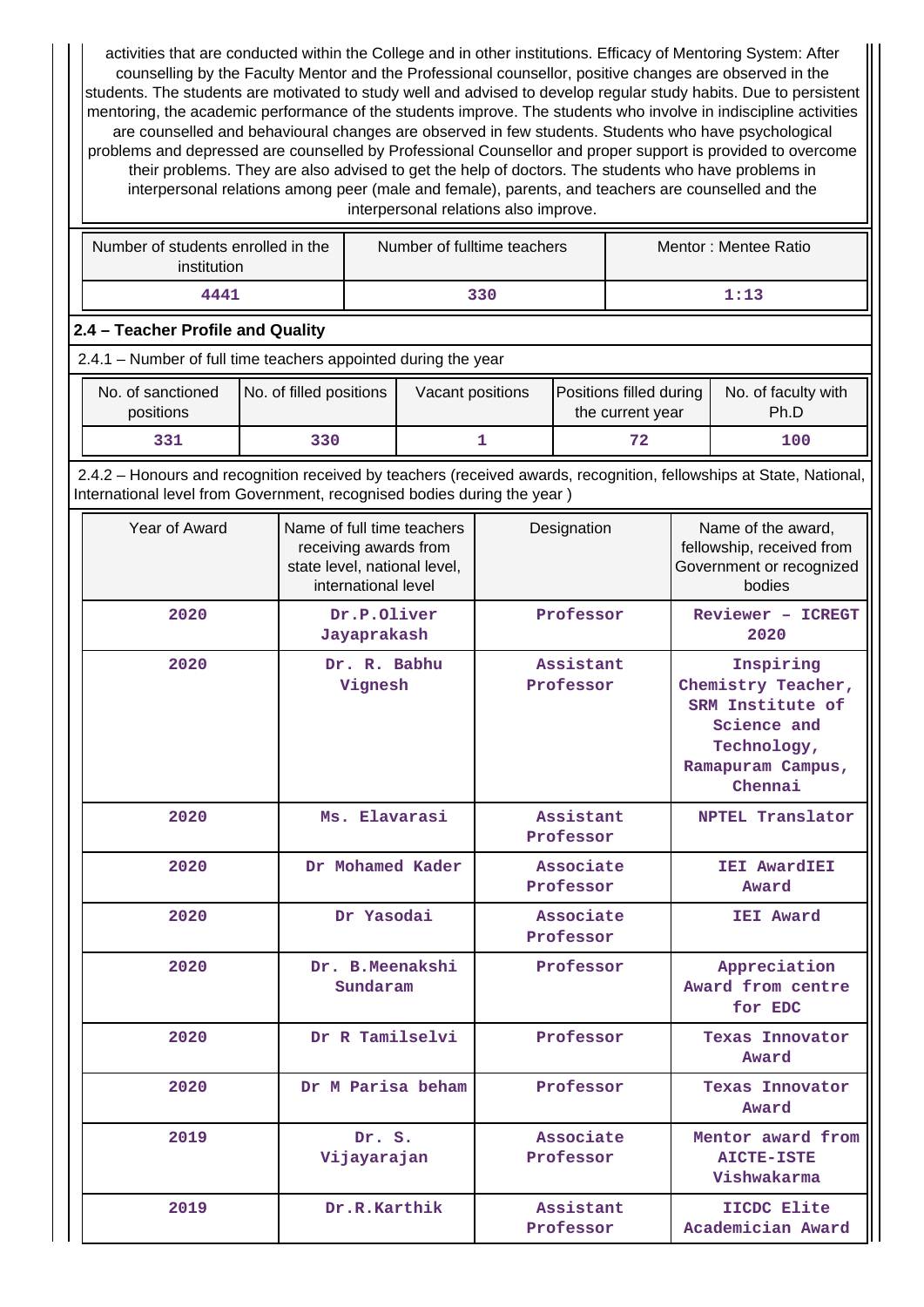activities that are conducted within the College and in other institutions. Efficacy of Mentoring System: After counselling by the Faculty Mentor and the Professional counsellor, positive changes are observed in the students. The students are motivated to study well and advised to develop regular study habits. Due to persistent mentoring, the academic performance of the students improve. The students who involve in indiscipline activities are counselled and behavioural changes are observed in few students. Students who have psychological problems and depressed are counselled by Professional Counsellor and proper support is provided to overcome their problems. They are also advised to get the help of doctors. The students who have problems in interpersonal relations among peer (male and female), parents, and teachers are counselled and the interpersonal relations also improve.

| Number of students enrolled in the<br>institution | Number of fulltime teachers | Mentor: Mentee Ratio |
|---------------------------------------------------|-----------------------------|----------------------|
| 4441                                              | 330                         | 1:13                 |

#### **2.4 – Teacher Profile and Quality**

2.4.1 – Number of full time teachers appointed during the year

| No. of sanctioned<br>positions | No. of filled positions | Vacant positions | <b>Positions filled during</b><br>the current year | No. of faculty with<br>Ph.D |
|--------------------------------|-------------------------|------------------|----------------------------------------------------|-----------------------------|
| 331                            | 330                     |                  | 72                                                 | 100                         |

 2.4.2 – Honours and recognition received by teachers (received awards, recognition, fellowships at State, National, International level from Government, recognised bodies during the year )

| Year of Award | Name of full time teachers<br>receiving awards from<br>state level, national level,<br>international level | Designation            | Name of the award,<br>fellowship, received from<br>Government or recognized<br>bodies                             |
|---------------|------------------------------------------------------------------------------------------------------------|------------------------|-------------------------------------------------------------------------------------------------------------------|
| 2020          | Dr.P.Oliver<br>Jayaprakash                                                                                 | Professor              | Reviewer - ICREGT<br>2020                                                                                         |
| 2020          | Dr. R. Babhu<br>Vignesh                                                                                    | Assistant<br>Professor | Inspiring<br>Chemistry Teacher,<br>SRM Institute of<br>Science and<br>Technology,<br>Ramapuram Campus,<br>Chennai |
| 2020          | Ms. Elavarasi                                                                                              | Assistant<br>Professor | <b>NPTEL Translator</b>                                                                                           |
| 2020          | Dr Mohamed Kader                                                                                           | Associate<br>Professor | <b>IEI AwardIEI</b><br>Award                                                                                      |
| 2020          | Dr Yasodai                                                                                                 | Associate<br>Professor | <b>IEI</b> Award                                                                                                  |
| 2020          | Dr. B.Meenakshi<br>Sundaram                                                                                | Professor              | Appreciation<br>Award from centre<br>for EDC                                                                      |
| 2020          | Dr R Tamilselvi                                                                                            | Professor              | <b>Texas Innovator</b><br>Award                                                                                   |
| 2020          | Dr M Parisa beham                                                                                          | Professor              | <b>Texas Innovator</b><br>Award                                                                                   |
| 2019          | Dr. S.<br>Vijayarajan                                                                                      | Associate<br>Professor | Mentor award from<br><b>AICTE-ISTE</b><br>Vishwakarma                                                             |
| 2019          | Dr.R.Karthik                                                                                               | Assistant<br>Professor | IICDC Elite<br>Academician Award                                                                                  |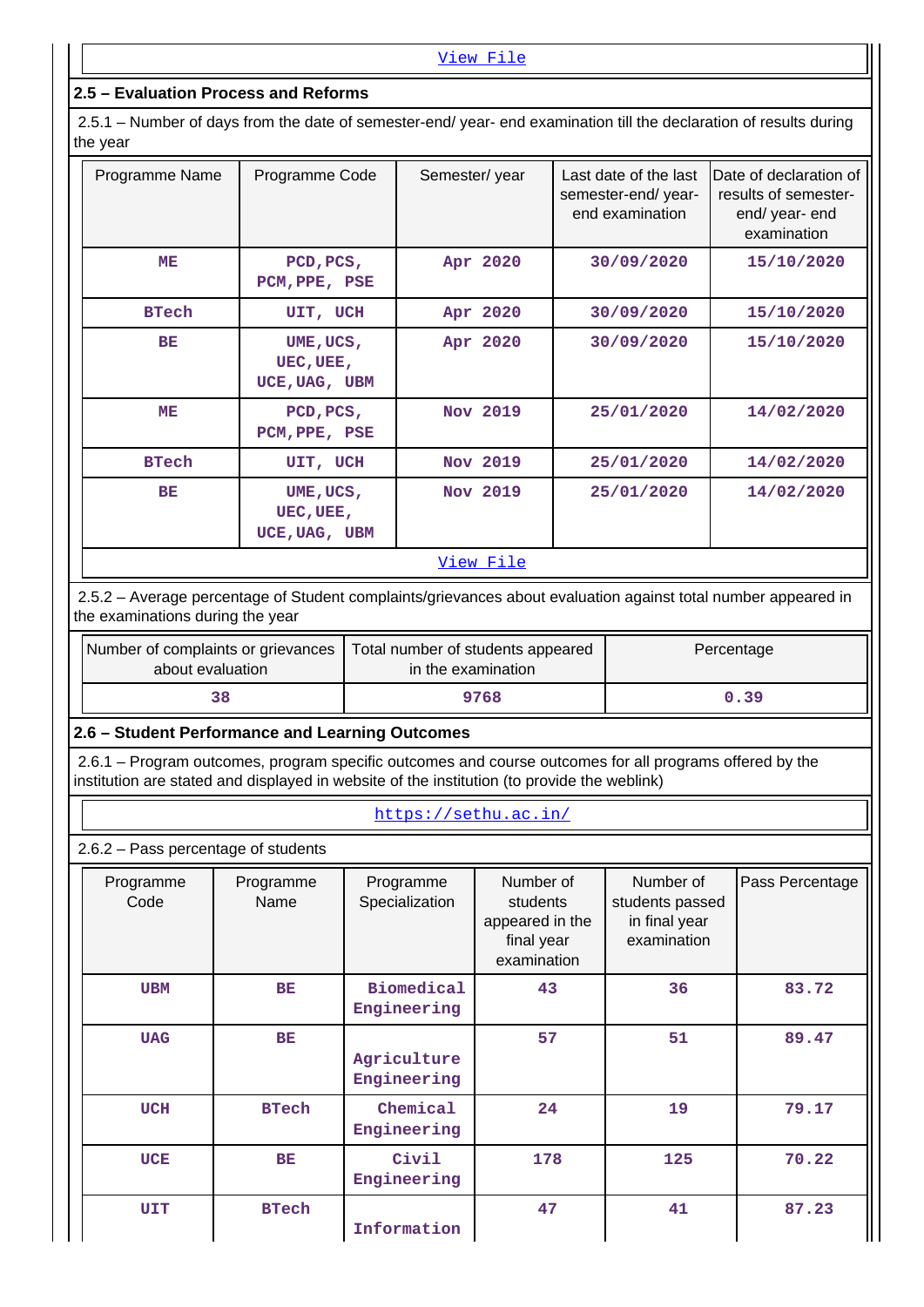#### **2.5 – Evaluation Process and Reforms**

 2.5.1 – Number of days from the date of semester-end/ year- end examination till the declaration of results during the year

| Programme Name | Programme Code                          | Semester/year    | Last date of the last<br>semester-end/year-<br>end examination | Date of declaration of<br>results of semester-<br>end/ year- end<br>examination |
|----------------|-----------------------------------------|------------------|----------------------------------------------------------------|---------------------------------------------------------------------------------|
| ME             | PCD, PCS,<br>PCM, PPE, PSE              | Apr 2020         | 30/09/2020                                                     | 15/10/2020                                                                      |
| <b>BTech</b>   | UIT, UCH                                | Apr 2020         | 30/09/2020                                                     | 15/10/2020                                                                      |
| BE             | UME, UCS,<br>UEC, UEE,<br>UCE, UAG, UBM | Apr 2020         | 30/09/2020                                                     | 15/10/2020                                                                      |
| ME             | PCD, PCS,<br>PCM, PPE, PSE              | Nov 2019         | 25/01/2020                                                     | 14/02/2020                                                                      |
| <b>BTech</b>   | UIT, UCH                                | Nov 2019         | 25/01/2020                                                     | 14/02/2020                                                                      |
| BE             | UME, UCS,<br>UEC, UEE,<br>UCE, UAG, UBM | Nov 2019         | 25/01/2020                                                     | 14/02/2020                                                                      |
|                |                                         | <u>View File</u> |                                                                |                                                                                 |

#### 2.5.2 – Average percentage of Student complaints/grievances about evaluation against total number appeared in the examinations during the year

| Number of complaints or grievances<br>about evaluation | Total number of students appeared<br>in the examination | Percentage |
|--------------------------------------------------------|---------------------------------------------------------|------------|
| 38                                                     | 9768                                                    | 0.39       |

#### **2.6 – Student Performance and Learning Outcomes**

 2.6.1 – Program outcomes, program specific outcomes and course outcomes for all programs offered by the institution are stated and displayed in website of the institution (to provide the weblink)

#### <https://sethu.ac.in/>

2.6.2 – Pass percentage of students

| Programme<br>Code | Programme<br>Name | Programme<br>Specialization      | Number of<br>students<br>appeared in the<br>final year<br>examination | Number of<br>students passed<br>in final year<br>examination | Pass Percentage |
|-------------------|-------------------|----------------------------------|-----------------------------------------------------------------------|--------------------------------------------------------------|-----------------|
| <b>UBM</b>        | BE                | <b>Biomedical</b><br>Engineering | 43                                                                    | 36                                                           | 83.72           |
| <b>UAG</b>        | BE                | Agriculture<br>Engineering       | 57                                                                    | 51                                                           | 89.47           |
| <b>UCH</b>        | <b>BTech</b>      | Chemical<br>Engineering          | 24                                                                    | 19                                                           | 79.17           |
| <b>UCE</b>        | <b>BE</b>         | Civil<br>Engineering             | 178                                                                   | 125                                                          | 70.22           |
| <b>UIT</b>        | <b>BTech</b>      | Information                      | 47                                                                    | 41                                                           | 87.23           |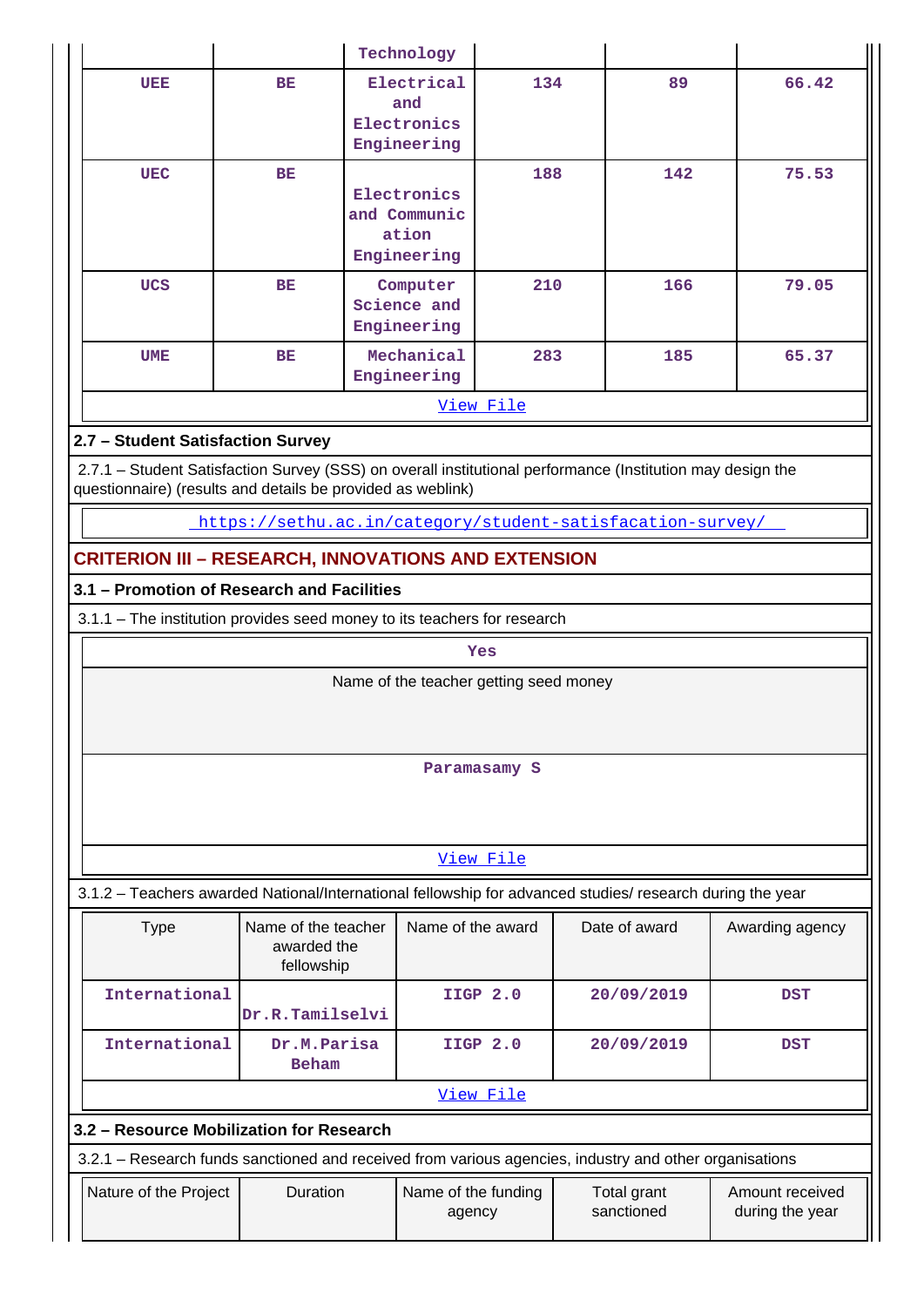|                                                                                                                                                                           |                                                                                                           | Technology                                          |                 |                           |     |                                    |  |  |  |  |
|---------------------------------------------------------------------------------------------------------------------------------------------------------------------------|-----------------------------------------------------------------------------------------------------------|-----------------------------------------------------|-----------------|---------------------------|-----|------------------------------------|--|--|--|--|
| UEE                                                                                                                                                                       | <b>BE</b>                                                                                                 | Electrical<br>and<br>Electronics<br>Engineering     | 134             |                           | 89  | 66.42                              |  |  |  |  |
| <b>UEC</b>                                                                                                                                                                | <b>BE</b>                                                                                                 | Electronics<br>and Communic<br>ation<br>Engineering | 188             |                           | 142 | 75.53                              |  |  |  |  |
| <b>UCS</b>                                                                                                                                                                | ВE                                                                                                        | Computer<br>Science and<br>Engineering              | 210             |                           | 166 | 79.05                              |  |  |  |  |
| <b>UME</b>                                                                                                                                                                | BE                                                                                                        | Mechanical<br>Engineering                           | 283             |                           | 185 | 65.37                              |  |  |  |  |
| View File                                                                                                                                                                 |                                                                                                           |                                                     |                 |                           |     |                                    |  |  |  |  |
| 2.7 - Student Satisfaction Survey                                                                                                                                         |                                                                                                           |                                                     |                 |                           |     |                                    |  |  |  |  |
| 2.7.1 - Student Satisfaction Survey (SSS) on overall institutional performance (Institution may design the<br>questionnaire) (results and details be provided as weblink) |                                                                                                           |                                                     |                 |                           |     |                                    |  |  |  |  |
|                                                                                                                                                                           | https://sethu.ac.in/category/student-satisfacation-survey/                                                |                                                     |                 |                           |     |                                    |  |  |  |  |
|                                                                                                                                                                           | <b>CRITERION III - RESEARCH, INNOVATIONS AND EXTENSION</b>                                                |                                                     |                 |                           |     |                                    |  |  |  |  |
|                                                                                                                                                                           | 3.1 - Promotion of Research and Facilities                                                                |                                                     |                 |                           |     |                                    |  |  |  |  |
|                                                                                                                                                                           |                                                                                                           |                                                     |                 |                           |     |                                    |  |  |  |  |
| 3.1.1 - The institution provides seed money to its teachers for research                                                                                                  |                                                                                                           |                                                     |                 |                           |     |                                    |  |  |  |  |
| Yes                                                                                                                                                                       |                                                                                                           |                                                     |                 |                           |     |                                    |  |  |  |  |
|                                                                                                                                                                           |                                                                                                           | Name of the teacher getting seed money              |                 |                           |     |                                    |  |  |  |  |
|                                                                                                                                                                           |                                                                                                           |                                                     | Paramasamy S    |                           |     |                                    |  |  |  |  |
|                                                                                                                                                                           |                                                                                                           |                                                     | View File       |                           |     |                                    |  |  |  |  |
|                                                                                                                                                                           | 3.1.2 - Teachers awarded National/International fellowship for advanced studies/ research during the year |                                                     |                 |                           |     |                                    |  |  |  |  |
| <b>Type</b>                                                                                                                                                               | Name of the teacher<br>awarded the<br>fellowship                                                          | Name of the award                                   |                 | Date of award             |     | Awarding agency                    |  |  |  |  |
| International                                                                                                                                                             | Dr.R.Tamilselvi                                                                                           |                                                     | <b>IIGP 2.0</b> | 20/09/2019                |     | <b>DST</b>                         |  |  |  |  |
| International                                                                                                                                                             | Dr.M.Parisa<br><b>Beham</b>                                                                               |                                                     | <b>IIGP 2.0</b> | 20/09/2019                |     | <b>DST</b>                         |  |  |  |  |
|                                                                                                                                                                           |                                                                                                           |                                                     | View File       |                           |     |                                    |  |  |  |  |
|                                                                                                                                                                           | 3.2 - Resource Mobilization for Research                                                                  |                                                     |                 |                           |     |                                    |  |  |  |  |
|                                                                                                                                                                           | 3.2.1 - Research funds sanctioned and received from various agencies, industry and other organisations    |                                                     |                 |                           |     |                                    |  |  |  |  |
| Nature of the Project                                                                                                                                                     | <b>Duration</b>                                                                                           | Name of the funding<br>agency                       |                 | Total grant<br>sanctioned |     | Amount received<br>during the year |  |  |  |  |
|                                                                                                                                                                           |                                                                                                           |                                                     |                 |                           |     |                                    |  |  |  |  |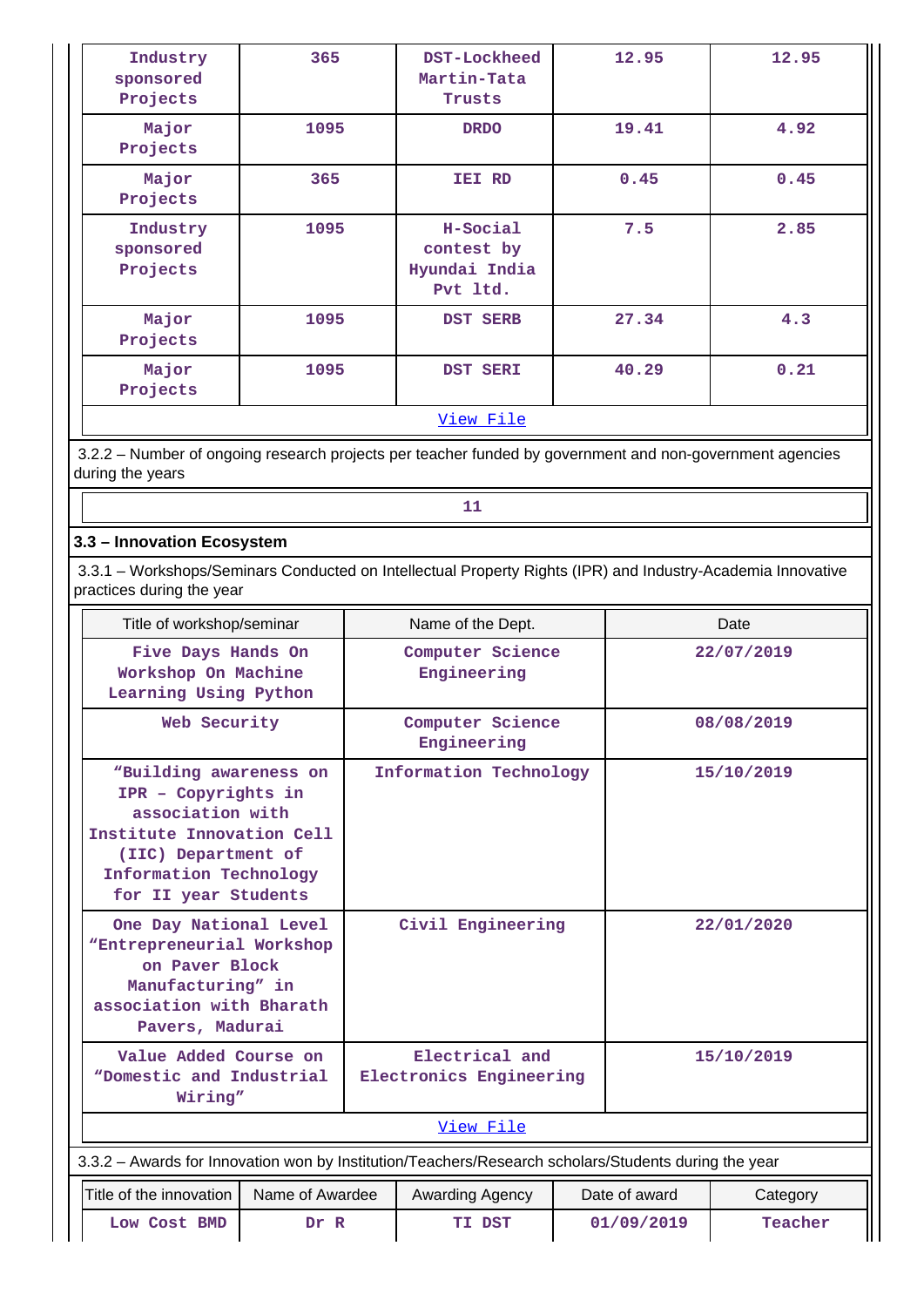| Industry<br>sponsored<br>Projects | 365  | DST-Lockheed<br>Martin-Tata<br>Trusts               | 12.95 | 12.95 |
|-----------------------------------|------|-----------------------------------------------------|-------|-------|
| Major<br>Projects                 | 1095 | <b>DRDO</b>                                         | 19.41 | 4.92  |
| Major<br>Projects                 | 365  | IEI RD                                              | 0.45  |       |
| Industry<br>sponsored<br>Projects | 1095 | H-Social<br>contest by<br>Hyundai India<br>Pvt ltd. | 7.5   | 2.85  |
| Major<br>Projects                 | 1095 | DST SERB                                            | 27.34 | 4.3   |
| Major<br>Projects                 | 1095 | DST SERI                                            | 40.29 | 0.21  |
|                                   |      | View File                                           |       |       |

 3.2.2 – Number of ongoing research projects per teacher funded by government and non-government agencies during the years

#### **3.3 – Innovation Ecosystem**

 3.3.1 – Workshops/Seminars Conducted on Intellectual Property Rights (IPR) and Industry-Academia Innovative practices during the year

| Title of workshop/seminar                                                                                                                                               |                 | Name of the Dept.                         |                        |            | Date                      |            |  |
|-------------------------------------------------------------------------------------------------------------------------------------------------------------------------|-----------------|-------------------------------------------|------------------------|------------|---------------------------|------------|--|
| Five Days Hands On<br>Workshop On Machine<br>Learning Using Python                                                                                                      |                 | Computer Science<br>Engineering           |                        |            | 22/07/2019                |            |  |
| Web Security                                                                                                                                                            |                 | Computer Science<br>Engineering           |                        |            | 08/08/2019                |            |  |
| "Building awareness on<br>IPR - Copyrights in<br>association with<br>Institute Innovation Cell<br>(IIC) Department of<br>Information Technology<br>for II year Students |                 |                                           | Information Technology |            |                           | 15/10/2019 |  |
| One Day National Level<br>"Entrepreneurial Workshop<br>on Paver Block<br>Manufacturing" in<br>association with Bharath<br>Pavers, Madurai                               |                 |                                           | Civil Engineering      |            | 22/01/2020                |            |  |
| Value Added Course on<br>"Domestic and Industrial<br>Wiring"                                                                                                            |                 | Electrical and<br>Electronics Engineering |                        |            | 15/10/2019                |            |  |
|                                                                                                                                                                         |                 |                                           | View File              |            |                           |            |  |
| 3.3.2 - Awards for Innovation won by Institution/Teachers/Research scholars/Students during the year                                                                    |                 |                                           |                        |            |                           |            |  |
| Title of the innovation                                                                                                                                                 | Name of Awardee |                                           | Awarding Agency        |            | Date of award<br>Category |            |  |
| Low Cost BMD                                                                                                                                                            | Dr R            | TI DST                                    |                        | 01/09/2019 | Teacher                   |            |  |

**11**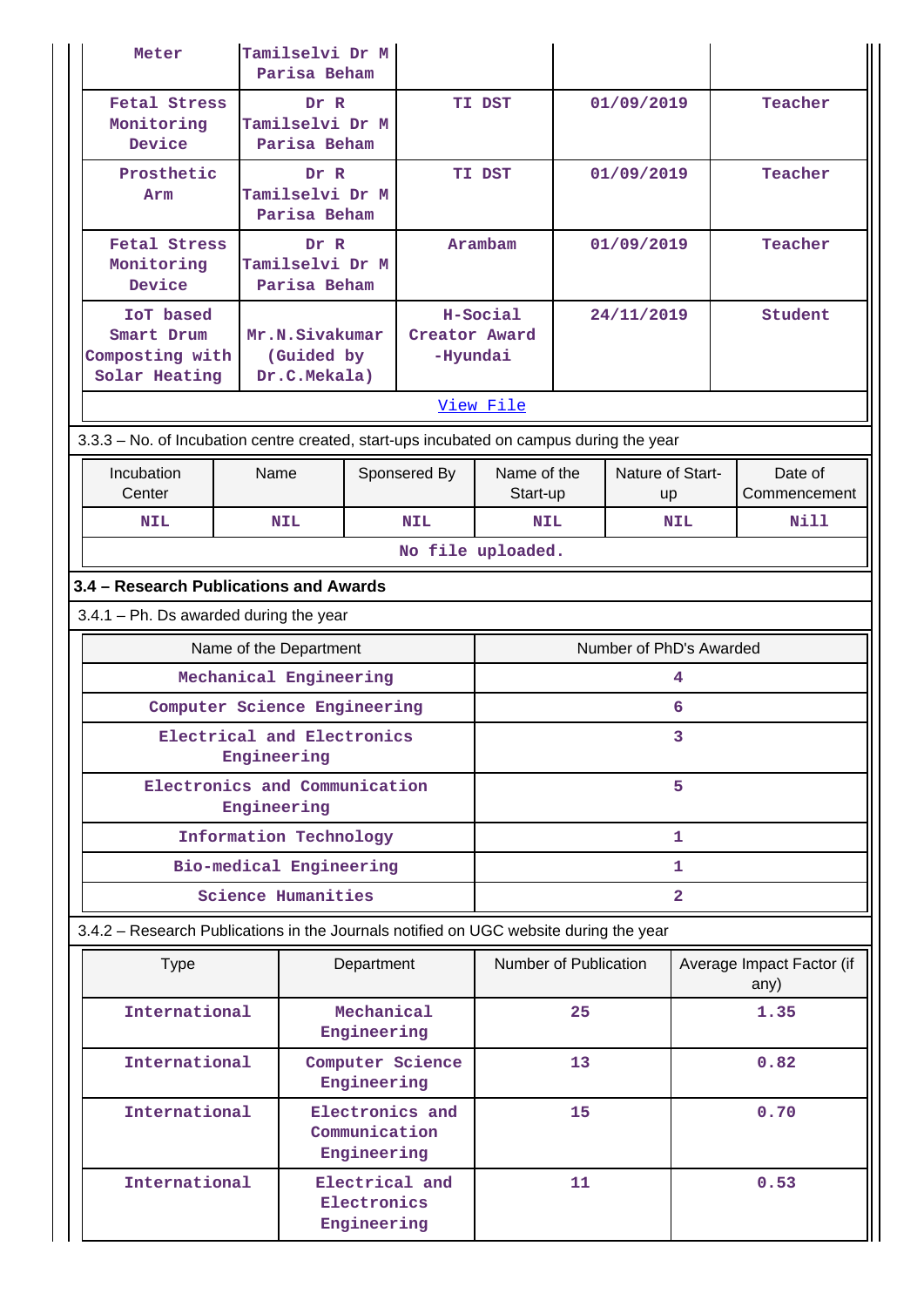| Meter                                                                                   | Tamilselvi Dr M<br>Parisa Beham              |                                                 |                           |                         |            |                         |                |                                   |  |
|-----------------------------------------------------------------------------------------|----------------------------------------------|-------------------------------------------------|---------------------------|-------------------------|------------|-------------------------|----------------|-----------------------------------|--|
| <b>Fetal Stress</b><br>Monitoring<br>Device                                             |                                              | Dr R<br>Tamilselvi Dr M<br>Parisa Beham         |                           | TI DST<br>01/09/2019    |            |                         |                | Teacher                           |  |
| Prosthetic<br>Arm                                                                       | Dr R<br>Tamilselvi Dr M<br>Parisa Beham      |                                                 |                           | TI DST                  |            | 01/09/2019              |                | Teacher                           |  |
| <b>Fetal Stress</b><br>Monitoring<br>Device                                             |                                              | Dr R<br>Tamilselvi Dr M<br>Parisa Beham         |                           | Arambam                 |            | 01/09/2019              |                | Teacher                           |  |
| IoT based<br>Smart Drum<br>Composting with<br>Solar Heating                             |                                              | Mr.N.Sivakumar<br>(Guided by<br>Dr.C.Mekala)    | Creator Award<br>-Hyundai | H-Social<br>View File   | 24/11/2019 |                         |                | Student                           |  |
| 3.3.3 - No. of Incubation centre created, start-ups incubated on campus during the year |                                              |                                                 |                           |                         |            |                         |                |                                   |  |
| Incubation<br>Center                                                                    | Name                                         |                                                 | Sponsered By              | Name of the<br>Start-up |            | Nature of Start-<br>up  |                | Date of<br>Commencement           |  |
| <b>NIL</b>                                                                              | <b>NIL</b>                                   |                                                 | <b>NIL</b>                | <b>NIL</b>              |            |                         | <b>NIL</b>     | Nill                              |  |
| No file uploaded.                                                                       |                                              |                                                 |                           |                         |            |                         |                |                                   |  |
| 3.4 - Research Publications and Awards                                                  |                                              |                                                 |                           |                         |            |                         |                |                                   |  |
| $3.4.1$ – Ph. Ds awarded during the year                                                | Name of the Department                       |                                                 |                           |                         |            | Number of PhD's Awarded |                |                                   |  |
|                                                                                         | Mechanical Engineering                       |                                                 |                           |                         |            |                         | 4              |                                   |  |
|                                                                                         | Computer Science Engineering                 |                                                 |                           |                         |            |                         | 6              |                                   |  |
|                                                                                         | Electrical and Electronics<br>Engineering    |                                                 |                           |                         |            |                         |                |                                   |  |
|                                                                                         | Electronics and Communication<br>Engineering |                                                 |                           | 5                       |            |                         |                |                                   |  |
|                                                                                         | Information Technology                       |                                                 |                           | 1                       |            |                         |                |                                   |  |
|                                                                                         | Bio-medical Engineering                      |                                                 |                           | 1.                      |            |                         |                |                                   |  |
|                                                                                         | <b>Science Humanities</b>                    |                                                 |                           |                         |            |                         | $\overline{2}$ |                                   |  |
| 3.4.2 - Research Publications in the Journals notified on UGC website during the year   |                                              |                                                 |                           |                         |            |                         |                |                                   |  |
| <b>Type</b>                                                                             |                                              | Department                                      |                           | Number of Publication   |            |                         |                | Average Impact Factor (if<br>any) |  |
| International                                                                           |                                              | Mechanical<br>Engineering                       |                           |                         | 25         |                         |                | 1.35                              |  |
| International                                                                           |                                              | Computer Science<br>Engineering                 |                           |                         | 13         |                         |                | 0.82                              |  |
| International                                                                           |                                              | Electronics and<br>Communication<br>Engineering |                           |                         | 15         |                         | 0.70           |                                   |  |
| International                                                                           |                                              | Electrical and<br>Electronics<br>Engineering    |                           |                         | 11         |                         |                | 0.53                              |  |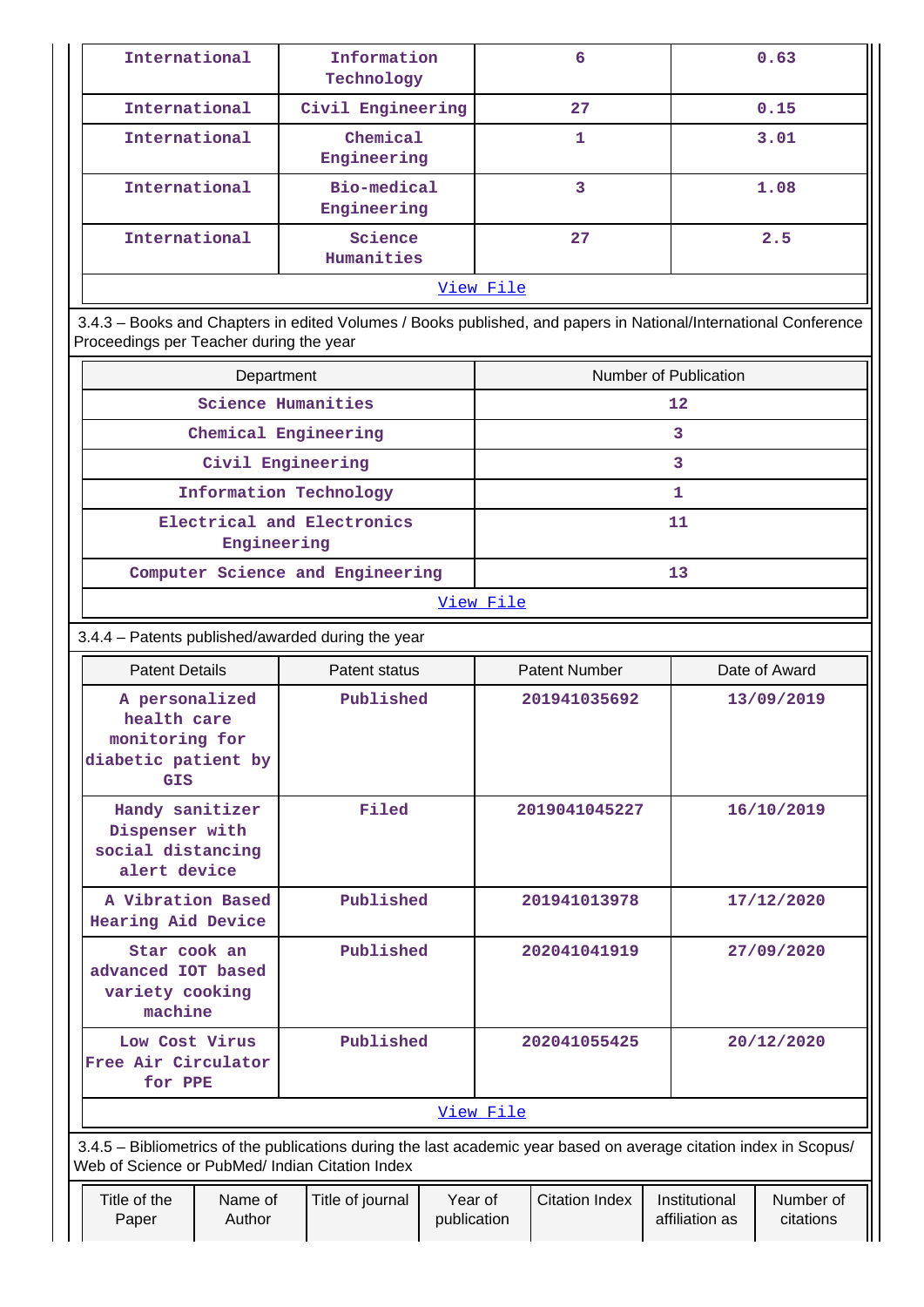| International                          | Information<br>Technology                                                                                                                                                         | 6  | 0.63                                                                             |  |  |  |  |  |
|----------------------------------------|-----------------------------------------------------------------------------------------------------------------------------------------------------------------------------------|----|----------------------------------------------------------------------------------|--|--|--|--|--|
| International                          | Civil Engineering                                                                                                                                                                 | 27 |                                                                                  |  |  |  |  |  |
| International                          | Chemical<br>Engineering                                                                                                                                                           |    | 3.01                                                                             |  |  |  |  |  |
| International                          | Bio-medical<br>Engineering                                                                                                                                                        | 3  | 1.08                                                                             |  |  |  |  |  |
| International<br>Science<br>Humanities |                                                                                                                                                                                   | 27 | 2.5                                                                              |  |  |  |  |  |
|                                        | View File                                                                                                                                                                         |    |                                                                                  |  |  |  |  |  |
| $\sim$ $\sim$                          | $\mathbf{r}$ , $\mathbf{r}$ , $\mathbf{r}$ , $\mathbf{r}$ , $\mathbf{r}$ , $\mathbf{r}$ , $\mathbf{r}$ , $\mathbf{r}$ , $\mathbf{r}$ , $\mathbf{r}$ , $\mathbf{r}$ , $\mathbf{r}$ |    | $\mathbf{r}$ and $\mathbf{r}$ and $\mathbf{r}$ and $\mathbf{r}$ and $\mathbf{r}$ |  |  |  |  |  |

 3.4.3 – Books and Chapters in edited Volumes / Books published, and papers in National/International Conference Proceedings per Teacher during the year

| Department                                | Number of Publication |  |  |  |  |
|-------------------------------------------|-----------------------|--|--|--|--|
| Science Humanities                        | 12                    |  |  |  |  |
| Chemical Engineering                      |                       |  |  |  |  |
| Civil Engineering                         | ٦                     |  |  |  |  |
| Information Technology                    |                       |  |  |  |  |
| Electrical and Electronics<br>Engineering | 11                    |  |  |  |  |
| Computer Science and Engineering          |                       |  |  |  |  |

[View File](https://assessmentonline.naac.gov.in/public/Postacc/Books_and_Chapters/11242_Books_and_Chapters_1630076938.xlsx)

# 3.4.4 – Patents published/awarded during the year

| <b>Patent Details</b>                                                                                                                                                 |                                                                                          | Patent status |                                 |                        | <b>Patent Number</b> |  | Date of Award |  |  |
|-----------------------------------------------------------------------------------------------------------------------------------------------------------------------|------------------------------------------------------------------------------------------|---------------|---------------------------------|------------------------|----------------------|--|---------------|--|--|
| A personalized<br>health care<br>monitoring for<br>diabetic patient by<br><b>GIS</b>                                                                                  |                                                                                          | Published     |                                 |                        | 201941035692         |  | 13/09/2019    |  |  |
| Handy sanitizer<br>Dispenser with<br>social distancing<br>alert device                                                                                                |                                                                                          | Filed         |                                 |                        | 2019041045227        |  | 16/10/2019    |  |  |
| A Vibration Based<br>Hearing Aid Device                                                                                                                               |                                                                                          | Published     |                                 |                        | 201941013978         |  | 17/12/2020    |  |  |
| Star cook an<br>advanced IOT based<br>variety cooking<br>machine                                                                                                      |                                                                                          | Published     |                                 | 202041041919           |                      |  | 27/09/2020    |  |  |
| Low Cost Virus<br>Free Air Circulator<br>for PPE                                                                                                                      |                                                                                          |               | Published                       |                        | 202041055425         |  | 20/12/2020    |  |  |
|                                                                                                                                                                       |                                                                                          |               |                                 | View File              |                      |  |               |  |  |
| 3.4.5 - Bibliometrics of the publications during the last academic year based on average citation index in Scopus/<br>Web of Science or PubMed/ Indian Citation Index |                                                                                          |               |                                 |                        |                      |  |               |  |  |
| Title of the<br>Paper                                                                                                                                                 | Year of<br><b>Citation Index</b><br>Name of<br>Title of journal<br>Author<br>publication |               | Institutional<br>affiliation as | Number of<br>citations |                      |  |               |  |  |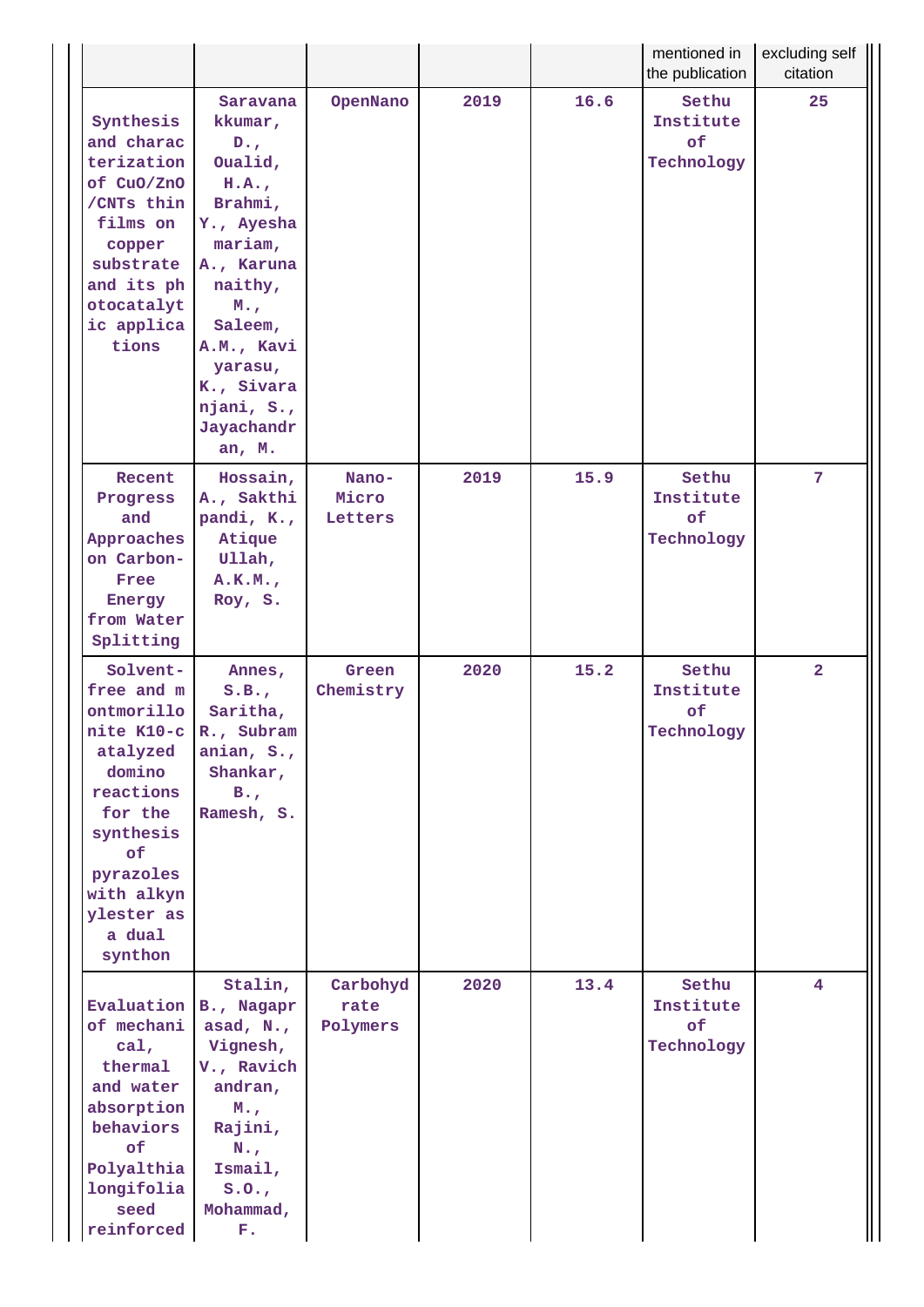|                                                                                                                                                                                              |                                                                                                                                                                                                                     |                              |      |      | mentioned in<br>the publication        | excluding self<br>citation |
|----------------------------------------------------------------------------------------------------------------------------------------------------------------------------------------------|---------------------------------------------------------------------------------------------------------------------------------------------------------------------------------------------------------------------|------------------------------|------|------|----------------------------------------|----------------------------|
| Synthesis<br>and charac<br>terization<br>of CuO/ZnO<br>/CNTs thin<br>films on<br>copper<br>substrate<br>and its ph<br>otocatalyt<br>ic applica<br>tions                                      | Saravana<br>kkumar,<br>$D_{\bullet}$<br>Oualid,<br>H.A.<br>Brahmi,<br>Y., Ayesha<br>mariam,<br>A., Karuna<br>naithy,<br>M.,<br>Saleem,<br>A.M., Kavi<br>yarasu,<br>K., Sivara<br>njani, S.,<br>Jayachandr<br>an, M. | OpenNano                     | 2019 | 16.6 | Sethu<br>Institute<br>of<br>Technology | 25                         |
| Recent<br>Progress<br>and<br>Approaches<br>on Carbon-<br>Free<br>Energy<br>from Water<br>Splitting                                                                                           | Hossain,<br>A., Sakthi<br>pandi, K.,<br>Atique<br>Ullah,<br>A.K.M.,<br>Roy, S.                                                                                                                                      | Nano-<br>Micro<br>Letters    | 2019 | 15.9 | Sethu<br>Institute<br>of<br>Technology | 7                          |
| Solvent-<br>free and m<br>ontmorillo<br>nite K10-c R., Subram<br>atalyzed<br>domino<br>reactions<br>for the<br>synthesis<br>of<br>pyrazoles<br>with alkyn<br>ylester as<br>a dual<br>synthon | Annes,<br>S.B.,<br>Saritha,<br>anian, S.,<br>Shankar,<br>$B_{\bullet}$<br>Ramesh, S.                                                                                                                                | Green<br>Chemistry           | 2020 | 15.2 | Sethu<br>Institute<br>of<br>Technology | $\overline{2}$             |
| Evaluation<br>of mechani<br>$cal$ ,<br>thermal<br>and water<br>absorption<br>behaviors<br>of<br>Polyalthia<br>longifolia<br>seed<br>reinforced                                               | Stalin,<br>B., Nagapr<br>asad, N.,<br>Vignesh,<br>V., Ravich<br>andran,<br>$M_{\odot}$<br>Rajini,<br>$N_{\cdot}$<br>Ismail,<br>S.0.7<br>Mohammad,<br>F.                                                             | Carbohyd<br>rate<br>Polymers | 2020 | 13.4 | Sethu<br>Institute<br>of<br>Technology | 4                          |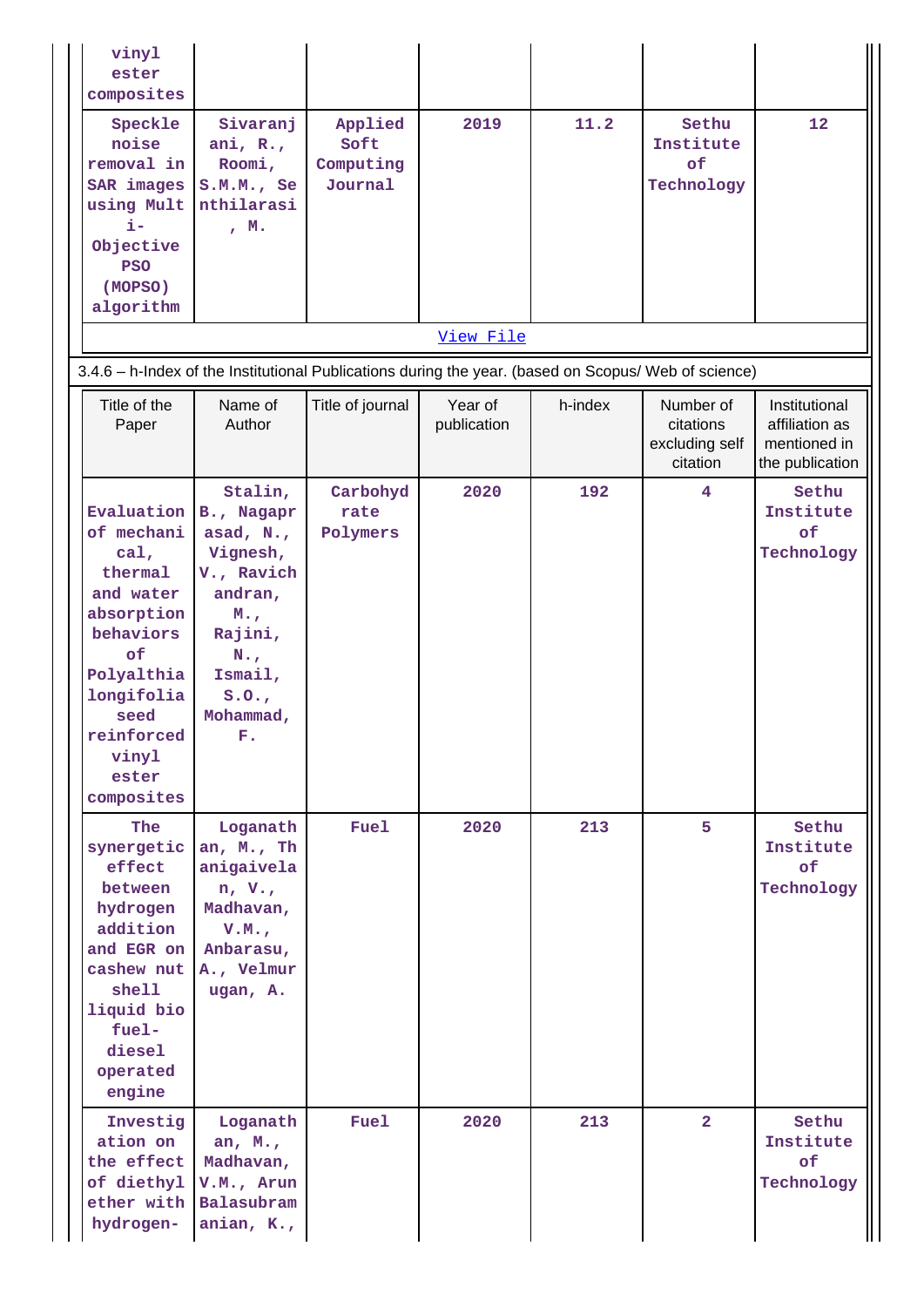|                                                                                                      | vinyl<br>ester<br>composites                                                                                                                                                   |                                                                                                                                                   |                                         |                        |         |                                                      |                                                                    |  |  |  |
|------------------------------------------------------------------------------------------------------|--------------------------------------------------------------------------------------------------------------------------------------------------------------------------------|---------------------------------------------------------------------------------------------------------------------------------------------------|-----------------------------------------|------------------------|---------|------------------------------------------------------|--------------------------------------------------------------------|--|--|--|
|                                                                                                      | Speckle<br>noise<br>removal in<br>SAR images<br>using Mult<br>i-<br>Objective<br><b>PSO</b><br>(MOPSO)<br>algorithm                                                            | Sivaranj<br>ani, $R_{\star}$ ,<br>Roomi,<br>S.M.M., Se<br>nthilarasi<br>, M.                                                                      | Applied<br>Soft<br>Computing<br>Journal | 2019                   | 11.2    | Sethu<br>Institute<br>of<br>Technology               | 12                                                                 |  |  |  |
|                                                                                                      |                                                                                                                                                                                |                                                                                                                                                   |                                         | View File              |         |                                                      |                                                                    |  |  |  |
| 3.4.6 - h-Index of the Institutional Publications during the year. (based on Scopus/ Web of science) |                                                                                                                                                                                |                                                                                                                                                   |                                         |                        |         |                                                      |                                                                    |  |  |  |
|                                                                                                      | Title of the<br>Paper                                                                                                                                                          | Name of<br>Author                                                                                                                                 | Title of journal                        | Year of<br>publication | h-index | Number of<br>citations<br>excluding self<br>citation | Institutional<br>affiliation as<br>mentioned in<br>the publication |  |  |  |
|                                                                                                      | Evaluation<br>of mechani<br>$cal$ ,<br>thermal<br>and water<br>absorption<br>behaviors<br>of<br>Polyalthia<br>longifolia<br>seed<br>reinforced<br>vinyl<br>ester<br>composites | Stalin,<br>B., Nagapr<br>asad, N.,<br>Vignesh,<br>V., Ravich<br>andran,<br>M.,<br>Rajini,<br>$N_{\star}$ ,<br>Ismail,<br>S.0.7<br>Mohammad,<br>F. | Carbohyd<br>rate<br>Polymers            | 2020                   | 192     | $\overline{\mathbf{4}}$                              | Sethu<br>Institute<br>оf<br>Technology                             |  |  |  |
|                                                                                                      | <b>The</b><br>synergetic<br>effect<br>between<br>hydrogen<br>addition<br>and EGR on<br>cashew nut<br>shell<br>liquid bio<br>fuel-<br>diesel<br>operated<br>engine              | Loganath<br>an, M., Th<br>anigaivela<br>n, V, R<br>Madhavan,<br>V.M.<br>Anbarasu,<br>A., Velmur<br>ugan, A.                                       | <b>Fuel</b>                             | 2020                   | 213     | 5                                                    | Sethu<br>Institute<br>of<br>Technology                             |  |  |  |
|                                                                                                      | Investig<br>ation on<br>the effect<br>of diethyl<br>ether with<br>hydrogen-                                                                                                    | Loganath<br>an, $M_{\star}$ ,<br>Madhavan,<br>V.M., Arun<br>Balasubram<br>anian, K.,                                                              | <b>Fuel</b>                             | 2020                   | 213     | $\overline{2}$                                       | Sethu<br>Institute<br>of<br>Technology                             |  |  |  |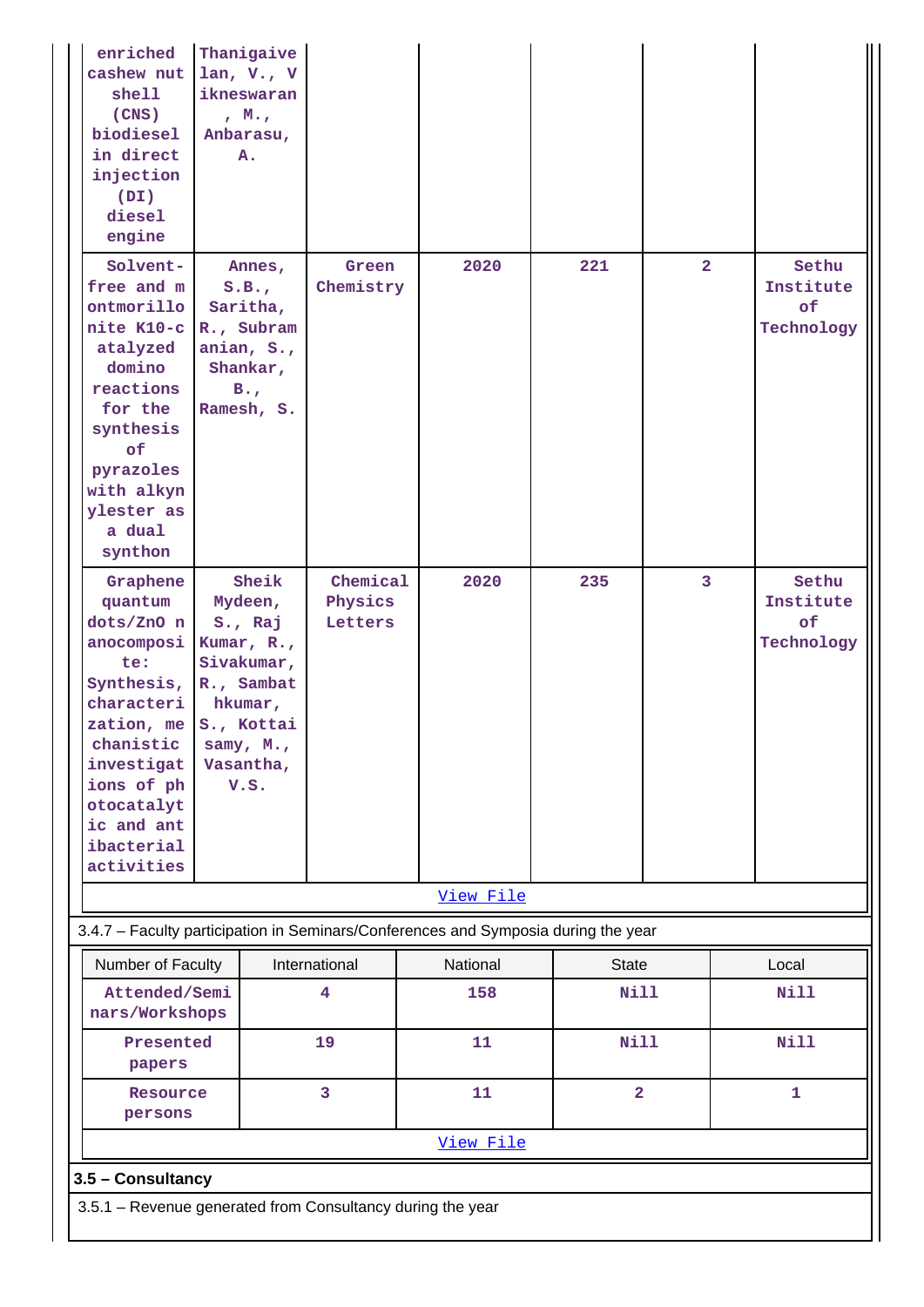| enriched<br>cashew nut<br>shell<br>(CNS)<br>biodiesel<br>in direct<br>injection<br>(DI)<br>diesel<br>engine                                                                                       | Thanigaive<br>lan, $V \cdot$ , $V$<br>ikneswaran<br>, M.,<br>Anbarasu,<br>A.                                                     |                                |                                                                                    |                         |                |                                               |  |
|---------------------------------------------------------------------------------------------------------------------------------------------------------------------------------------------------|----------------------------------------------------------------------------------------------------------------------------------|--------------------------------|------------------------------------------------------------------------------------|-------------------------|----------------|-----------------------------------------------|--|
| Solvent-<br>free and m<br>ontmorillo<br>nite K10-c<br>atalyzed<br>domino<br>reactions<br>for the<br>synthesis<br>of<br>pyrazoles<br>with alkyn<br>ylester as<br>a dual<br>synthon                 | Annes,<br>S.B.,<br>Saritha,<br>R., Subram<br>anian, S.,<br>Shankar,<br>$B_{\bullet}$<br>Ramesh, S.                               | Green<br>Chemistry             | 2020                                                                               | 221                     | $\overline{2}$ | Sethu<br>Institute<br>of<br>Technology        |  |
| Graphene<br>quantum<br>dots/ZnO n<br>anocomposi<br>te:<br>Synthesis,<br>characteri<br>zation, me<br>chanistic<br>investigat<br>ions of ph<br>otocatalyt<br>ic and ant<br>ibacterial<br>activities | Sheik<br>Mydeen,<br>S., Raj<br>Kumar, R.,<br>Sivakumar,<br>R., Sambat<br>hkumar,<br>S., Kottai<br>samy, M.,<br>Vasantha,<br>V.S. | Chemical<br>Physics<br>Letters | 2020                                                                               | 235                     | 3              | Sethu<br>Institute<br><b>of</b><br>Technology |  |
|                                                                                                                                                                                                   |                                                                                                                                  |                                | View File                                                                          |                         |                |                                               |  |
|                                                                                                                                                                                                   |                                                                                                                                  |                                | 3.4.7 - Faculty participation in Seminars/Conferences and Symposia during the year |                         |                |                                               |  |
| Number of Faculty                                                                                                                                                                                 |                                                                                                                                  | International                  | National                                                                           | <b>State</b>            |                | Local                                         |  |
| Attended/Semi<br>nars/Workshops                                                                                                                                                                   |                                                                                                                                  | 4                              | 158                                                                                | <b>Nill</b>             |                | Nill                                          |  |
| Presented<br>papers                                                                                                                                                                               |                                                                                                                                  | 19                             | 11                                                                                 | <b>Nill</b>             |                | Nill                                          |  |
| Resource<br>persons                                                                                                                                                                               |                                                                                                                                  | 3                              | 11                                                                                 | $\overline{\mathbf{2}}$ |                | $\mathbf{1}$                                  |  |
|                                                                                                                                                                                                   |                                                                                                                                  |                                | View File                                                                          |                         |                |                                               |  |
| 3.5 - Consultancy                                                                                                                                                                                 |                                                                                                                                  |                                |                                                                                    |                         |                |                                               |  |
| 3.5.1 - Revenue generated from Consultancy during the year                                                                                                                                        |                                                                                                                                  |                                |                                                                                    |                         |                |                                               |  |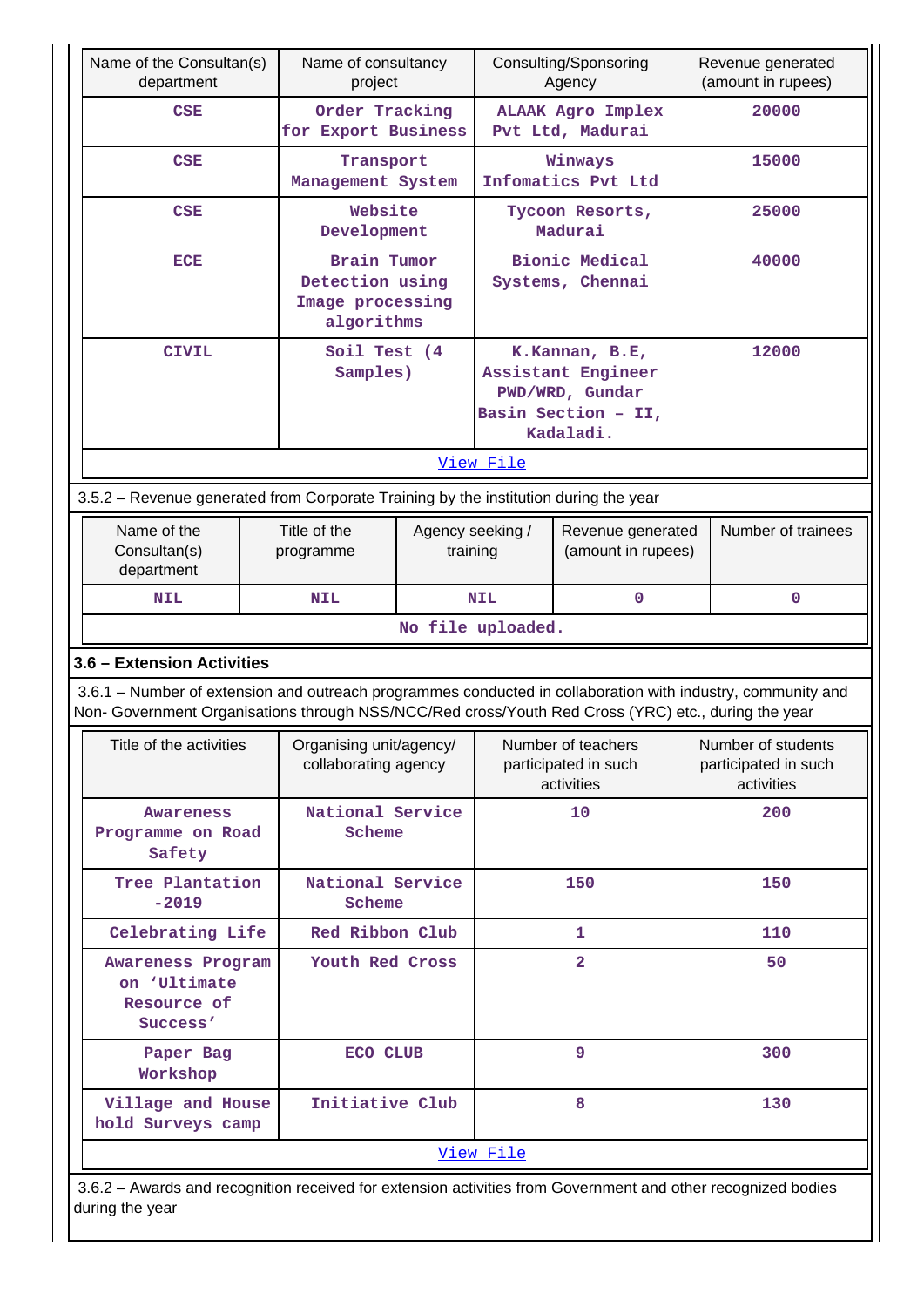|                                                                                      | Name of the Consultan(s)<br>department                                                                                                                                                                             |                                          |                                                                  | Name of consultancy<br>project |                                                          | Consulting/Sponsoring<br>Agency                                                             | Revenue generated<br>(amount in rupees)                  |                    |
|--------------------------------------------------------------------------------------|--------------------------------------------------------------------------------------------------------------------------------------------------------------------------------------------------------------------|------------------------------------------|------------------------------------------------------------------|--------------------------------|----------------------------------------------------------|---------------------------------------------------------------------------------------------|----------------------------------------------------------|--------------------|
|                                                                                      | <b>CSE</b>                                                                                                                                                                                                         |                                          | Order Tracking<br>for Export Business                            |                                |                                                          | <b>ALAAK Agro Implex</b><br>Pvt Ltd, Madurai                                                |                                                          | 20000              |
|                                                                                      | <b>CSE</b>                                                                                                                                                                                                         | Transport<br>Management System           |                                                                  |                                | Winways<br>Infomatics Pvt Ltd                            |                                                                                             | 15000                                                    |                    |
|                                                                                      | <b>CSE</b>                                                                                                                                                                                                         |                                          | Website<br>Development                                           |                                |                                                          | Tycoon Resorts,<br>Madurai                                                                  |                                                          | 25000              |
|                                                                                      | ECE                                                                                                                                                                                                                |                                          | Brain Tumor<br>Detection using<br>Image processing<br>algorithms |                                | <b>Bionic Medical</b><br>Systems, Chennai                |                                                                                             | 40000                                                    |                    |
|                                                                                      | <b>CIVIL</b>                                                                                                                                                                                                       |                                          | Soil Test (4)<br>Samples)                                        |                                |                                                          | K.Kannan, B.E,<br>Assistant Engineer<br>PWD/WRD, Gundar<br>Basin Section - II,<br>Kadaladi. |                                                          | 12000              |
|                                                                                      |                                                                                                                                                                                                                    |                                          |                                                                  |                                | View File                                                |                                                                                             |                                                          |                    |
| 3.5.2 – Revenue generated from Corporate Training by the institution during the year |                                                                                                                                                                                                                    |                                          |                                                                  |                                |                                                          |                                                                                             |                                                          |                    |
|                                                                                      | Name of the<br>Consultan(s)<br>department                                                                                                                                                                          | Title of the<br>programme                |                                                                  | Agency seeking /<br>training   |                                                          | Revenue generated<br>(amount in rupees)                                                     |                                                          | Number of trainees |
|                                                                                      | <b>NIL</b>                                                                                                                                                                                                         | $\mathbf{0}$<br><b>NIL</b><br><b>NIL</b> |                                                                  |                                |                                                          | $\mathbf 0$                                                                                 |                                                          |                    |
|                                                                                      |                                                                                                                                                                                                                    |                                          |                                                                  |                                | No file uploaded.                                        |                                                                                             |                                                          |                    |
|                                                                                      | 3.6 - Extension Activities                                                                                                                                                                                         |                                          |                                                                  |                                |                                                          |                                                                                             |                                                          |                    |
|                                                                                      | 3.6.1 - Number of extension and outreach programmes conducted in collaboration with industry, community and<br>Non- Government Organisations through NSS/NCC/Red cross/Youth Red Cross (YRC) etc., during the year |                                          |                                                                  |                                |                                                          |                                                                                             |                                                          |                    |
|                                                                                      | Title of the activities                                                                                                                                                                                            |                                          | Organising unit/agency/<br>collaborating agency                  |                                | Number of teachers<br>participated in such<br>activities |                                                                                             | Number of students<br>participated in such<br>activities |                    |
|                                                                                      | Awareness<br>Programme on Road<br>Safety                                                                                                                                                                           |                                          | National Service<br>Scheme                                       |                                |                                                          | 10                                                                                          |                                                          | 200                |
|                                                                                      | Tree Plantation<br>$-2019$                                                                                                                                                                                         |                                          | National Service<br>Scheme                                       |                                |                                                          | 150                                                                                         |                                                          | 150                |
|                                                                                      | Celebrating Life                                                                                                                                                                                                   |                                          | Red Ribbon Club                                                  |                                |                                                          | 1                                                                                           |                                                          | 110                |
|                                                                                      | Awareness Program<br>on 'Ultimate<br>Resource of<br>Success'                                                                                                                                                       |                                          | Youth Red Cross                                                  |                                |                                                          | $\overline{2}$                                                                              |                                                          | 50                 |
|                                                                                      | Paper Bag<br>Workshop                                                                                                                                                                                              |                                          | ECO CLUB                                                         |                                |                                                          | 9                                                                                           | 300                                                      |                    |
|                                                                                      | Village and House<br>hold Surveys camp                                                                                                                                                                             |                                          | Initiative Club                                                  |                                |                                                          | 8                                                                                           |                                                          | 130                |
|                                                                                      | View File                                                                                                                                                                                                          |                                          |                                                                  |                                |                                                          |                                                                                             |                                                          |                    |

 3.6.2 – Awards and recognition received for extension activities from Government and other recognized bodies during the year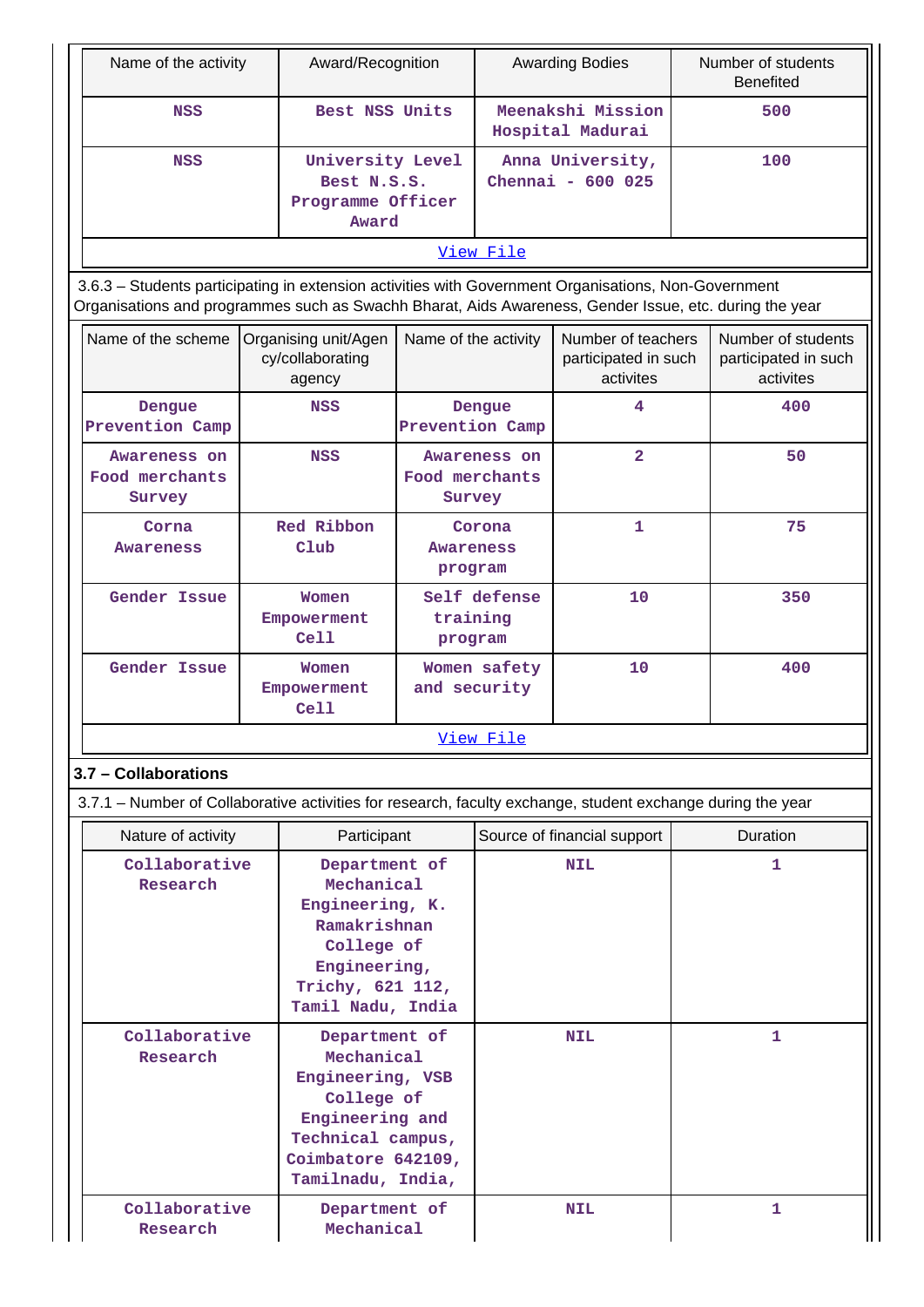| Name of the activity                                                                                                                                                                                           |  | Award/Recognition                                                                                                                                |                                       |                                          | <b>Awarding Bodies</b>                                  |     | Number of students<br><b>Benefited</b>                  |
|----------------------------------------------------------------------------------------------------------------------------------------------------------------------------------------------------------------|--|--------------------------------------------------------------------------------------------------------------------------------------------------|---------------------------------------|------------------------------------------|---------------------------------------------------------|-----|---------------------------------------------------------|
| <b>NSS</b>                                                                                                                                                                                                     |  | Best NSS Units                                                                                                                                   |                                       |                                          | Meenakshi Mission<br>Hospital Madurai                   | 500 |                                                         |
| <b>NSS</b>                                                                                                                                                                                                     |  | University Level<br>Best N.S.S.<br>Programme Officer<br>Award                                                                                    |                                       | Anna University,<br>Chennai - 600 025    |                                                         | 100 |                                                         |
|                                                                                                                                                                                                                |  |                                                                                                                                                  |                                       | View File                                |                                                         |     |                                                         |
| 3.6.3 - Students participating in extension activities with Government Organisations, Non-Government<br>Organisations and programmes such as Swachh Bharat, Aids Awareness, Gender Issue, etc. during the year |  |                                                                                                                                                  |                                       |                                          |                                                         |     |                                                         |
| Name of the scheme                                                                                                                                                                                             |  | Organising unit/Agen<br>cy/collaborating<br>agency                                                                                               | Name of the activity                  |                                          | Number of teachers<br>participated in such<br>activites |     | Number of students<br>participated in such<br>activites |
| Dengue<br>Prevention Camp                                                                                                                                                                                      |  | NSS                                                                                                                                              | Prevention Camp                       | Dengue                                   | 4                                                       |     | 400                                                     |
| Awareness on<br>Food merchants<br>Survey                                                                                                                                                                       |  | <b>NSS</b>                                                                                                                                       |                                       | Awareness on<br>Food merchants<br>Survey | $\overline{\mathbf{2}}$                                 |     | 50                                                      |
| Corna<br><b>Awareness</b>                                                                                                                                                                                      |  | Red Ribbon<br>Club                                                                                                                               | Corona<br><b>Awareness</b><br>program |                                          | $\mathbf{1}$                                            |     | 75                                                      |
| Gender Issue                                                                                                                                                                                                   |  | Women<br>Empowerment<br>Ce11                                                                                                                     |                                       | Self defense<br>training<br>program      | 10                                                      |     | 350                                                     |
| Gender Issue                                                                                                                                                                                                   |  | Women<br>Empowerment<br>Cell                                                                                                                     | Women safety<br>and security          |                                          | 10                                                      |     | 400                                                     |
|                                                                                                                                                                                                                |  |                                                                                                                                                  |                                       | View File                                |                                                         |     |                                                         |
| 3.7 - Collaborations                                                                                                                                                                                           |  |                                                                                                                                                  |                                       |                                          |                                                         |     |                                                         |
| 3.7.1 – Number of Collaborative activities for research, faculty exchange, student exchange during the year                                                                                                    |  |                                                                                                                                                  |                                       |                                          |                                                         |     |                                                         |
| Nature of activity                                                                                                                                                                                             |  | Participant                                                                                                                                      |                                       |                                          | Source of financial support                             |     | <b>Duration</b>                                         |
| Collaborative<br>Research                                                                                                                                                                                      |  | Department of<br>Mechanical<br>Engineering, K.<br>Ramakrishnan<br>College of<br>Engineering,<br>Trichy, 621 112,<br>Tamil Nadu, India            |                                       |                                          | <b>NIL</b>                                              |     | 1                                                       |
| Collaborative<br>Research                                                                                                                                                                                      |  | Department of<br>Mechanical<br>Engineering, VSB<br>College of<br>Engineering and<br>Technical campus,<br>Coimbatore 642109,<br>Tamilnadu, India, |                                       | <b>NIL</b>                               |                                                         | 1   |                                                         |
| Collaborative<br>Research                                                                                                                                                                                      |  | Department of<br>Mechanical                                                                                                                      |                                       |                                          | <b>NIL</b>                                              |     | 1                                                       |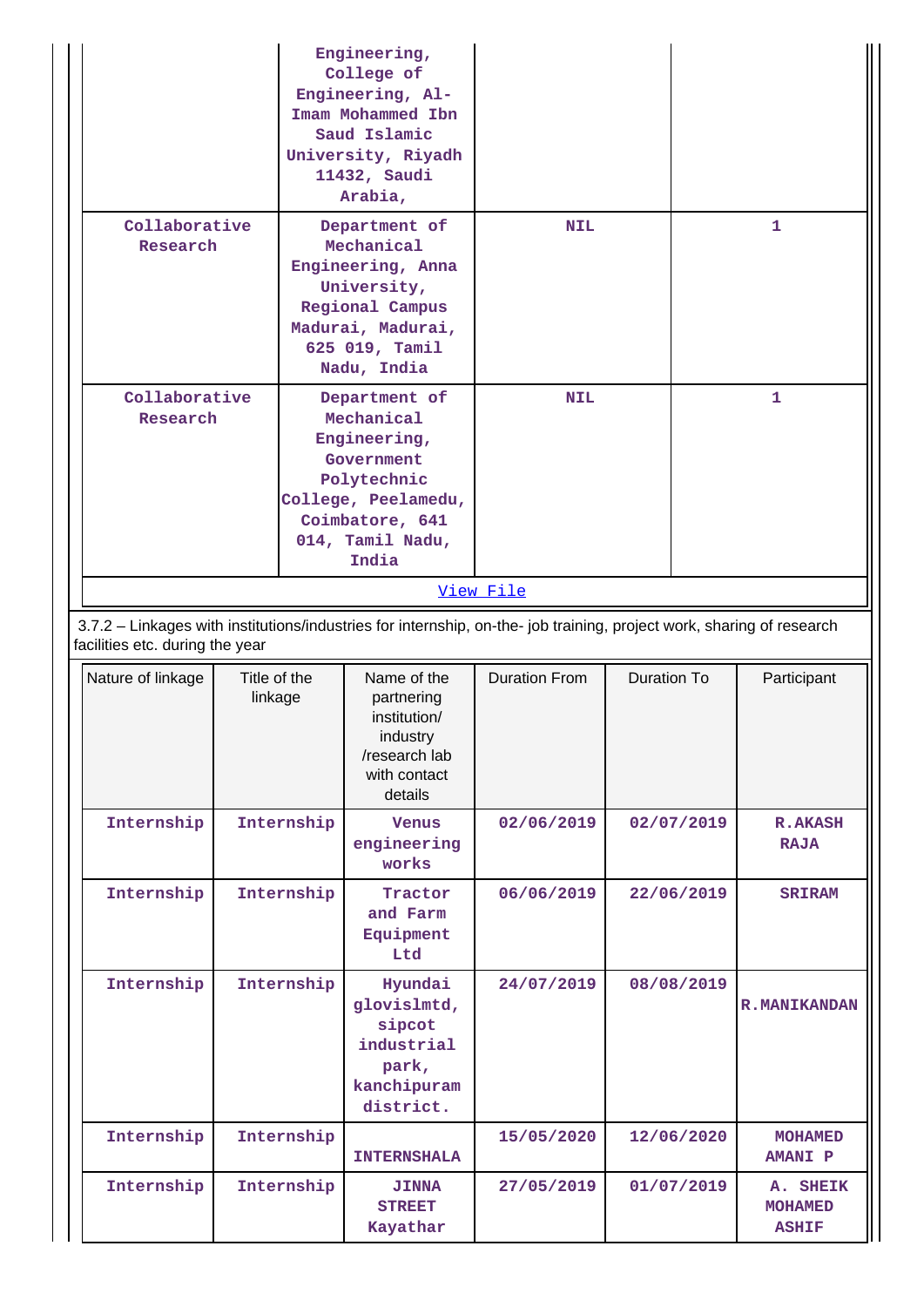| Engineering,<br>College of<br>Engineering, Al-<br>Imam Mohammed Ibn<br>Saud Islamic<br>University, Riyadh<br>11432, Saudi<br>Arabia,<br>Collaborative    |            |                                                                                                                                          |                                                                                                                                                 |                      |                    |              |                                            |  |
|----------------------------------------------------------------------------------------------------------------------------------------------------------|------------|------------------------------------------------------------------------------------------------------------------------------------------|-------------------------------------------------------------------------------------------------------------------------------------------------|----------------------|--------------------|--------------|--------------------------------------------|--|
| Research                                                                                                                                                 |            | Department of<br>Mechanical<br>Engineering, Anna<br>University,<br>Regional Campus<br>Madurai, Madurai,<br>625 019, Tamil<br>Nadu, India |                                                                                                                                                 | <b>NIL</b>           |                    | $\mathbf{1}$ |                                            |  |
| Collaborative<br>Research                                                                                                                                |            |                                                                                                                                          | Department of<br>Mechanical<br>Engineering,<br>Government<br>Polytechnic<br>College, Peelamedu,<br>Coimbatore, 641<br>014, Tamil Nadu,<br>India | <b>NIL</b>           |                    |              | 1                                          |  |
|                                                                                                                                                          |            |                                                                                                                                          |                                                                                                                                                 | View File            |                    |              |                                            |  |
| 3.7.2 - Linkages with institutions/industries for internship, on-the- job training, project work, sharing of research<br>facilities etc. during the year |            |                                                                                                                                          |                                                                                                                                                 |                      |                    |              |                                            |  |
| Nature of linkage                                                                                                                                        |            | Title of the<br>linkage                                                                                                                  | Name of the<br>partnering<br>institution/<br>industry<br>/research lab<br>with contact<br>details                                               | <b>Duration From</b> | <b>Duration To</b> |              | Participant                                |  |
| Internship                                                                                                                                               |            | Internship                                                                                                                               | <b>Venus</b><br>engineering<br>works                                                                                                            | 02/06/2019           |                    | 02/07/2019   | <b>R.AKASH</b><br><b>RAJA</b>              |  |
| Internship                                                                                                                                               |            | Internship                                                                                                                               | Tractor<br>and Farm<br>Equipment<br>Ltd                                                                                                         | 06/06/2019           |                    | 22/06/2019   | <b>SRIRAM</b>                              |  |
| Internship                                                                                                                                               | Internship |                                                                                                                                          | Hyundai<br>glovislmtd,<br>sipcot<br>industrial<br>park,<br>kanchipuram<br>district.                                                             | 24/07/2019           | 08/08/2019         |              | <b>R.MANIKANDAN</b>                        |  |
| Internship                                                                                                                                               |            | Internship                                                                                                                               | <b>INTERNSHALA</b>                                                                                                                              | 15/05/2020           |                    | 12/06/2020   | <b>MOHAMED</b><br><b>AMANI P</b>           |  |
| Internship                                                                                                                                               |            | Internship                                                                                                                               | <b>JINNA</b><br><b>STREET</b><br>Kayathar                                                                                                       | 27/05/2019           |                    | 01/07/2019   | A. SHEIK<br><b>MOHAMED</b><br><b>ASHIF</b> |  |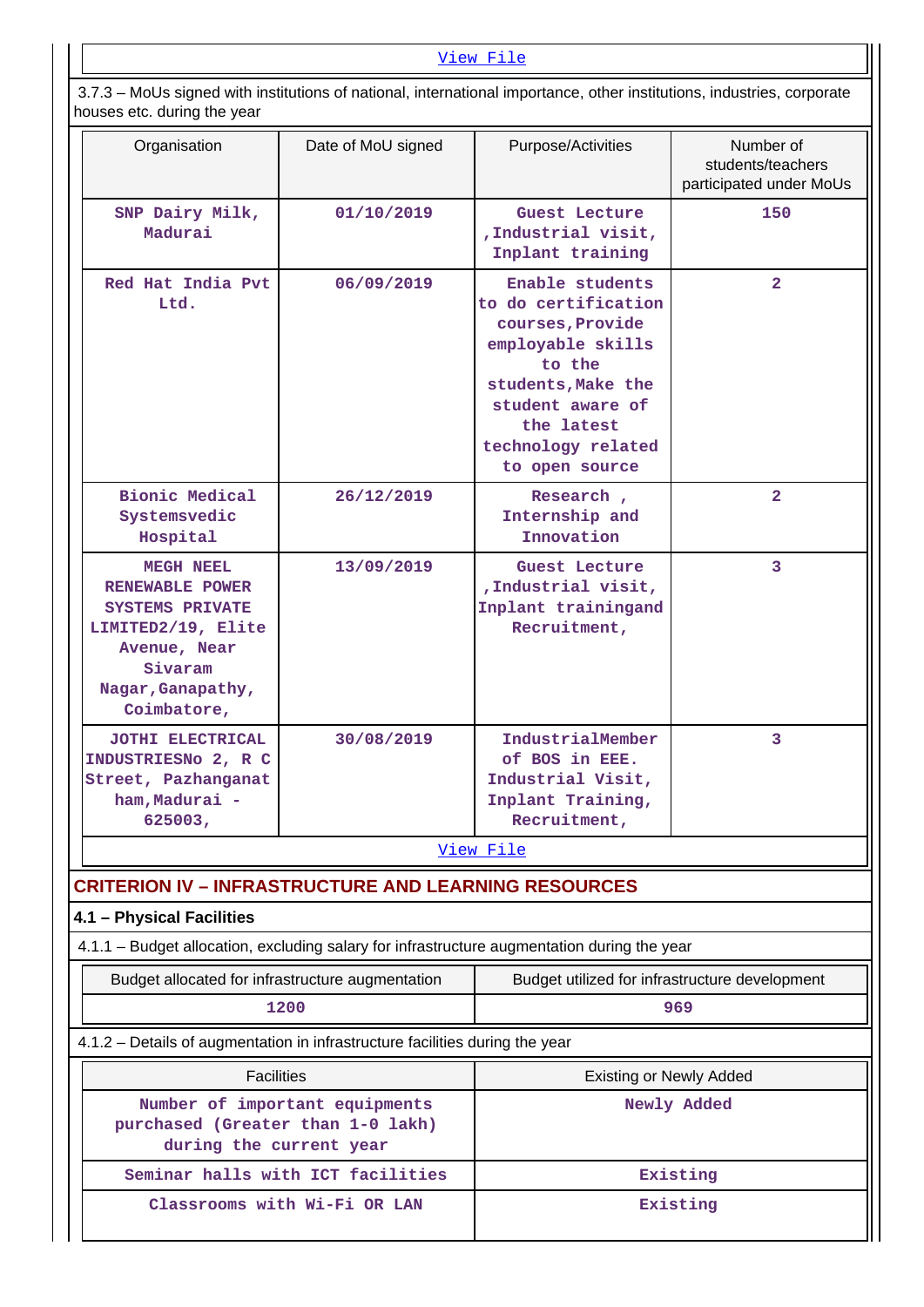#### [View File](https://assessmentonline.naac.gov.in/public/Postacc/Linkages/11242_Linkages_1630079662.xlsx)

 3.7.3 – MoUs signed with institutions of national, international importance, other institutions, industries, corporate houses etc. during the year

| Organisation                                                                                                                                       | Date of MoU signed                | Purpose/Activities                                                                                                                                                                        | Number of<br>students/teachers<br>participated under MoUs |  |  |
|----------------------------------------------------------------------------------------------------------------------------------------------------|-----------------------------------|-------------------------------------------------------------------------------------------------------------------------------------------------------------------------------------------|-----------------------------------------------------------|--|--|
| SNP Dairy Milk,<br>Madurai                                                                                                                         | 01/10/2019                        | Guest Lecture<br>, Industrial visit,<br>Inplant training                                                                                                                                  | 150                                                       |  |  |
| Red Hat India Pvt<br>Ltd.                                                                                                                          | 06/09/2019                        | Enable students<br>to do certification<br>courses, Provide<br>employable skills<br>to the<br>students, Make the<br>student aware of<br>the latest<br>technology related<br>to open source | $\overline{2}$                                            |  |  |
| <b>Bionic Medical</b><br>Systemsvedic<br>Hospital                                                                                                  | 26/12/2019                        | Research,<br>Internship and<br>Innovation                                                                                                                                                 | $\overline{\mathbf{2}}$                                   |  |  |
| <b>MEGH NEEL</b><br>RENEWABLE POWER<br><b>SYSTEMS PRIVATE</b><br>LIMITED2/19, Elite<br>Avenue, Near<br>Sivaram<br>Nagar, Ganapathy,<br>Coimbatore, | 13/09/2019                        | Guest Lecture<br>, Industrial visit,<br>Inplant trainingand<br>Recruitment,                                                                                                               | 3                                                         |  |  |
| JOTHI ELECTRICAL<br>INDUSTRIESNO 2, R C<br>Street, Pazhanganat<br>ham, Madurai -<br>625003,                                                        | 30/08/2019                        | IndustrialMember<br>of BOS in EEE.<br>Industrial Visit,<br>Inplant Training,<br>Recruitment,                                                                                              | 3                                                         |  |  |
|                                                                                                                                                    |                                   | View File                                                                                                                                                                                 |                                                           |  |  |
| <b>CRITERION IV - INFRASTRUCTURE AND LEARNING RESOURCES</b>                                                                                        |                                   |                                                                                                                                                                                           |                                                           |  |  |
| 4.1 - Physical Facilities                                                                                                                          |                                   |                                                                                                                                                                                           |                                                           |  |  |
| 4.1.1 - Budget allocation, excluding salary for infrastructure augmentation during the year                                                        |                                   |                                                                                                                                                                                           |                                                           |  |  |
| Budget allocated for infrastructure augmentation                                                                                                   | 1200                              | Budget utilized for infrastructure development                                                                                                                                            | 969                                                       |  |  |
| 4.1.2 - Details of augmentation in infrastructure facilities during the year                                                                       |                                   |                                                                                                                                                                                           |                                                           |  |  |
| <b>Facilities</b>                                                                                                                                  |                                   |                                                                                                                                                                                           |                                                           |  |  |
| purchased (Greater than 1-0 lakh)<br>during the current year                                                                                       | Number of important equipments    | <b>Existing or Newly Added</b><br>Newly Added                                                                                                                                             |                                                           |  |  |
|                                                                                                                                                    | Seminar halls with ICT facilities |                                                                                                                                                                                           | Existing                                                  |  |  |
|                                                                                                                                                    | Classrooms with Wi-Fi OR LAN      | Existing                                                                                                                                                                                  |                                                           |  |  |

 $\overline{\phantom{a}}$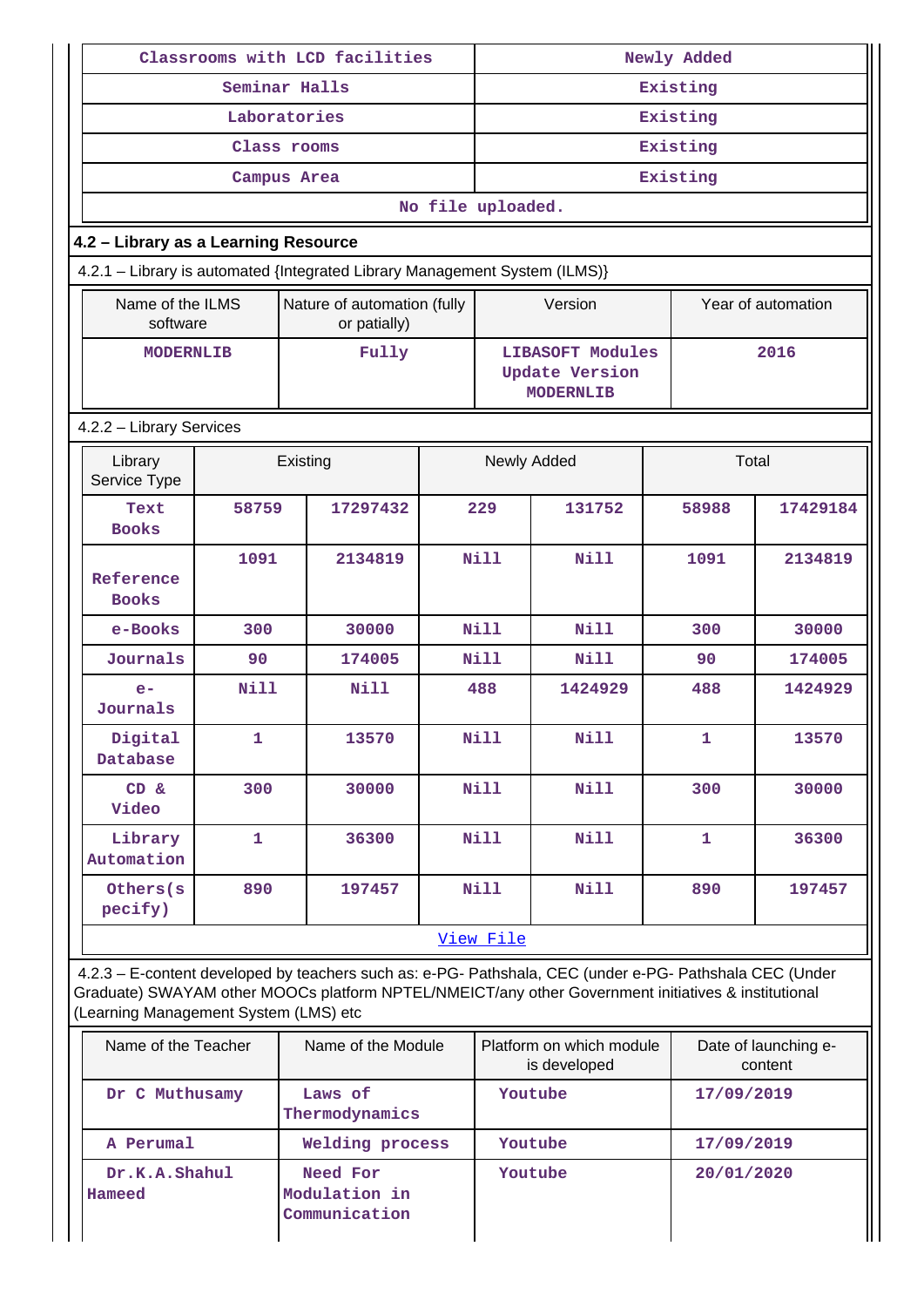|                                           | Classrooms with LCD facilities |                                                                                                                                                                                                                |                   |                                                                      | Newly Added                              |              |                                 |  |  |
|-------------------------------------------|--------------------------------|----------------------------------------------------------------------------------------------------------------------------------------------------------------------------------------------------------------|-------------------|----------------------------------------------------------------------|------------------------------------------|--------------|---------------------------------|--|--|
|                                           |                                | Seminar Halls                                                                                                                                                                                                  |                   | Existing                                                             |                                          |              |                                 |  |  |
|                                           |                                | Laboratories                                                                                                                                                                                                   |                   | Existing                                                             |                                          |              |                                 |  |  |
|                                           |                                | Class rooms                                                                                                                                                                                                    |                   | Existing                                                             |                                          |              |                                 |  |  |
|                                           |                                | Campus Area                                                                                                                                                                                                    |                   |                                                                      |                                          | Existing     |                                 |  |  |
|                                           |                                |                                                                                                                                                                                                                | No file uploaded. |                                                                      |                                          |              |                                 |  |  |
| 4.2 - Library as a Learning Resource      |                                |                                                                                                                                                                                                                |                   |                                                                      |                                          |              |                                 |  |  |
|                                           |                                | 4.2.1 - Library is automated {Integrated Library Management System (ILMS)}                                                                                                                                     |                   |                                                                      |                                          |              |                                 |  |  |
| Name of the ILMS<br>software              |                                | Nature of automation (fully<br>or patially)                                                                                                                                                                    |                   |                                                                      | Version                                  |              | Year of automation              |  |  |
| <b>MODERNLIB</b>                          |                                | Fully                                                                                                                                                                                                          |                   | <b>LIBASOFT Modules</b><br><b>Update Version</b><br><b>MODERNLIB</b> |                                          |              | 2016                            |  |  |
| 4.2.2 - Library Services                  |                                |                                                                                                                                                                                                                |                   |                                                                      |                                          |              |                                 |  |  |
| Library<br>Existing<br>Service Type       |                                |                                                                                                                                                                                                                |                   |                                                                      | Newly Added                              |              | Total                           |  |  |
| Text<br><b>Books</b>                      | 58759                          | 17297432                                                                                                                                                                                                       |                   | 229                                                                  | 131752                                   | 58988        | 17429184                        |  |  |
| Reference<br><b>Books</b>                 | 1091                           | 2134819                                                                                                                                                                                                        | Nill              |                                                                      | <b>Nill</b>                              | 1091         | 2134819                         |  |  |
| e-Books                                   | 300                            | 30000                                                                                                                                                                                                          |                   | <b>Nill</b>                                                          | <b>Nill</b>                              | 300          | 30000                           |  |  |
| Journals                                  | 90                             | 174005                                                                                                                                                                                                         |                   | <b>Nill</b>                                                          | <b>Nill</b>                              | 90           | 174005                          |  |  |
| $e-$<br>Journals                          | <b>Nill</b>                    | <b>Nill</b>                                                                                                                                                                                                    |                   | 488                                                                  | 1424929                                  | 488          | 1424929                         |  |  |
| Digital<br>Database                       | 1                              | 13570                                                                                                                                                                                                          |                   | <b>Nill</b>                                                          | Nill                                     | 1            | 13570                           |  |  |
| CD &<br>Video                             | 300                            | 30000                                                                                                                                                                                                          | Nill              |                                                                      | <b>Nill</b>                              | 300          | 30000                           |  |  |
| Library<br>Automation                     | $\mathbf{1}$                   | 36300                                                                                                                                                                                                          |                   | Nill                                                                 | <b>Nill</b>                              | $\mathbf{1}$ | 36300                           |  |  |
| Others (s)<br>pecify)                     | 890                            | 197457                                                                                                                                                                                                         |                   | Nill                                                                 | Nill                                     | 890          | 197457                          |  |  |
|                                           |                                |                                                                                                                                                                                                                |                   | View File                                                            |                                          |              |                                 |  |  |
| (Learning Management System (LMS) etc     |                                | 4.2.3 - E-content developed by teachers such as: e-PG- Pathshala, CEC (under e-PG- Pathshala CEC (Under<br>Graduate) SWAYAM other MOOCs platform NPTEL/NMEICT/any other Government initiatives & institutional |                   |                                                                      |                                          |              |                                 |  |  |
| Name of the Teacher<br>Name of the Module |                                |                                                                                                                                                                                                                |                   |                                                                      | Platform on which module<br>is developed |              | Date of launching e-<br>content |  |  |
| Dr C Muthusamy                            |                                | Laws of<br>Thermodynamics                                                                                                                                                                                      |                   |                                                                      | Youtube                                  | 17/09/2019   |                                 |  |  |
| A Perumal                                 |                                | Welding process                                                                                                                                                                                                |                   |                                                                      | Youtube                                  | 17/09/2019   |                                 |  |  |
| Dr.K.A.Shahul<br>Hameed                   |                                | Need For<br>Modulation in<br>Communication                                                                                                                                                                     |                   |                                                                      | Youtube                                  | 20/01/2020   |                                 |  |  |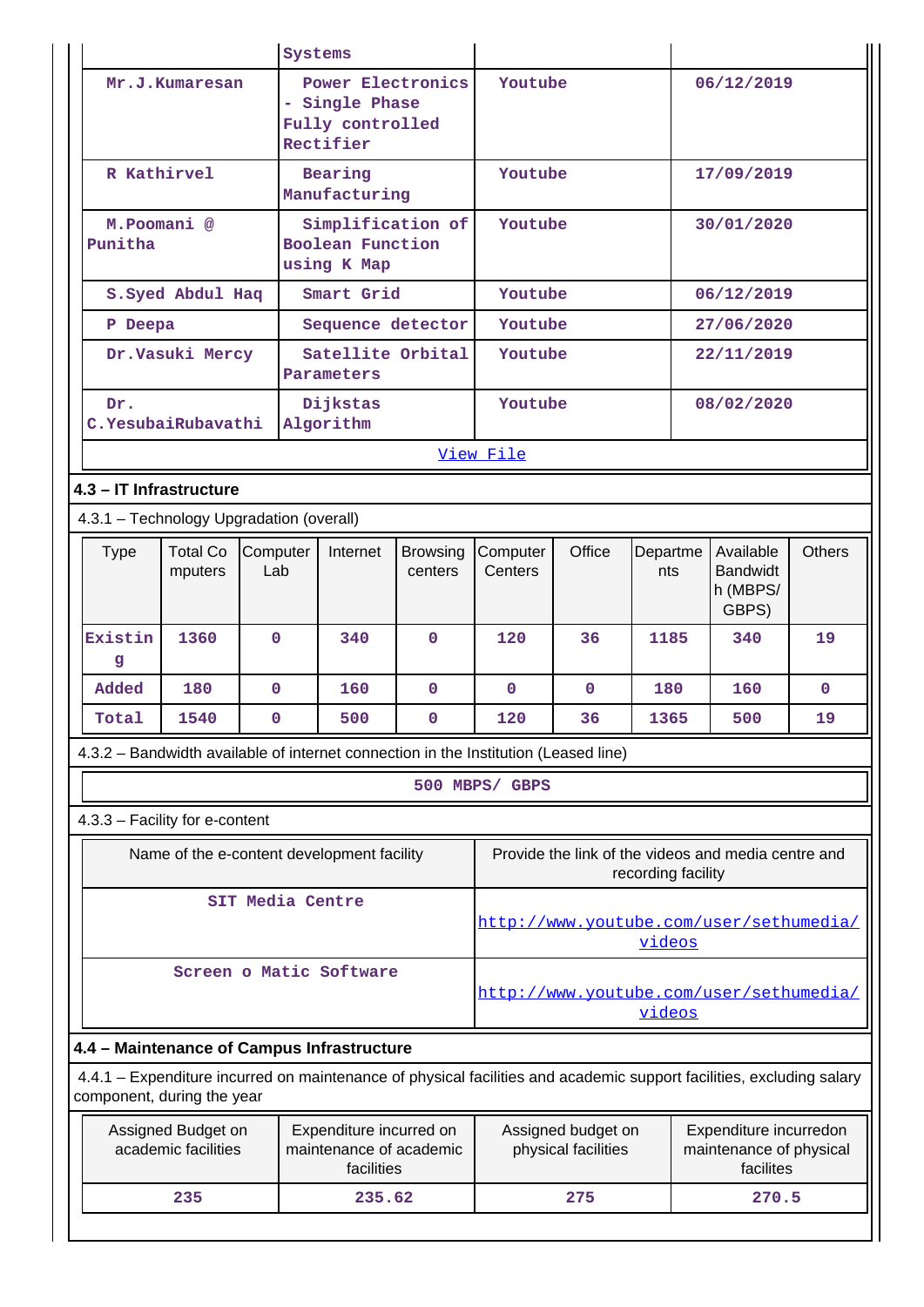|                                                                                                                                                    | Systems                    |                 |                          |                                            |                                                                                                             |                     |              |                    |                                                     |               |
|----------------------------------------------------------------------------------------------------------------------------------------------------|----------------------------|-----------------|--------------------------|--------------------------------------------|-------------------------------------------------------------------------------------------------------------|---------------------|--------------|--------------------|-----------------------------------------------------|---------------|
|                                                                                                                                                    | Mr.J.Kumaresan             |                 |                          | Power Electronics<br>- Single Phase        |                                                                                                             | Youtube             |              |                    | 06/12/2019                                          |               |
|                                                                                                                                                    |                            |                 |                          | Fully controlled                           |                                                                                                             |                     |              |                    |                                                     |               |
|                                                                                                                                                    |                            |                 |                          | Rectifier                                  |                                                                                                             |                     |              |                    |                                                     |               |
| R Kathirvel                                                                                                                                        |                            |                 | Bearing<br>Manufacturing |                                            |                                                                                                             | Youtube             |              |                    | 17/09/2019                                          |               |
|                                                                                                                                                    | M.Poomani <sup>@</sup>     |                 |                          | Simplification of                          |                                                                                                             | Youtube             |              |                    | 30/01/2020                                          |               |
| Punitha                                                                                                                                            |                            |                 |                          | Boolean Function<br>using K Map            |                                                                                                             |                     |              |                    |                                                     |               |
|                                                                                                                                                    | S. Syed Abdul Haq          |                 |                          | Smart Grid                                 |                                                                                                             | Youtube             |              |                    | 06/12/2019                                          |               |
| P Deepa                                                                                                                                            |                            |                 |                          | Sequence detector                          |                                                                                                             | Youtube             |              |                    | 27/06/2020                                          |               |
| Dr.Vasuki Mercy                                                                                                                                    |                            |                 |                          | Satellite Orbital<br>Parameters            |                                                                                                             | Youtube             |              |                    | 22/11/2019                                          |               |
| Dr.                                                                                                                                                | C.YesubaiRubavathi         |                 |                          | Dijkstas<br>Algorithm                      |                                                                                                             | Youtube             |              |                    | 08/02/2020                                          |               |
|                                                                                                                                                    |                            |                 |                          |                                            |                                                                                                             | View File           |              |                    |                                                     |               |
| 4.3 - IT Infrastructure                                                                                                                            |                            |                 |                          |                                            |                                                                                                             |                     |              |                    |                                                     |               |
| 4.3.1 - Technology Upgradation (overall)                                                                                                           |                            |                 |                          |                                            |                                                                                                             |                     |              |                    |                                                     |               |
| <b>Type</b>                                                                                                                                        | <b>Total Co</b><br>mputers | Computer<br>Lab |                          | Internet                                   | <b>Browsing</b><br>centers                                                                                  | Computer<br>Centers | Office       | Departme<br>nts    | Available<br><b>Bandwidt</b><br>h (MBPS/<br>GBPS)   | <b>Others</b> |
| Existin<br>g                                                                                                                                       | 1360                       | $\Omega$        |                          | 340                                        | $\Omega$                                                                                                    | 120                 | 36           | 1185               | 340                                                 | 19            |
| Added                                                                                                                                              | 180                        | $\mathbf{0}$    |                          | 160                                        | $\mathbf{0}$                                                                                                | $\mathbf{0}$        | $\mathbf{0}$ | 180                | 160                                                 | $\mathbf{0}$  |
| Total                                                                                                                                              | 1540                       | $\mathbf 0$     |                          | 500                                        | $\mathbf{0}$                                                                                                | 120                 | 36           | 1365               | 500                                                 | 19            |
| 4.3.2 – Bandwidth available of internet connection in the Institution (Leased line)                                                                |                            |                 |                          |                                            |                                                                                                             |                     |              |                    |                                                     |               |
|                                                                                                                                                    |                            |                 |                          |                                            |                                                                                                             | 500 MBPS/ GBPS      |              |                    |                                                     |               |
| 4.3.3 - Facility for e-content                                                                                                                     |                            |                 |                          |                                            |                                                                                                             |                     |              |                    |                                                     |               |
|                                                                                                                                                    |                            |                 |                          | Name of the e-content development facility |                                                                                                             |                     |              | recording facility | Provide the link of the videos and media centre and |               |
|                                                                                                                                                    |                            |                 |                          | SIT Media Centre                           |                                                                                                             |                     |              | videos             | http://www.youtube.com/user/sethumedia/             |               |
|                                                                                                                                                    |                            |                 |                          | Screen o Matic Software                    |                                                                                                             |                     |              | videos             | http://www.youtube.com/user/sethumedia/             |               |
| 4.4 - Maintenance of Campus Infrastructure                                                                                                         |                            |                 |                          |                                            |                                                                                                             |                     |              |                    |                                                     |               |
| 4.4.1 - Expenditure incurred on maintenance of physical facilities and academic support facilities, excluding salary<br>component, during the year |                            |                 |                          |                                            |                                                                                                             |                     |              |                    |                                                     |               |
| Assigned Budget on<br>Expenditure incurred on<br>academic facilities<br>maintenance of academic<br>facilities                                      |                            |                 |                          |                                            | Assigned budget on<br>Expenditure incurredon<br>physical facilities<br>maintenance of physical<br>facilites |                     |              |                    |                                                     |               |
|                                                                                                                                                    | 235                        |                 |                          | 235.62                                     |                                                                                                             |                     | 275          |                    | 270.5                                               |               |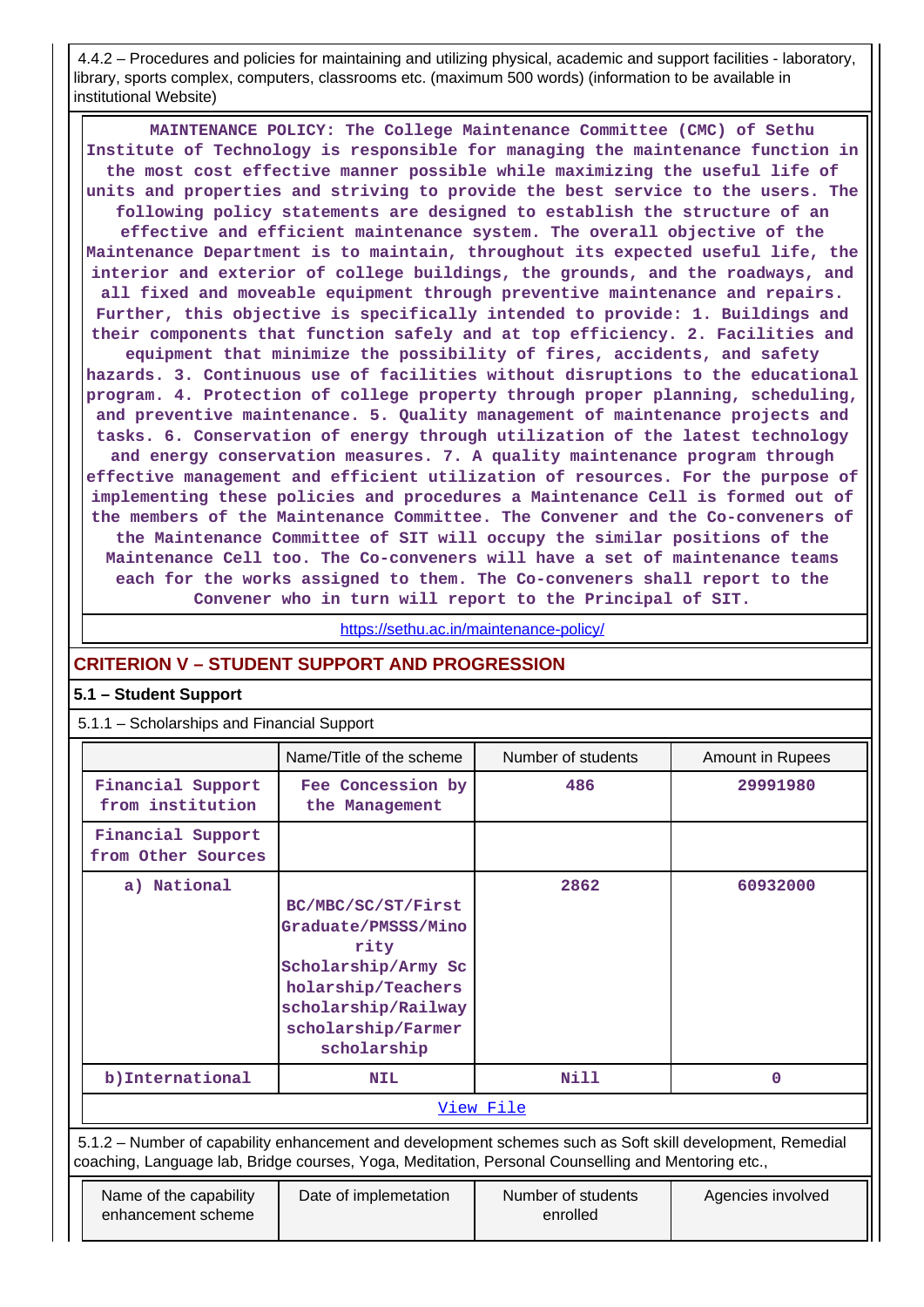4.4.2 – Procedures and policies for maintaining and utilizing physical, academic and support facilities - laboratory, library, sports complex, computers, classrooms etc. (maximum 500 words) (information to be available in institutional Website)

 **MAINTENANCE POLICY: The College Maintenance Committee (CMC) of Sethu Institute of Technology is responsible for managing the maintenance function in the most cost effective manner possible while maximizing the useful life of units and properties and striving to provide the best service to the users. The following policy statements are designed to establish the structure of an effective and efficient maintenance system. The overall objective of the Maintenance Department is to maintain, throughout its expected useful life, the interior and exterior of college buildings, the grounds, and the roadways, and all fixed and moveable equipment through preventive maintenance and repairs. Further, this objective is specifically intended to provide: 1. Buildings and their components that function safely and at top efficiency. 2. Facilities and equipment that minimize the possibility of fires, accidents, and safety hazards. 3. Continuous use of facilities without disruptions to the educational program. 4. Protection of college property through proper planning, scheduling, and preventive maintenance. 5. Quality management of maintenance projects and tasks. 6. Conservation of energy through utilization of the latest technology and energy conservation measures. 7. A quality maintenance program through effective management and efficient utilization of resources. For the purpose of implementing these policies and procedures a Maintenance Cell is formed out of the members of the Maintenance Committee. The Convener and the Co-conveners of the Maintenance Committee of SIT will occupy the similar positions of the Maintenance Cell too. The Co-conveners will have a set of maintenance teams each for the works assigned to them. The Co-conveners shall report to the Convener who in turn will report to the Principal of SIT.**

<https://sethu.ac.in/maintenance-policy/>

#### **CRITERION V – STUDENT SUPPORT AND PROGRESSION**

#### **5.1 – Student Support**

5.1.1 – Scholarships and Financial Support

|                                                                                                                                                                                                                 |                                                                                                                                                            | Number of students             |                         |  |  |  |  |
|-----------------------------------------------------------------------------------------------------------------------------------------------------------------------------------------------------------------|------------------------------------------------------------------------------------------------------------------------------------------------------------|--------------------------------|-------------------------|--|--|--|--|
|                                                                                                                                                                                                                 | Name/Title of the scheme                                                                                                                                   |                                | <b>Amount in Rupees</b> |  |  |  |  |
| Financial Support<br>from institution                                                                                                                                                                           | Fee Concession by<br>the Management                                                                                                                        | 486                            | 29991980                |  |  |  |  |
| Financial Support<br>from Other Sources                                                                                                                                                                         |                                                                                                                                                            |                                |                         |  |  |  |  |
| a) National                                                                                                                                                                                                     | BC/MBC/SC/ST/First<br>Graduate/PMSSS/Mino<br>rity<br>Scholarship/Army Sc<br>holarship/Teachers<br>scholarship/Railway<br>scholarship/Farmer<br>scholarship | 2862                           | 60932000                |  |  |  |  |
| b) International                                                                                                                                                                                                | <b>NIL</b>                                                                                                                                                 | Nill                           | 0                       |  |  |  |  |
|                                                                                                                                                                                                                 |                                                                                                                                                            | View File                      |                         |  |  |  |  |
| 5.1.2 - Number of capability enhancement and development schemes such as Soft skill development, Remedial<br>coaching, Language lab, Bridge courses, Yoga, Meditation, Personal Counselling and Mentoring etc., |                                                                                                                                                            |                                |                         |  |  |  |  |
| Name of the capability<br>enhancement scheme                                                                                                                                                                    | Date of implemetation                                                                                                                                      | Number of students<br>enrolled | Agencies involved       |  |  |  |  |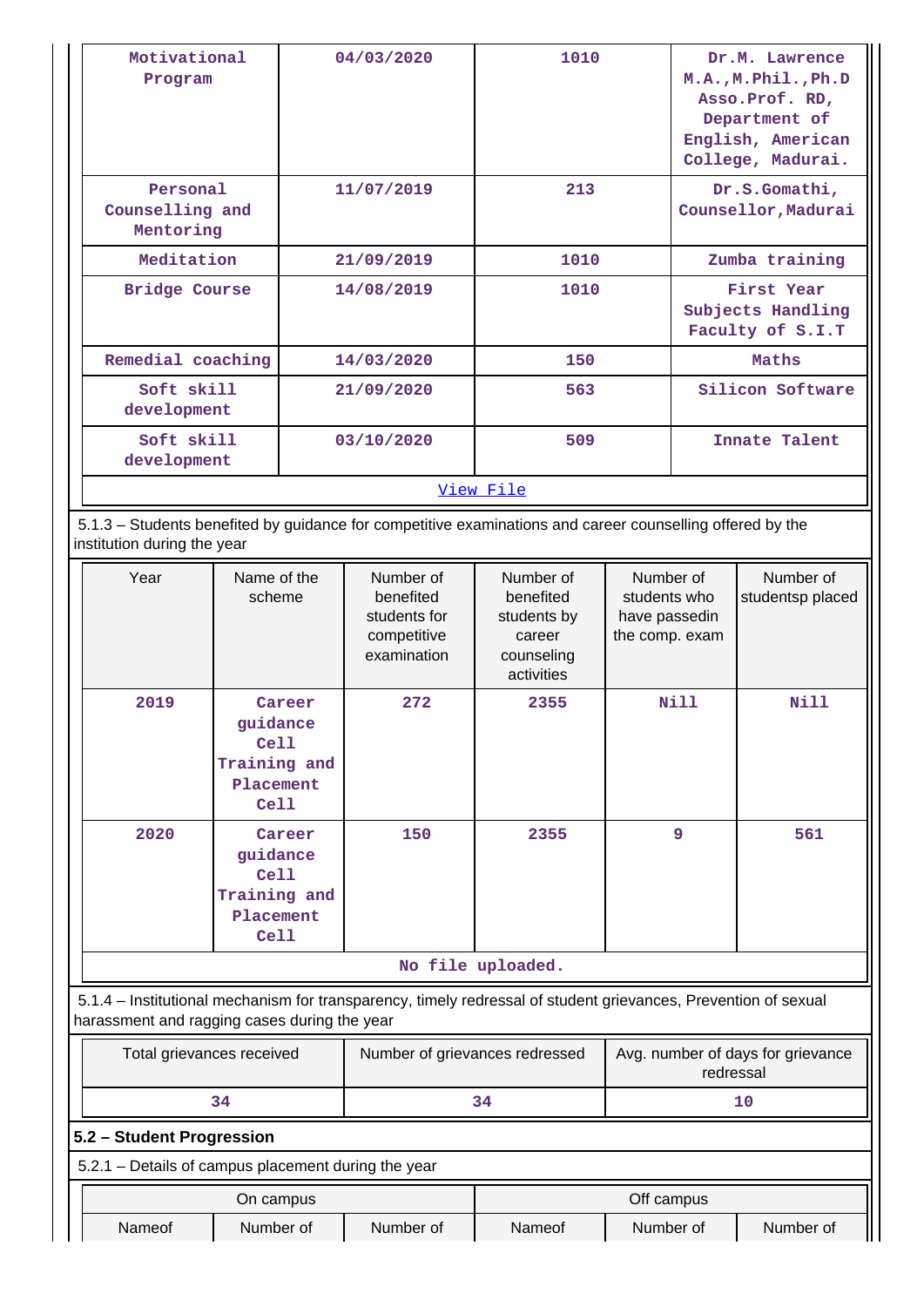| Motivational<br>Program                                                                                                                  |                                          |            | 04/03/2020                                                           | 1010                                                                        |                                                              | Dr.M. Lawrence<br>M.A., M. Phil., Ph.D<br>Asso. Prof. RD,<br>Department of<br>English, American<br>College, Madurai. |                               |
|------------------------------------------------------------------------------------------------------------------------------------------|------------------------------------------|------------|----------------------------------------------------------------------|-----------------------------------------------------------------------------|--------------------------------------------------------------|----------------------------------------------------------------------------------------------------------------------|-------------------------------|
|                                                                                                                                          | Personal<br>Counselling and<br>Mentoring |            | 11/07/2019                                                           | 213                                                                         |                                                              | Dr.S.Gomathi,<br>Counsellor, Madurai                                                                                 |                               |
| Meditation                                                                                                                               |                                          |            | 21/09/2019                                                           | 1010                                                                        |                                                              |                                                                                                                      | Zumba training                |
| <b>Bridge Course</b>                                                                                                                     |                                          | 14/08/2019 |                                                                      | 1010                                                                        |                                                              | First Year<br>Subjects Handling<br>Faculty of S.I.T                                                                  |                               |
| Remedial coaching                                                                                                                        |                                          |            | 14/03/2020                                                           | 150                                                                         |                                                              |                                                                                                                      | Maths                         |
| Soft skill<br>development                                                                                                                |                                          | 21/09/2020 |                                                                      | 563                                                                         |                                                              |                                                                                                                      | Silicon Software              |
| Soft skill<br>development                                                                                                                |                                          | 03/10/2020 |                                                                      | 509                                                                         |                                                              | Innate Talent                                                                                                        |                               |
|                                                                                                                                          |                                          |            |                                                                      | View File                                                                   |                                                              |                                                                                                                      |                               |
| 5.1.3 - Students benefited by guidance for competitive examinations and career counselling offered by the<br>institution during the year |                                          |            |                                                                      |                                                                             |                                                              |                                                                                                                      |                               |
| Name of the<br>Year<br>scheme                                                                                                            |                                          |            | Number of<br>benefited<br>students for<br>competitive<br>examination | Number of<br>benefited<br>students by<br>career<br>counseling<br>activities | Number of<br>students who<br>have passedin<br>the comp. exam |                                                                                                                      | Number of<br>studentsp placed |

|      |                                                                 | competitive<br>examination | career<br>counseling<br>activities | the comp. exam |             |
|------|-----------------------------------------------------------------|----------------------------|------------------------------------|----------------|-------------|
| 2019 | Career<br>guidance<br>Cell<br>Training and<br>Placement<br>Cell | 272                        | 2355                               | <b>Nill</b>    | <b>Nill</b> |
| 2020 | Career<br>guidance<br>Cell<br>Training and<br>Placement<br>Cell | 150                        | 2355                               | 9              | 561         |

#### **No file uploaded.**

 5.1.4 – Institutional mechanism for transparency, timely redressal of student grievances, Prevention of sexual harassment and ragging cases during the year

| Total grievances received | Number of grievances redressed | Avg. number of days for grievance<br>redressal |
|---------------------------|--------------------------------|------------------------------------------------|
|                           | 34                             |                                                |

#### **5.2 – Student Progression**

| 5.2.1 – Details of campus placement during the year |           |           |            |           |           |  |  |
|-----------------------------------------------------|-----------|-----------|------------|-----------|-----------|--|--|
|                                                     | On campus |           | Off campus |           |           |  |  |
| Nameof                                              | Number of | Number of | Nameof     | Number of | Number of |  |  |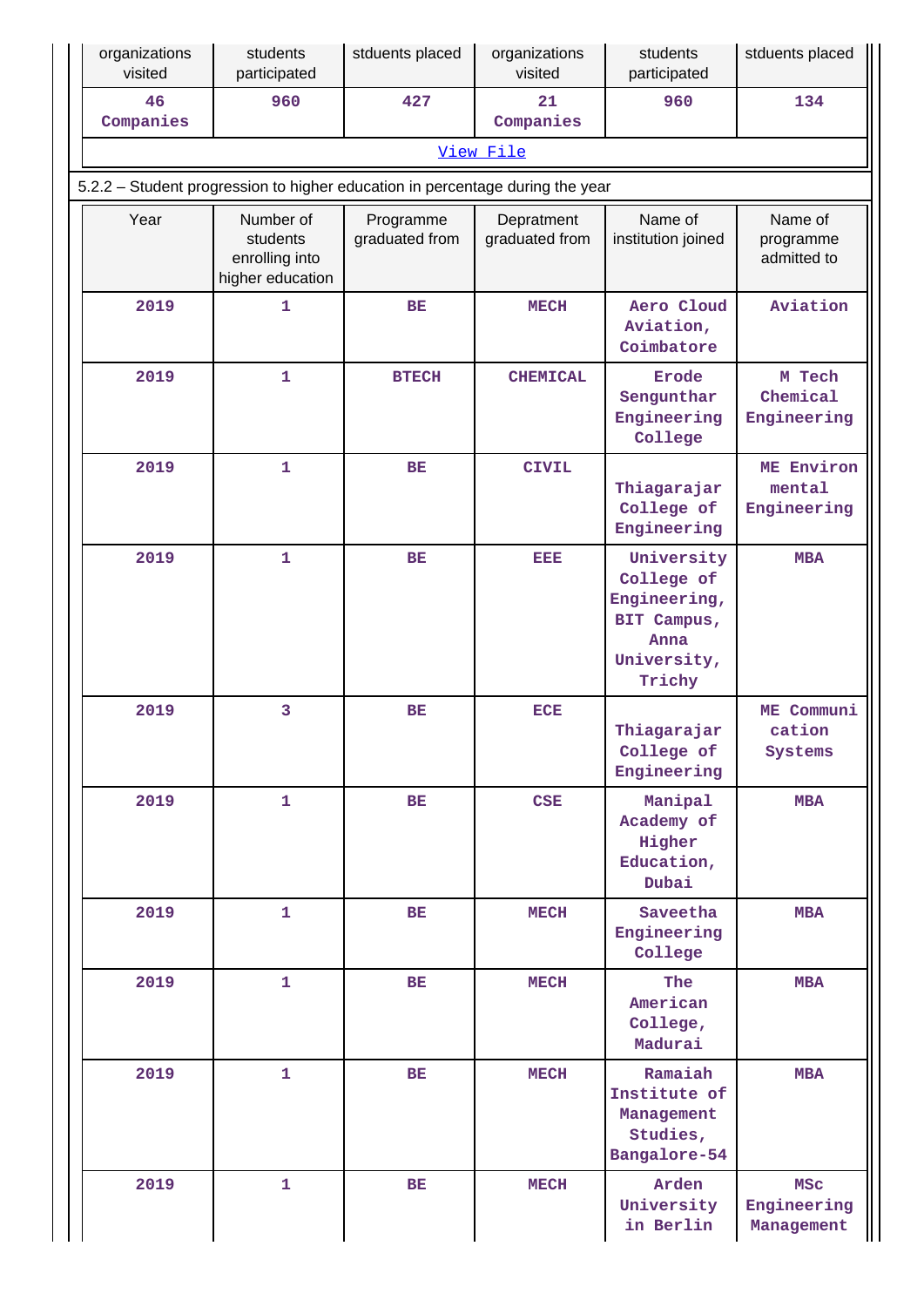| organizations<br>visited | students<br>participated                                    | stduents placed                                                               | organizations<br>visited     | students<br>participated                                                                 | stduents placed                         |
|--------------------------|-------------------------------------------------------------|-------------------------------------------------------------------------------|------------------------------|------------------------------------------------------------------------------------------|-----------------------------------------|
| 46<br>Companies          | 960                                                         | 427                                                                           | 21<br>Companies              | 960                                                                                      | 134                                     |
|                          |                                                             |                                                                               | View File                    |                                                                                          |                                         |
|                          |                                                             | 5.2.2 - Student progression to higher education in percentage during the year |                              |                                                                                          |                                         |
| Year                     | Number of<br>students<br>enrolling into<br>higher education | Programme<br>graduated from                                                   | Depratment<br>graduated from | Name of<br>institution joined                                                            | Name of<br>programme<br>admitted to     |
| 2019                     | $\mathbf 1$                                                 | <b>BE</b>                                                                     | <b>MECH</b>                  | Aero Cloud<br>Aviation,<br>Coimbatore                                                    | Aviation                                |
| 2019                     | $\mathbf 1$                                                 | <b>BTECH</b>                                                                  | <b>CHEMICAL</b>              | <b>Erode</b><br>Sengunthar<br>Engineering<br>College                                     | M Tech<br>Chemical<br>Engineering       |
| 2019                     | $\mathbf 1$                                                 | BE                                                                            | <b>CIVIL</b>                 | Thiagarajar<br>College of<br>Engineering                                                 | ME Environ<br>mental<br>Engineering     |
| 2019                     | $\mathbf{1}$                                                | <b>BE</b>                                                                     | EEE                          | University<br>College of<br>Engineering,<br>BIT Campus,<br>Anna<br>University,<br>Trichy | <b>MBA</b>                              |
| 2019                     | 3                                                           | BE                                                                            | <b>ECE</b>                   | Thiagarajar<br>College of<br>Engineering                                                 | ME Communi<br>cation<br>Systems         |
| 2019                     | $\mathbf{1}$                                                | <b>BE</b>                                                                     | <b>CSE</b>                   | Manipal<br>Academy of<br>Higher<br>Education,<br>Dubai                                   | <b>MBA</b>                              |
| 2019                     | $\mathbf{1}$                                                | ВE                                                                            | <b>MECH</b>                  | Saveetha<br>Engineering<br>College                                                       | <b>MBA</b>                              |
| 2019                     | $\mathbf{1}$                                                | BE                                                                            | <b>MECH</b>                  | The<br>American<br>College,<br>Madurai                                                   | <b>MBA</b>                              |
| 2019                     | $\mathbf{1}$                                                | BE                                                                            | <b>MECH</b>                  | Ramaiah<br>Institute of<br>Management<br>Studies,<br>Bangalore-54                        | <b>MBA</b>                              |
| 2019                     | $\mathbf{1}$                                                | BE                                                                            | <b>MECH</b>                  | Arden<br>University<br>in Berlin                                                         | <b>MSC</b><br>Engineering<br>Management |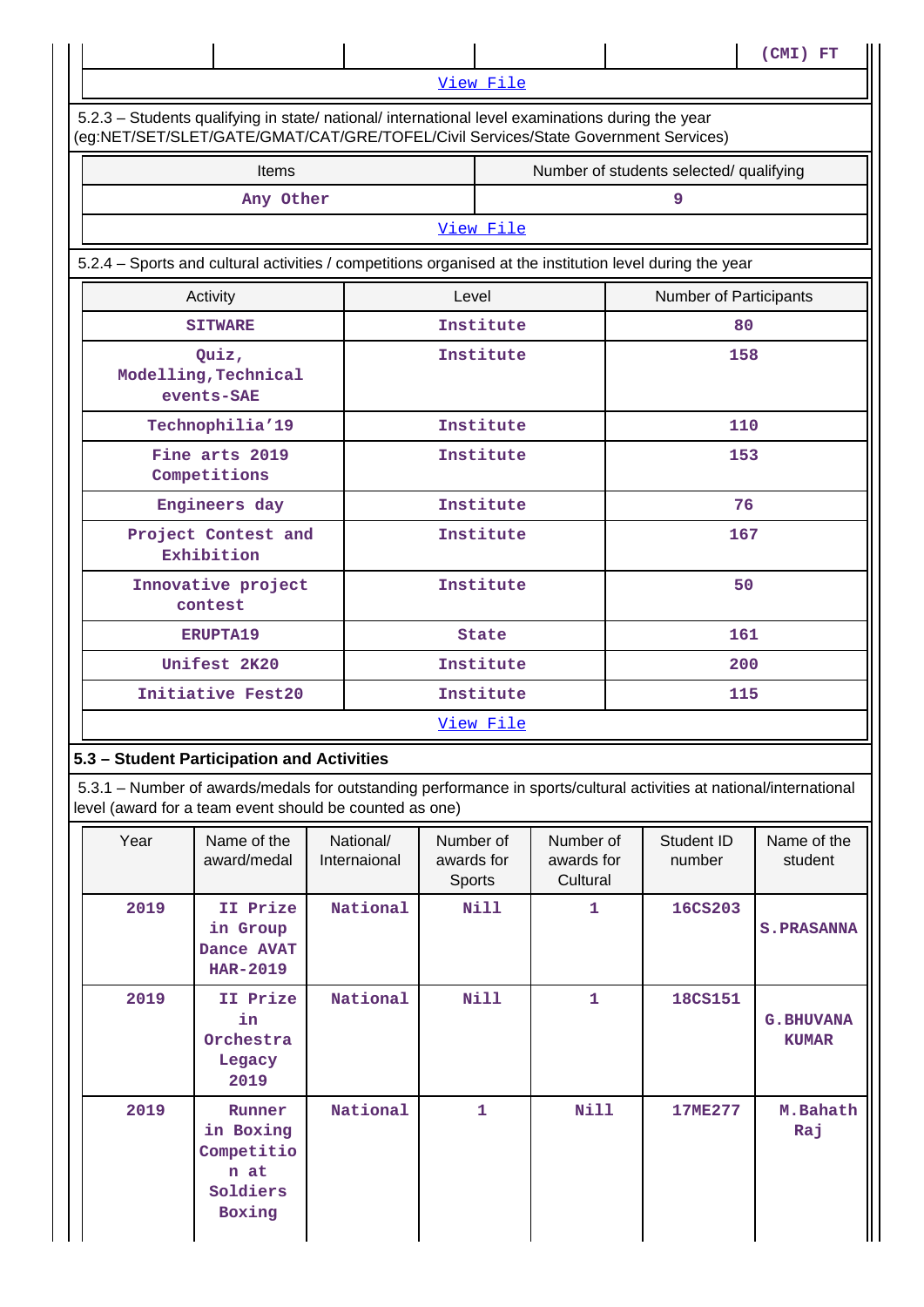|      |                                                                                                                                                                                        |                           |                                          |                                         |  |                        | (CMI) FT                          |  |
|------|----------------------------------------------------------------------------------------------------------------------------------------------------------------------------------------|---------------------------|------------------------------------------|-----------------------------------------|--|------------------------|-----------------------------------|--|
|      |                                                                                                                                                                                        |                           | View File                                |                                         |  |                        |                                   |  |
|      | 5.2.3 - Students qualifying in state/ national/ international level examinations during the year<br>(eg:NET/SET/SLET/GATE/GMAT/CAT/GRE/TOFEL/Civil Services/State Government Services) |                           |                                          |                                         |  |                        |                                   |  |
|      | Items                                                                                                                                                                                  |                           |                                          | Number of students selected/ qualifying |  |                        |                                   |  |
|      | Any Other                                                                                                                                                                              |                           |                                          |                                         |  | 9                      |                                   |  |
|      |                                                                                                                                                                                        |                           | View File                                |                                         |  |                        |                                   |  |
|      | 5.2.4 – Sports and cultural activities / competitions organised at the institution level during the year                                                                               |                           |                                          |                                         |  |                        |                                   |  |
|      | Activity                                                                                                                                                                               |                           | Level                                    |                                         |  | Number of Participants |                                   |  |
|      | <b>SITWARE</b>                                                                                                                                                                         |                           | Institute                                |                                         |  | 80                     |                                   |  |
|      | Quiz,<br>Modelling, Technical<br>events-SAE                                                                                                                                            |                           | Institute                                |                                         |  | 158                    |                                   |  |
|      | Technophilia'19                                                                                                                                                                        |                           | Institute                                |                                         |  | 110                    |                                   |  |
|      | Fine arts 2019<br>Competitions                                                                                                                                                         |                           | Institute                                |                                         |  | 153                    |                                   |  |
|      | Engineers day                                                                                                                                                                          |                           | Institute                                |                                         |  | 76                     |                                   |  |
|      | Project Contest and<br>Exhibition                                                                                                                                                      |                           | Institute                                |                                         |  | 167                    |                                   |  |
|      | Innovative project<br>contest                                                                                                                                                          |                           | Institute                                |                                         |  | 50                     |                                   |  |
|      | <b>ERUPTA19</b>                                                                                                                                                                        |                           | <b>State</b>                             |                                         |  | 161                    |                                   |  |
|      | Unifest 2K20                                                                                                                                                                           |                           | Institute                                |                                         |  | 200                    |                                   |  |
|      | Initiative Fest20                                                                                                                                                                      |                           | Institute<br>115                         |                                         |  |                        |                                   |  |
|      |                                                                                                                                                                                        |                           | View File                                |                                         |  |                        |                                   |  |
|      | 5.3 - Student Participation and Activities                                                                                                                                             |                           |                                          |                                         |  |                        |                                   |  |
|      | 5.3.1 - Number of awards/medals for outstanding performance in sports/cultural activities at national/international<br>level (award for a team event should be counted as one)         |                           |                                          |                                         |  |                        |                                   |  |
| Year | Name of the<br>award/medal                                                                                                                                                             | National/<br>Internaional | Number of<br>awards for<br><b>Sports</b> | Number of<br>awards for<br>Cultural     |  | Student ID<br>number   | Name of the<br>student            |  |
| 2019 | II Prize<br>in Group<br>Dance AVAT<br><b>HAR-2019</b>                                                                                                                                  | National                  | <b>Nill</b>                              | 1                                       |  | <b>16CS203</b>         | <b>S. PRASANNA</b>                |  |
| 2019 | II Prize<br>in<br>Orchestra<br>Legacy<br>2019                                                                                                                                          | National                  | <b>Nill</b>                              | 1                                       |  | <b>18CS151</b>         | <b>G. BHUVANA</b><br><b>KUMAR</b> |  |
| 2019 | Runner<br>in Boxing<br>Competitio                                                                                                                                                      | National                  | 1                                        | Nill                                    |  | <b>17ME277</b>         | M.Bahath<br>Raj                   |  |

**n at Soldiers Boxing**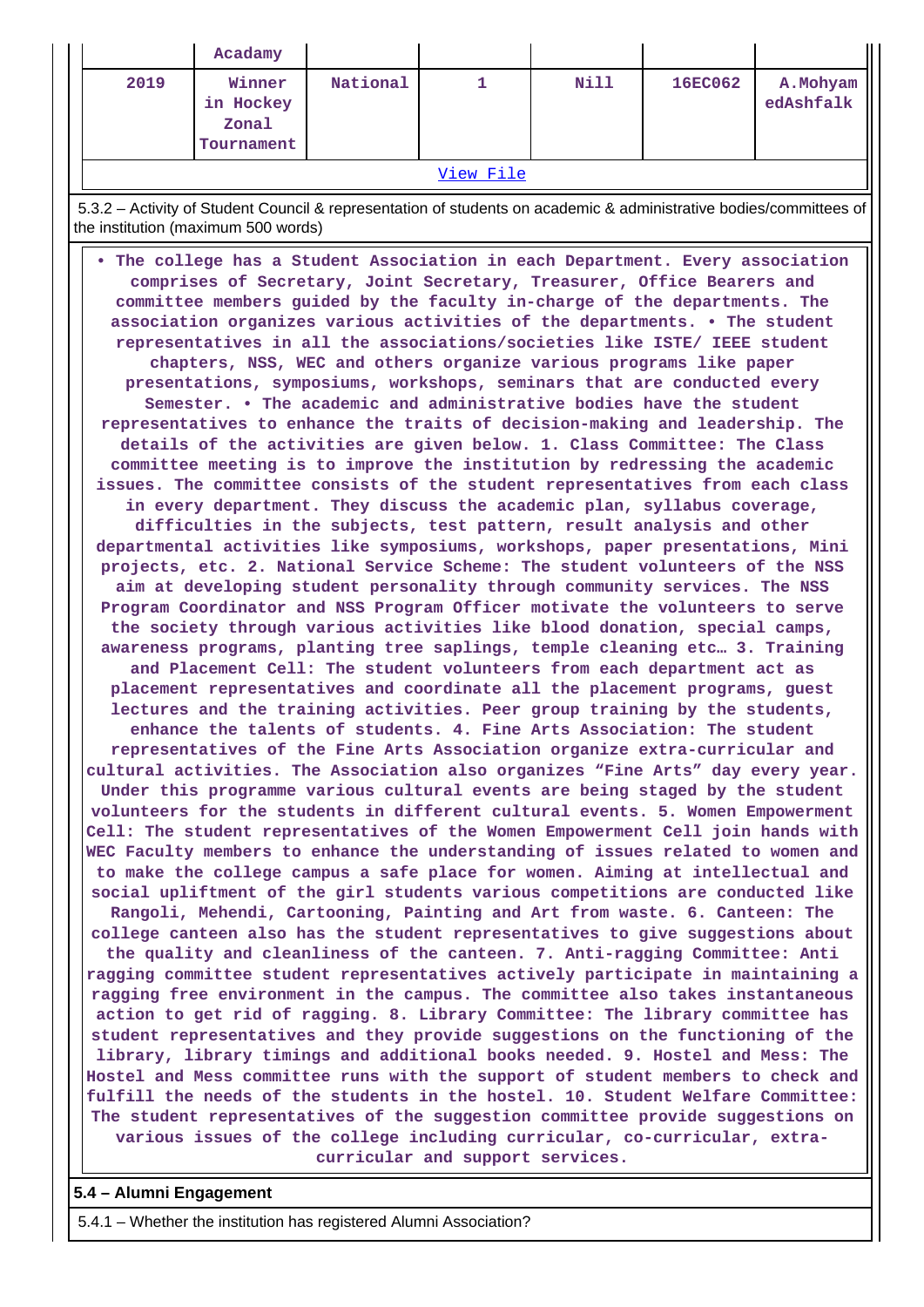|                                                                                                                                                                                                                                                                                                                                                                                                                                                                                                                                                                                                                                                                                                                                                                                                                                                                                                                                                                                                                                                                                                                                                                                                                                                                                                                                                                                                                                                                                                                                                                                                                                                                                                                                                                                                                                                                                                                                                                                                                                                                                                                                                                                                                                                                                                                                                                                                                                                                                                                                                                                                                                                                                                                                                                                                                                                                                                                                                                                                                                                                                                                                                                                                                                                                                                                                                                                                                                                                                                                                                                                                                                                                                                                                                                                                             | Acadamy                                    |          |           |             |                |                        |  |  |  |  |
|-------------------------------------------------------------------------------------------------------------------------------------------------------------------------------------------------------------------------------------------------------------------------------------------------------------------------------------------------------------------------------------------------------------------------------------------------------------------------------------------------------------------------------------------------------------------------------------------------------------------------------------------------------------------------------------------------------------------------------------------------------------------------------------------------------------------------------------------------------------------------------------------------------------------------------------------------------------------------------------------------------------------------------------------------------------------------------------------------------------------------------------------------------------------------------------------------------------------------------------------------------------------------------------------------------------------------------------------------------------------------------------------------------------------------------------------------------------------------------------------------------------------------------------------------------------------------------------------------------------------------------------------------------------------------------------------------------------------------------------------------------------------------------------------------------------------------------------------------------------------------------------------------------------------------------------------------------------------------------------------------------------------------------------------------------------------------------------------------------------------------------------------------------------------------------------------------------------------------------------------------------------------------------------------------------------------------------------------------------------------------------------------------------------------------------------------------------------------------------------------------------------------------------------------------------------------------------------------------------------------------------------------------------------------------------------------------------------------------------------------------------------------------------------------------------------------------------------------------------------------------------------------------------------------------------------------------------------------------------------------------------------------------------------------------------------------------------------------------------------------------------------------------------------------------------------------------------------------------------------------------------------------------------------------------------------------------------------------------------------------------------------------------------------------------------------------------------------------------------------------------------------------------------------------------------------------------------------------------------------------------------------------------------------------------------------------------------------------------------------------------------------------------------------------------------------|--------------------------------------------|----------|-----------|-------------|----------------|------------------------|--|--|--|--|
| 2019                                                                                                                                                                                                                                                                                                                                                                                                                                                                                                                                                                                                                                                                                                                                                                                                                                                                                                                                                                                                                                                                                                                                                                                                                                                                                                                                                                                                                                                                                                                                                                                                                                                                                                                                                                                                                                                                                                                                                                                                                                                                                                                                                                                                                                                                                                                                                                                                                                                                                                                                                                                                                                                                                                                                                                                                                                                                                                                                                                                                                                                                                                                                                                                                                                                                                                                                                                                                                                                                                                                                                                                                                                                                                                                                                                                                        | Winner<br>in Hockey<br>Zonal<br>Tournament | National | 1         | <b>Nill</b> | <b>16EC062</b> | A. Mohyam<br>edAshfalk |  |  |  |  |
|                                                                                                                                                                                                                                                                                                                                                                                                                                                                                                                                                                                                                                                                                                                                                                                                                                                                                                                                                                                                                                                                                                                                                                                                                                                                                                                                                                                                                                                                                                                                                                                                                                                                                                                                                                                                                                                                                                                                                                                                                                                                                                                                                                                                                                                                                                                                                                                                                                                                                                                                                                                                                                                                                                                                                                                                                                                                                                                                                                                                                                                                                                                                                                                                                                                                                                                                                                                                                                                                                                                                                                                                                                                                                                                                                                                                             |                                            |          | View File |             |                |                        |  |  |  |  |
|                                                                                                                                                                                                                                                                                                                                                                                                                                                                                                                                                                                                                                                                                                                                                                                                                                                                                                                                                                                                                                                                                                                                                                                                                                                                                                                                                                                                                                                                                                                                                                                                                                                                                                                                                                                                                                                                                                                                                                                                                                                                                                                                                                                                                                                                                                                                                                                                                                                                                                                                                                                                                                                                                                                                                                                                                                                                                                                                                                                                                                                                                                                                                                                                                                                                                                                                                                                                                                                                                                                                                                                                                                                                                                                                                                                                             |                                            |          |           |             |                |                        |  |  |  |  |
|                                                                                                                                                                                                                                                                                                                                                                                                                                                                                                                                                                                                                                                                                                                                                                                                                                                                                                                                                                                                                                                                                                                                                                                                                                                                                                                                                                                                                                                                                                                                                                                                                                                                                                                                                                                                                                                                                                                                                                                                                                                                                                                                                                                                                                                                                                                                                                                                                                                                                                                                                                                                                                                                                                                                                                                                                                                                                                                                                                                                                                                                                                                                                                                                                                                                                                                                                                                                                                                                                                                                                                                                                                                                                                                                                                                                             |                                            |          |           |             |                |                        |  |  |  |  |
| 5.3.2 - Activity of Student Council & representation of students on academic & administrative bodies/committees of<br>the institution (maximum 500 words)<br>. The college has a Student Association in each Department. Every association<br>comprises of Secretary, Joint Secretary, Treasurer, Office Bearers and<br>committee members guided by the faculty in-charge of the departments. The<br>association organizes various activities of the departments. . The student<br>representatives in all the associations/societies like ISTE/ IEEE student<br>chapters, NSS, WEC and others organize various programs like paper<br>presentations, symposiums, workshops, seminars that are conducted every<br>Semester. • The academic and administrative bodies have the student<br>representatives to enhance the traits of decision-making and leadership. The<br>details of the activities are given below. 1. Class Committee: The Class<br>committee meeting is to improve the institution by redressing the academic<br>issues. The committee consists of the student representatives from each class<br>in every department. They discuss the academic plan, syllabus coverage,<br>difficulties in the subjects, test pattern, result analysis and other<br>departmental activities like symposiums, workshops, paper presentations, Mini<br>projects, etc. 2. National Service Scheme: The student volunteers of the NSS<br>aim at developing student personality through community services. The NSS<br>Program Coordinator and NSS Program Officer motivate the volunteers to serve<br>the society through various activities like blood donation, special camps,<br>awareness programs, planting tree saplings, temple cleaning etc 3. Training<br>and Placement Cell: The student volunteers from each department act as<br>placement representatives and coordinate all the placement programs, guest<br>lectures and the training activities. Peer group training by the students,<br>enhance the talents of students, 4, Fine Arts Association: The student<br>representatives of the Fine Arts Association organize extra-curricular and<br>cultural activities. The Association also organizes "Fine Arts" day every year.<br>Under this programme various cultural events are being staged by the student<br>volunteers for the students in different cultural events. 5. Women Empowerment<br>Cell: The student representatives of the Women Empowerment Cell join hands with<br>WEC Faculty members to enhance the understanding of issues related to women and<br>to make the college campus a safe place for women. Aiming at intellectual and<br>social upliftment of the girl students various competitions are conducted like<br>Rangoli, Mehendi, Cartooning, Painting and Art from waste. 6. Canteen: The<br>college canteen also has the student representatives to give suggestions about<br>the quality and cleanliness of the canteen. 7. Anti-ragging Committee: Anti<br>ragging committee student representatives actively participate in maintaining a<br>ragging free environment in the campus. The committee also takes instantaneous<br>action to get rid of ragging. 8. Library Committee: The library committee has<br>student representatives and they provide suggestions on the functioning of the<br>library, library timings and additional books needed. 9. Hostel and Mess: The<br>Hostel and Mess committee runs with the support of student members to check and<br>fulfill the needs of the students in the hostel. 10. Student Welfare Committee:<br>The student representatives of the suggestion committee provide suggestions on<br>various issues of the college including curricular, co-curricular, extra-<br>curricular and support services. |                                            |          |           |             |                |                        |  |  |  |  |

**5.4 – Alumni Engagement**

5.4.1 – Whether the institution has registered Alumni Association?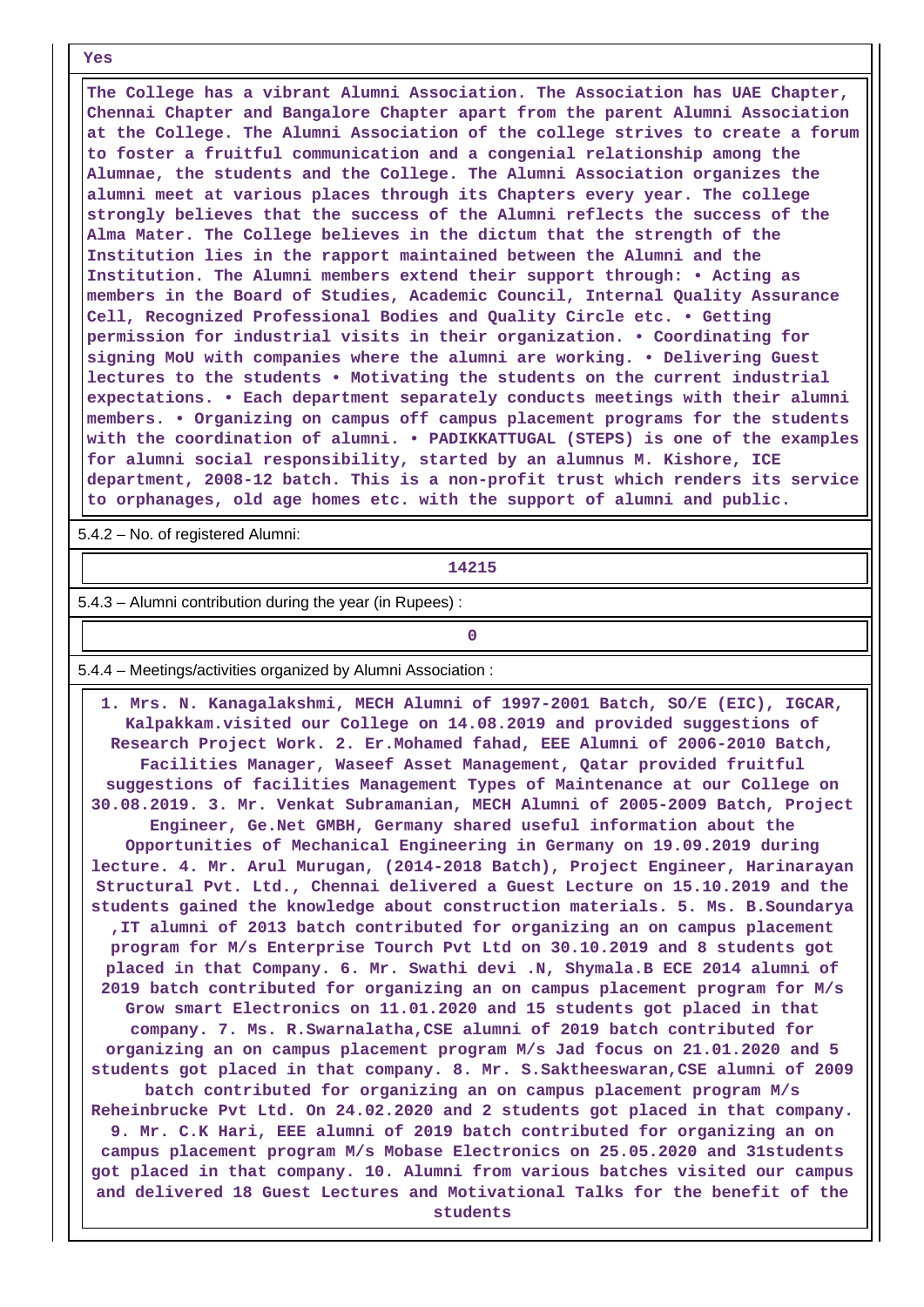**Yes**

 **The College has a vibrant Alumni Association. The Association has UAE Chapter, Chennai Chapter and Bangalore Chapter apart from the parent Alumni Association at the College. The Alumni Association of the college strives to create a forum to foster a fruitful communication and a congenial relationship among the Alumnae, the students and the College. The Alumni Association organizes the alumni meet at various places through its Chapters every year. The college strongly believes that the success of the Alumni reflects the success of the Alma Mater. The College believes in the dictum that the strength of the Institution lies in the rapport maintained between the Alumni and the Institution. The Alumni members extend their support through: • Acting as members in the Board of Studies, Academic Council, Internal Quality Assurance Cell, Recognized Professional Bodies and Quality Circle etc. • Getting permission for industrial visits in their organization. • Coordinating for signing MoU with companies where the alumni are working. • Delivering Guest lectures to the students • Motivating the students on the current industrial expectations. • Each department separately conducts meetings with their alumni members. • Organizing on campus off campus placement programs for the students with the coordination of alumni. • PADIKKATTUGAL (STEPS) is one of the examples for alumni social responsibility, started by an alumnus M. Kishore, ICE department, 2008-12 batch. This is a non-profit trust which renders its service to orphanages, old age homes etc. with the support of alumni and public.**

5.4.2 – No. of registered Alumni:

**14215**

5.4.3 – Alumni contribution during the year (in Rupees) :

**0**

5.4.4 – Meetings/activities organized by Alumni Association :

 **1. Mrs. N. Kanagalakshmi, MECH Alumni of 1997-2001 Batch, SO/E (EIC), IGCAR, Kalpakkam.visited our College on 14.08.2019 and provided suggestions of Research Project Work. 2. Er.Mohamed fahad, EEE Alumni of 2006-2010 Batch, Facilities Manager, Waseef Asset Management, Qatar provided fruitful suggestions of facilities Management Types of Maintenance at our College on 30.08.2019. 3. Mr. Venkat Subramanian, MECH Alumni of 2005-2009 Batch, Project Engineer, Ge.Net GMBH, Germany shared useful information about the Opportunities of Mechanical Engineering in Germany on 19.09.2019 during lecture. 4. Mr. Arul Murugan, (2014-2018 Batch), Project Engineer, Harinarayan Structural Pvt. Ltd., Chennai delivered a Guest Lecture on 15.10.2019 and the students gained the knowledge about construction materials. 5. Ms. B.Soundarya ,IT alumni of 2013 batch contributed for organizing an on campus placement program for M/s Enterprise Tourch Pvt Ltd on 30.10.2019 and 8 students got placed in that Company. 6. Mr. Swathi devi .N, Shymala.B ECE 2014 alumni of 2019 batch contributed for organizing an on campus placement program for M/s Grow smart Electronics on 11.01.2020 and 15 students got placed in that company. 7. Ms. R.Swarnalatha,CSE alumni of 2019 batch contributed for organizing an on campus placement program M/s Jad focus on 21.01.2020 and 5 students got placed in that company. 8. Mr. S.Saktheeswaran,CSE alumni of 2009 batch contributed for organizing an on campus placement program M/s Reheinbrucke Pvt Ltd. On 24.02.2020 and 2 students got placed in that company. 9. Mr. C.K Hari, EEE alumni of 2019 batch contributed for organizing an on campus placement program M/s Mobase Electronics on 25.05.2020 and 31students got placed in that company. 10. Alumni from various batches visited our campus and delivered 18 Guest Lectures and Motivational Talks for the benefit of the students**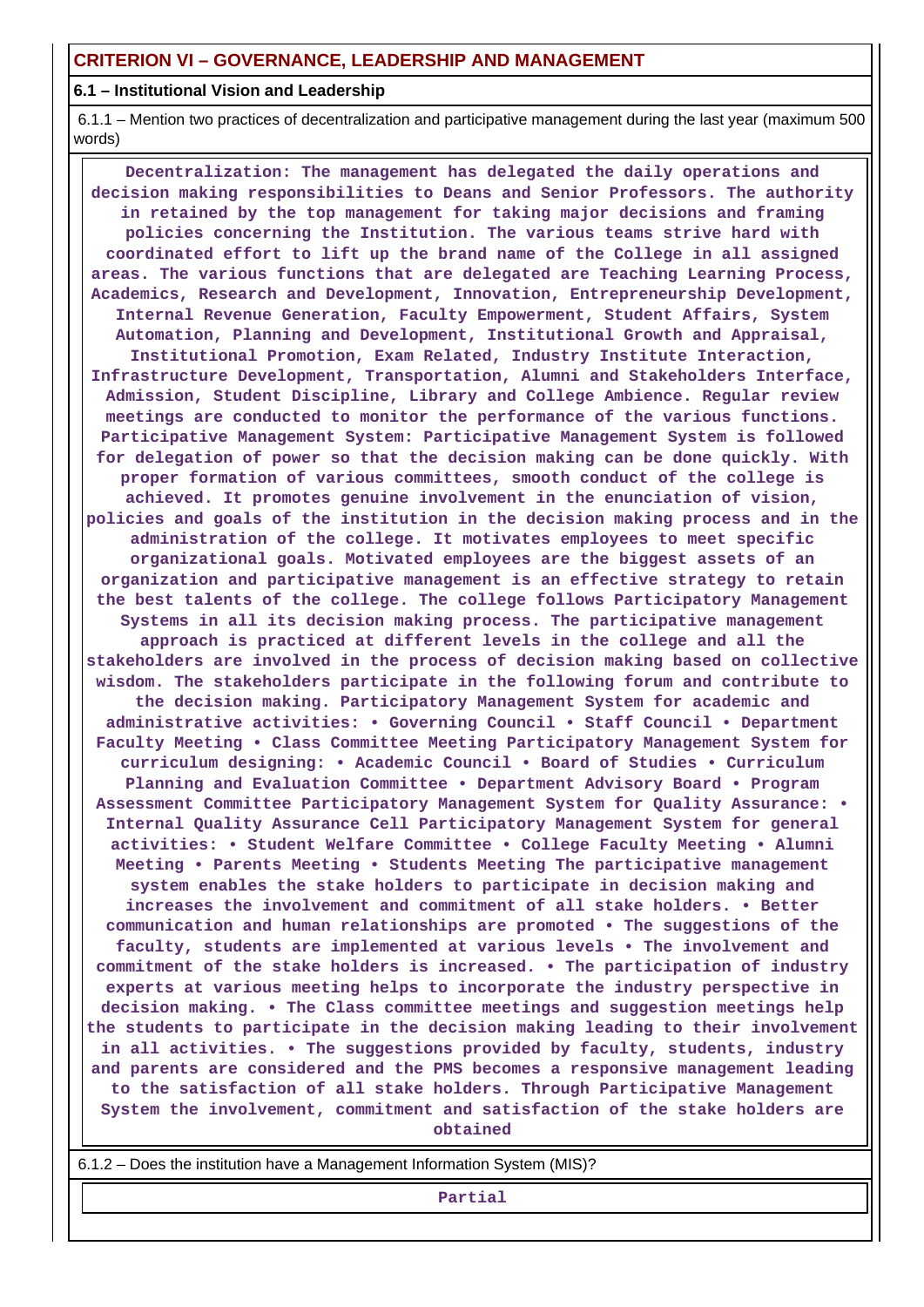#### **6.1 – Institutional Vision and Leadership**

 6.1.1 – Mention two practices of decentralization and participative management during the last year (maximum 500 words)

 **Decentralization: The management has delegated the daily operations and decision making responsibilities to Deans and Senior Professors. The authority in retained by the top management for taking major decisions and framing policies concerning the Institution. The various teams strive hard with coordinated effort to lift up the brand name of the College in all assigned areas. The various functions that are delegated are Teaching Learning Process, Academics, Research and Development, Innovation, Entrepreneurship Development, Internal Revenue Generation, Faculty Empowerment, Student Affairs, System Automation, Planning and Development, Institutional Growth and Appraisal, Institutional Promotion, Exam Related, Industry Institute Interaction, Infrastructure Development, Transportation, Alumni and Stakeholders Interface, Admission, Student Discipline, Library and College Ambience. Regular review meetings are conducted to monitor the performance of the various functions. Participative Management System: Participative Management System is followed for delegation of power so that the decision making can be done quickly. With proper formation of various committees, smooth conduct of the college is achieved. It promotes genuine involvement in the enunciation of vision, policies and goals of the institution in the decision making process and in the administration of the college. It motivates employees to meet specific organizational goals. Motivated employees are the biggest assets of an organization and participative management is an effective strategy to retain the best talents of the college. The college follows Participatory Management Systems in all its decision making process. The participative management approach is practiced at different levels in the college and all the stakeholders are involved in the process of decision making based on collective wisdom. The stakeholders participate in the following forum and contribute to the decision making. Participatory Management System for academic and administrative activities: • Governing Council • Staff Council • Department Faculty Meeting • Class Committee Meeting Participatory Management System for curriculum designing: • Academic Council • Board of Studies • Curriculum Planning and Evaluation Committee • Department Advisory Board • Program Assessment Committee Participatory Management System for Quality Assurance: • Internal Quality Assurance Cell Participatory Management System for general activities: • Student Welfare Committee • College Faculty Meeting • Alumni Meeting • Parents Meeting • Students Meeting The participative management system enables the stake holders to participate in decision making and increases the involvement and commitment of all stake holders. • Better communication and human relationships are promoted • The suggestions of the faculty, students are implemented at various levels • The involvement and commitment of the stake holders is increased. • The participation of industry experts at various meeting helps to incorporate the industry perspective in decision making. • The Class committee meetings and suggestion meetings help the students to participate in the decision making leading to their involvement in all activities. • The suggestions provided by faculty, students, industry and parents are considered and the PMS becomes a responsive management leading to the satisfaction of all stake holders. Through Participative Management System the involvement, commitment and satisfaction of the stake holders are obtained**

6.1.2 – Does the institution have a Management Information System (MIS)?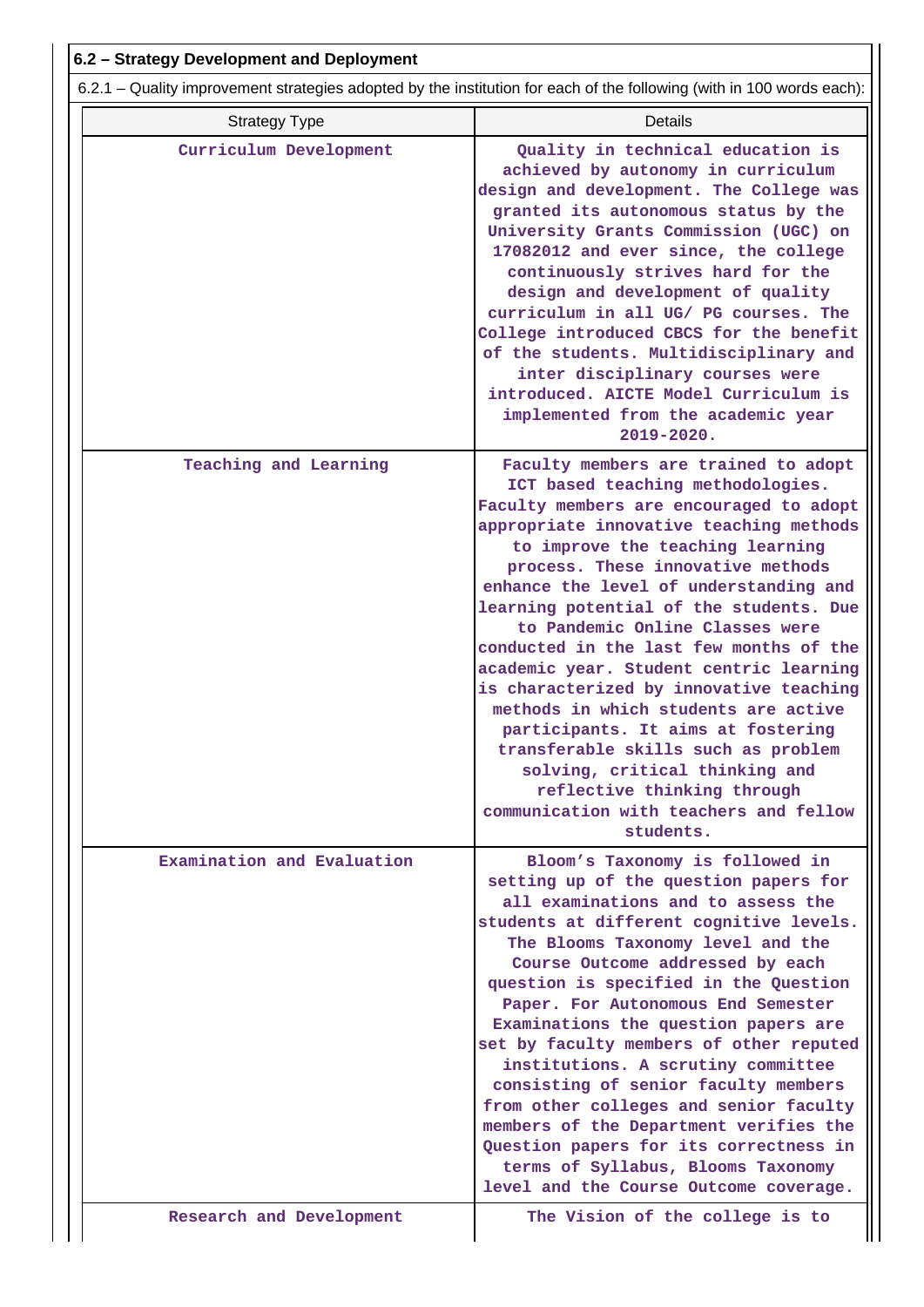| 6.2.1 – Quality improvement strategies adopted by the institution for each of the following (with in 100 words each): |                            |                                                                                                                                                                                                                                                                                                                                                                                                                                                                                                                                                                                                                                                                                                                                                |  |  |  |
|-----------------------------------------------------------------------------------------------------------------------|----------------------------|------------------------------------------------------------------------------------------------------------------------------------------------------------------------------------------------------------------------------------------------------------------------------------------------------------------------------------------------------------------------------------------------------------------------------------------------------------------------------------------------------------------------------------------------------------------------------------------------------------------------------------------------------------------------------------------------------------------------------------------------|--|--|--|
|                                                                                                                       | <b>Strategy Type</b>       | <b>Details</b>                                                                                                                                                                                                                                                                                                                                                                                                                                                                                                                                                                                                                                                                                                                                 |  |  |  |
|                                                                                                                       | Curriculum Development     | Quality in technical education is<br>achieved by autonomy in curriculum<br>design and development. The College was<br>granted its autonomous status by the<br>University Grants Commission (UGC) on<br>17082012 and ever since, the college<br>continuously strives hard for the<br>design and development of quality<br>curriculum in all UG/ PG courses. The<br>College introduced CBCS for the benefit<br>of the students. Multidisciplinary and<br>inter disciplinary courses were<br>introduced. AICTE Model Curriculum is<br>implemented from the academic year<br>$2019 - 2020.$                                                                                                                                                        |  |  |  |
|                                                                                                                       | Teaching and Learning      | Faculty members are trained to adopt<br>ICT based teaching methodologies.<br>Faculty members are encouraged to adopt<br>appropriate innovative teaching methods<br>to improve the teaching learning<br>process. These innovative methods<br>enhance the level of understanding and<br>learning potential of the students. Due<br>to Pandemic Online Classes were<br>conducted in the last few months of the<br>academic year. Student centric learning<br>is characterized by innovative teaching<br>methods in which students are active<br>participants. It aims at fostering<br>transferable skills such as problem<br>solving, critical thinking and<br>reflective thinking through<br>communication with teachers and fellow<br>students. |  |  |  |
|                                                                                                                       | Examination and Evaluation | Bloom's Taxonomy is followed in<br>setting up of the question papers for<br>all examinations and to assess the<br>students at different cognitive levels.<br>The Blooms Taxonomy level and the<br>Course Outcome addressed by each<br>question is specified in the Question<br>Paper. For Autonomous End Semester<br>Examinations the question papers are<br>set by faculty members of other reputed<br>institutions. A scrutiny committee<br>consisting of senior faculty members<br>from other colleges and senior faculty<br>members of the Department verifies the<br>Question papers for its correctness in<br>terms of Syllabus, Blooms Taxonomy<br>level and the Course Outcome coverage.                                               |  |  |  |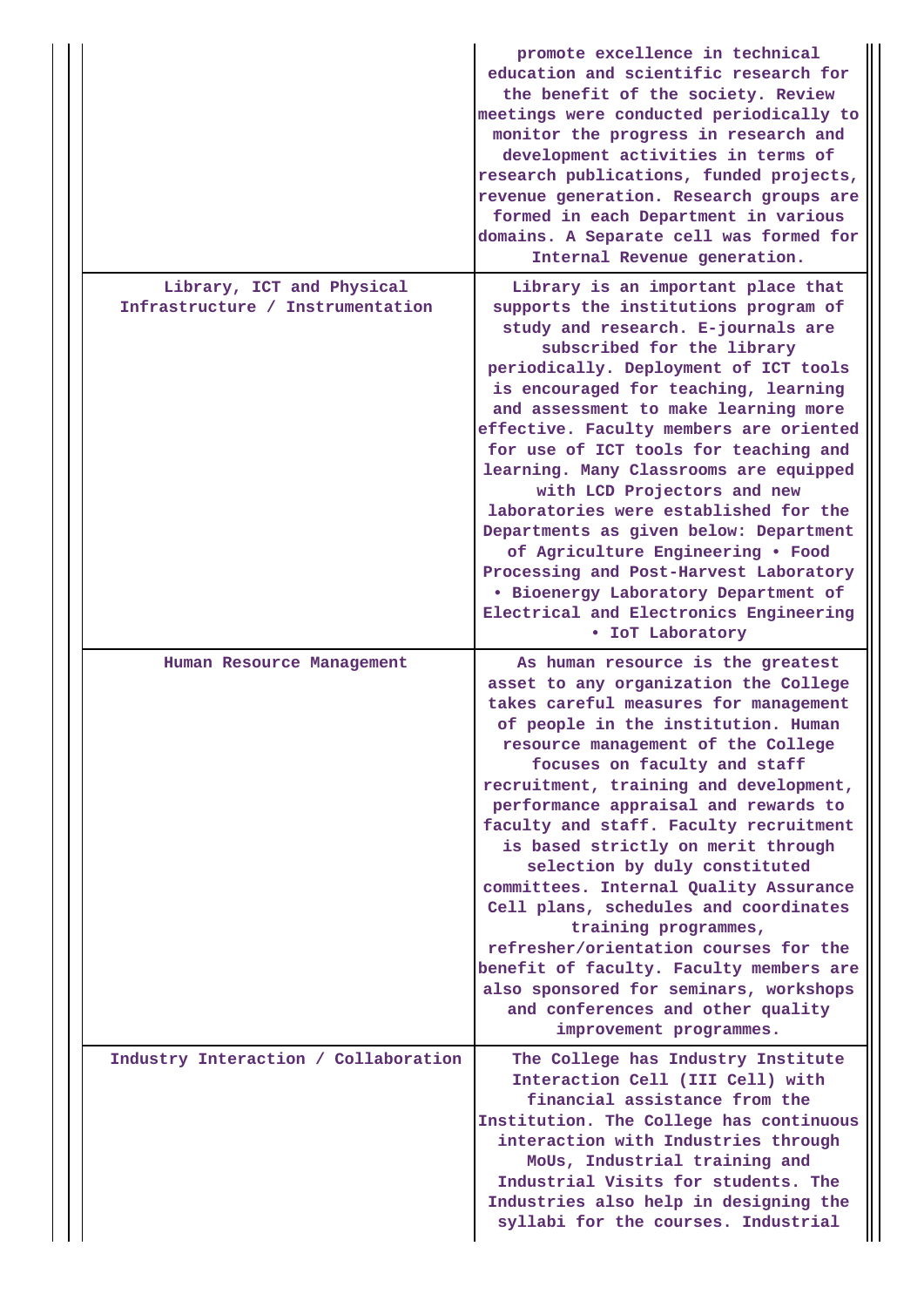|                                                               | promote excellence in technical<br>education and scientific research for<br>the benefit of the society. Review<br>meetings were conducted periodically to<br>monitor the progress in research and<br>development activities in terms of<br>research publications, funded projects,<br>revenue generation. Research groups are<br>formed in each Department in various<br>domains. A Separate cell was formed for<br>Internal Revenue generation.                                                                                                                                                                                                                                                                                             |
|---------------------------------------------------------------|----------------------------------------------------------------------------------------------------------------------------------------------------------------------------------------------------------------------------------------------------------------------------------------------------------------------------------------------------------------------------------------------------------------------------------------------------------------------------------------------------------------------------------------------------------------------------------------------------------------------------------------------------------------------------------------------------------------------------------------------|
| Library, ICT and Physical<br>Infrastructure / Instrumentation | Library is an important place that<br>supports the institutions program of<br>study and research. E-journals are<br>subscribed for the library<br>periodically. Deployment of ICT tools<br>is encouraged for teaching, learning<br>and assessment to make learning more<br>effective. Faculty members are oriented<br>for use of ICT tools for teaching and<br>learning. Many Classrooms are equipped<br>with LCD Projectors and new<br>laboratories were established for the<br>Departments as given below: Department<br>of Agriculture Engineering . Food<br>Processing and Post-Harvest Laboratory<br>. Bioenergy Laboratory Department of<br>Electrical and Electronics Engineering<br>• IoT Laboratory                                 |
| Human Resource Management                                     | As human resource is the greatest<br>asset to any organization the College<br>takes careful measures for management<br>of people in the institution. Human<br>resource management of the College<br>focuses on faculty and staff<br>recruitment, training and development,<br>performance appraisal and rewards to<br>faculty and staff. Faculty recruitment<br>is based strictly on merit through<br>selection by duly constituted<br>committees. Internal Quality Assurance<br>Cell plans, schedules and coordinates<br>training programmes,<br>refresher/orientation courses for the<br>benefit of faculty. Faculty members are<br>also sponsored for seminars, workshops<br>and conferences and other quality<br>improvement programmes. |
| Industry Interaction / Collaboration                          | The College has Industry Institute<br>Interaction Cell (III Cell) with<br>financial assistance from the<br>Institution. The College has continuous<br>interaction with Industries through<br>MoUs, Industrial training and<br>Industrial Visits for students. The<br>Industries also help in designing the<br>syllabi for the courses. Industrial                                                                                                                                                                                                                                                                                                                                                                                            |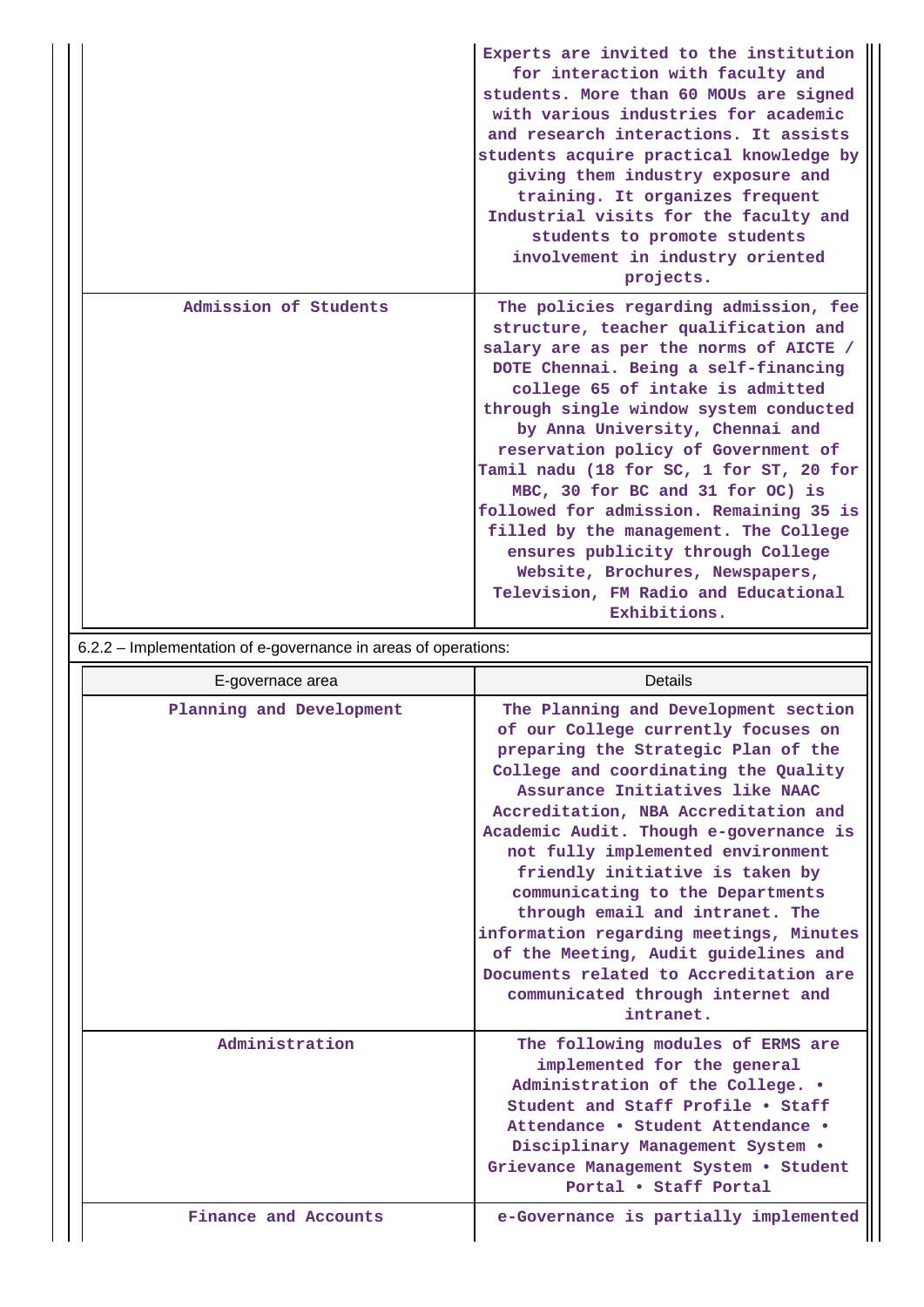|                       | Experts are invited to the institution<br>for interaction with faculty and<br>students. More than 60 MOUs are signed<br>with various industries for academic<br>and research interactions. It assists<br>students acquire practical knowledge by<br>giving them industry exposure and<br>training. It organizes frequent<br>Industrial visits for the faculty and<br>students to promote students<br>involvement in industry oriented<br>projects.                                                                                                                                                                         |
|-----------------------|----------------------------------------------------------------------------------------------------------------------------------------------------------------------------------------------------------------------------------------------------------------------------------------------------------------------------------------------------------------------------------------------------------------------------------------------------------------------------------------------------------------------------------------------------------------------------------------------------------------------------|
| Admission of Students | The policies regarding admission, fee<br>structure, teacher qualification and<br>salary are as per the norms of AICTE /<br>DOTE Chennai. Being a self-financing<br>college 65 of intake is admitted<br>through single window system conducted<br>by Anna University, Chennai and<br>reservation policy of Government of<br>Tamil nadu (18 for SC, 1 for ST, 20 for<br>MBC, 30 for BC and 31 for OC) is<br>followed for admission. Remaining 35 is<br>filled by the management. The College<br>ensures publicity through College<br>Website, Brochures, Newspapers,<br>Television, FM Radio and Educational<br>Exhibitions. |

6.2.2 – Implementation of e-governance in areas of operations:

 $\overline{\phantom{a}}$ 

| E-governace area         | Details                                                                                                                                                                                                                                                                                                                                                                                                                                                                                                                                                                                                       |
|--------------------------|---------------------------------------------------------------------------------------------------------------------------------------------------------------------------------------------------------------------------------------------------------------------------------------------------------------------------------------------------------------------------------------------------------------------------------------------------------------------------------------------------------------------------------------------------------------------------------------------------------------|
| Planning and Development | The Planning and Development section<br>of our College currently focuses on<br>preparing the Strategic Plan of the<br>College and coordinating the Quality<br>Assurance Initiatives like NAAC<br>Accreditation, NBA Accreditation and<br>Academic Audit. Though e-governance is<br>not fully implemented environment<br>friendly initiative is taken by<br>communicating to the Departments<br>through email and intranet. The<br>information regarding meetings, Minutes<br>of the Meeting, Audit guidelines and<br>Documents related to Accreditation are<br>communicated through internet and<br>intranet. |
| Administration           | The following modules of ERMS are<br>implemented for the general<br>Administration of the College. .<br>Student and Staff Profile . Staff<br>Attendance • Student Attendance •<br>Disciplinary Management System .<br>Grievance Management System . Student<br>Portal . Staff Portal                                                                                                                                                                                                                                                                                                                          |
| Finance and Accounts     | e-Governance is partially implemented                                                                                                                                                                                                                                                                                                                                                                                                                                                                                                                                                                         |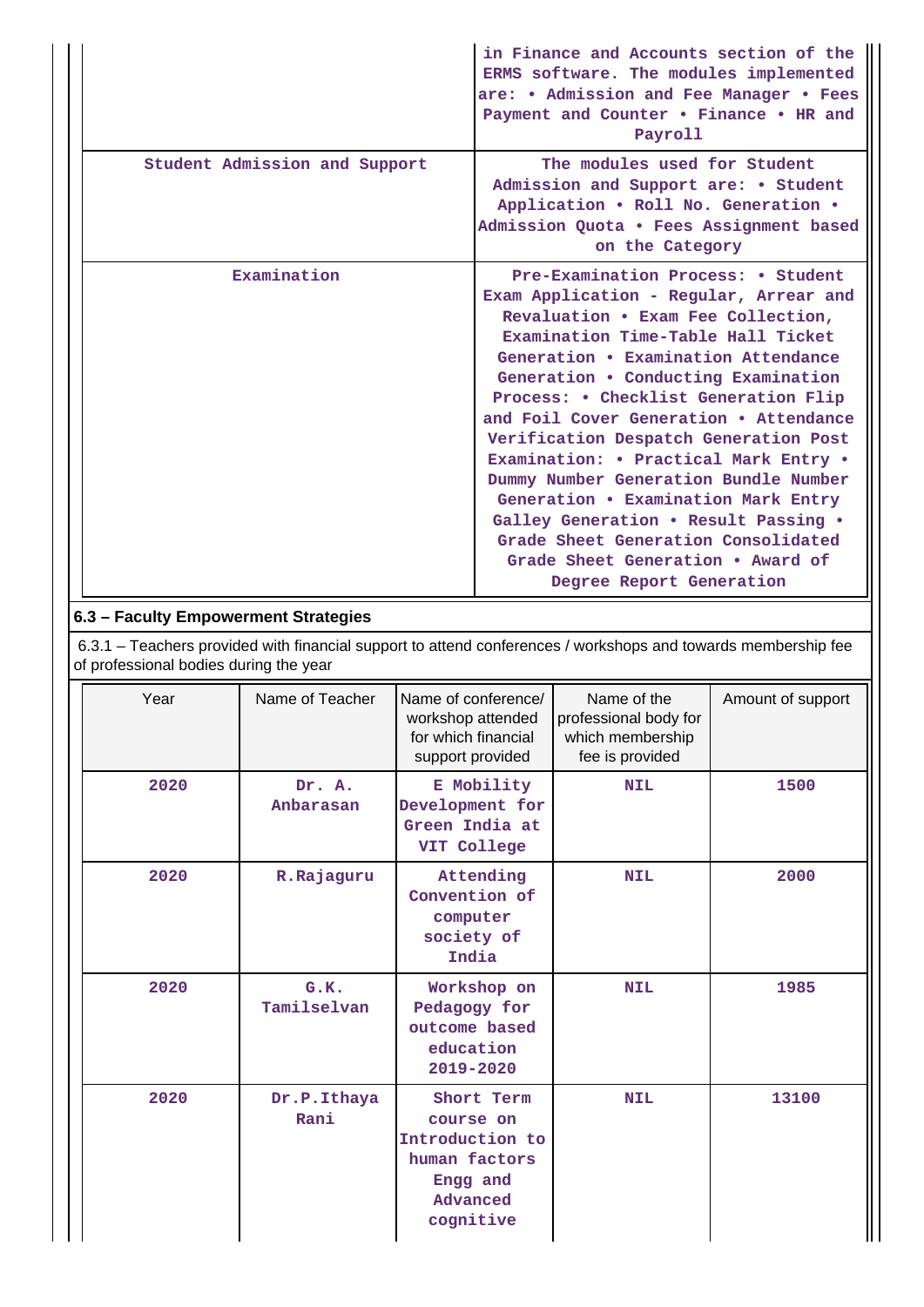|                               | in Finance and Accounts section of the<br>ERMS software. The modules implemented<br>are: • Admission and Fee Manager • Fees<br>Payment and Counter . Finance . HR and<br>Payroll                                                                                                                                                                                                                                                                                                                                                                                                                                                           |
|-------------------------------|--------------------------------------------------------------------------------------------------------------------------------------------------------------------------------------------------------------------------------------------------------------------------------------------------------------------------------------------------------------------------------------------------------------------------------------------------------------------------------------------------------------------------------------------------------------------------------------------------------------------------------------------|
| Student Admission and Support | The modules used for Student<br>Admission and Support are: • Student<br>Application . Roll No. Generation .<br>Admission Quota . Fees Assignment based<br>on the Category                                                                                                                                                                                                                                                                                                                                                                                                                                                                  |
| Examination                   | Pre-Examination Process: • Student<br>Exam Application - Regular, Arrear and<br>Revaluation . Exam Fee Collection,<br>Examination Time-Table Hall Ticket<br>Generation • Examination Attendance<br>Generation • Conducting Examination<br>Process: • Checklist Generation Flip<br>and Foil Cover Generation • Attendance<br>Verification Despatch Generation Post<br>Examination: • Practical Mark Entry •<br>Dummy Number Generation Bundle Number<br>Generation . Examination Mark Entry<br>Galley Generation . Result Passing .<br>Grade Sheet Generation Consolidated<br>Grade Sheet Generation • Award of<br>Degree Report Generation |

### **6.3 – Faculty Empowerment Strategies**

 6.3.1 – Teachers provided with financial support to attend conferences / workshops and towards membership fee of professional bodies during the year

| Year | Name of Teacher     | Name of conference/<br>workshop attended<br>for which financial<br>support provided              | Name of the<br>professional body for<br>which membership<br>fee is provided | Amount of support |
|------|---------------------|--------------------------------------------------------------------------------------------------|-----------------------------------------------------------------------------|-------------------|
| 2020 | Dr. A.<br>Anbarasan | E Mobility<br>Development for<br>Green India at<br>VIT College                                   | <b>NIL</b>                                                                  | 1500              |
| 2020 | R.Rajaguru          | Attending<br>Convention of<br>computer<br>society of<br>India                                    | <b>NIL</b>                                                                  | 2000              |
| 2020 | G.K.<br>Tamilselvan | Workshop on<br>Pedagogy for<br>outcome based<br>education<br>2019-2020                           | <b>NIL</b>                                                                  | 1985              |
| 2020 | Dr.P.Ithaya<br>Rani | Short Term<br>course on<br>Introduction to<br>human factors<br>Engg and<br>Advanced<br>cognitive | <b>NIL</b>                                                                  | 13100             |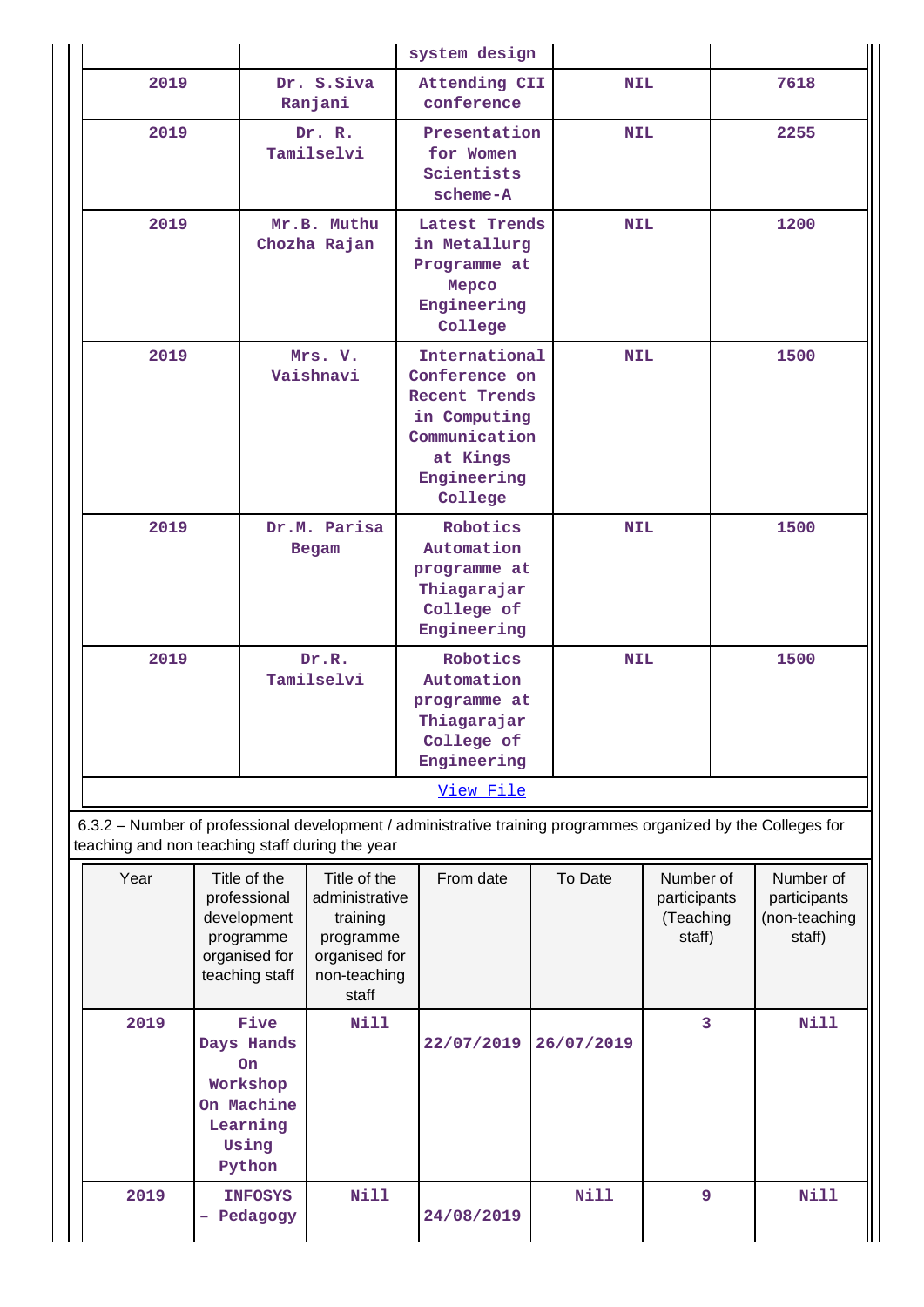|           |                              | system design                                                                                                                 |            |      |  |  |  |
|-----------|------------------------------|-------------------------------------------------------------------------------------------------------------------------------|------------|------|--|--|--|
| 2019      | Dr. S.Siva<br>Ranjani        | Attending CII<br>conference                                                                                                   | <b>NIL</b> | 7618 |  |  |  |
| 2019      | Dr. R.<br>Tamilselvi         | Presentation<br>for Women<br>Scientists<br>$scheme-A$                                                                         | <b>NIL</b> | 2255 |  |  |  |
| 2019      | Mr.B. Muthu<br>Chozha Rajan  | Latest Trends<br>in Metallurg<br>Programme at<br>Mepco<br>Engineering<br>College                                              | <b>NIL</b> | 1200 |  |  |  |
| 2019      | Mrs. V.<br>Vaishnavi         | International<br>Conference on<br><b>Recent Trends</b><br>in Computing<br>Communication<br>at Kings<br>Engineering<br>College | <b>NIL</b> | 1500 |  |  |  |
| 2019      | Dr.M. Parisa<br><b>Begam</b> | Robotics<br>Automation<br>programme at<br>Thiagarajar<br>College of<br>Engineering                                            | <b>NIL</b> | 1500 |  |  |  |
| 2019      | Dr.R.<br>Tamilselvi          | Robotics<br>Automation<br>programme at<br>Thiagarajar<br>College of<br>Engineering                                            | <b>NIL</b> | 1500 |  |  |  |
| View File |                              |                                                                                                                               |            |      |  |  |  |

 6.3.2 – Number of professional development / administrative training programmes organized by the Colleges for teaching and non teaching staff during the year

| Year | Title of the<br>professional<br>development<br>programme<br>organised for<br>teaching staff | Title of the<br>administrative<br>training<br>programme<br>organised for<br>non-teaching<br>staff | From date  | To Date    | Number of<br>participants<br>(Teaching<br>staff) | Number of<br>participants<br>(non-teaching<br>staff) |
|------|---------------------------------------------------------------------------------------------|---------------------------------------------------------------------------------------------------|------------|------------|--------------------------------------------------|------------------------------------------------------|
| 2019 | Five<br>Days Hands<br><b>On</b><br>Workshop<br>On Machine<br>Learning<br>Using<br>Python    | Nill                                                                                              | 22/07/2019 | 26/07/2019 | 3                                                | <b>Nill</b>                                          |
| 2019 | <b>INFOSYS</b><br>Pedagogy<br>1                                                             | Nill                                                                                              | 24/08/2019 | Nill       | 9                                                | Nill                                                 |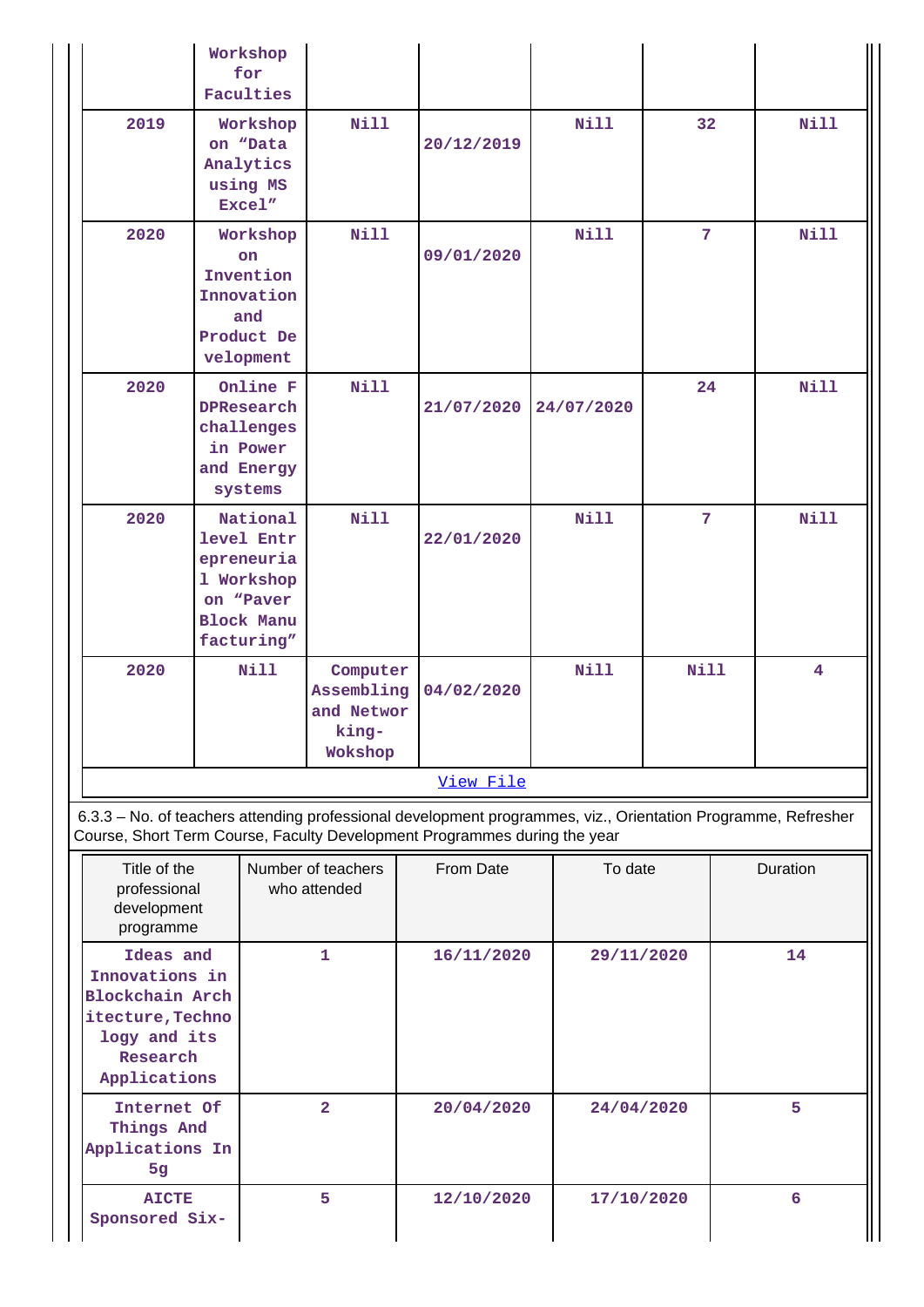|                                                                                                                                                                                            | Workshop<br>for<br>Faculties                                                                       |                                                          |            |             |                |                         |
|--------------------------------------------------------------------------------------------------------------------------------------------------------------------------------------------|----------------------------------------------------------------------------------------------------|----------------------------------------------------------|------------|-------------|----------------|-------------------------|
| 2019                                                                                                                                                                                       | Workshop<br>on "Data<br>Analytics<br>using MS<br>Excel"                                            | <b>Nill</b>                                              | 20/12/2019 | Nill        | 32             | Nill                    |
| 2020                                                                                                                                                                                       | Workshop<br>on<br>Invention<br>Innovation<br>and<br>Product De<br>velopment                        | <b>Nill</b>                                              | 09/01/2020 | <b>Nill</b> | $7\phantom{.}$ | <b>Nill</b>             |
| 2020                                                                                                                                                                                       | Online F<br>DPResearch<br>challenges<br>in Power<br>and Energy<br>systems                          | <b>Nill</b>                                              | 21/07/2020 | 24/07/2020  | 24             | <b>Nill</b>             |
| 2020                                                                                                                                                                                       | National<br>level Entr<br>epreneuria<br>1 Workshop<br>on "Paver<br><b>Block Manu</b><br>facturing" | <b>Nill</b>                                              | 22/01/2020 | <b>Nill</b> | 7              | <b>Nill</b>             |
| 2020                                                                                                                                                                                       | Nill                                                                                               | Computer<br>Assembling<br>and Networ<br>king-<br>Wokshop | 04/02/2020 | <b>Nill</b> | <b>Nill</b>    | $\overline{\mathbf{4}}$ |
|                                                                                                                                                                                            |                                                                                                    |                                                          | View File  |             |                |                         |
| 6.3.3 - No. of teachers attending professional development programmes, viz., Orientation Programme, Refresher<br>Course, Short Term Course, Faculty Development Programmes during the year |                                                                                                    |                                                          |            |             |                |                         |
| Title of the<br>professional<br>development<br>programme                                                                                                                                   |                                                                                                    | Number of teachers<br>who attended                       | From Date  | To date     |                | Duration                |
| Ideas and<br>Innovations in<br><b>Blockchain Arch</b><br>itecture, Techno<br>logy and its<br>Research<br>Applications                                                                      |                                                                                                    | 1                                                        | 16/11/2020 | 29/11/2020  |                | 14                      |
| Internet Of<br>Things And<br>Applications In<br>5g                                                                                                                                         |                                                                                                    | $\overline{\mathbf{2}}$                                  | 20/04/2020 | 24/04/2020  |                | 5                       |
| <b>AICTE</b><br>Sponsored Six-                                                                                                                                                             |                                                                                                    | 5                                                        | 12/10/2020 | 17/10/2020  |                | 6                       |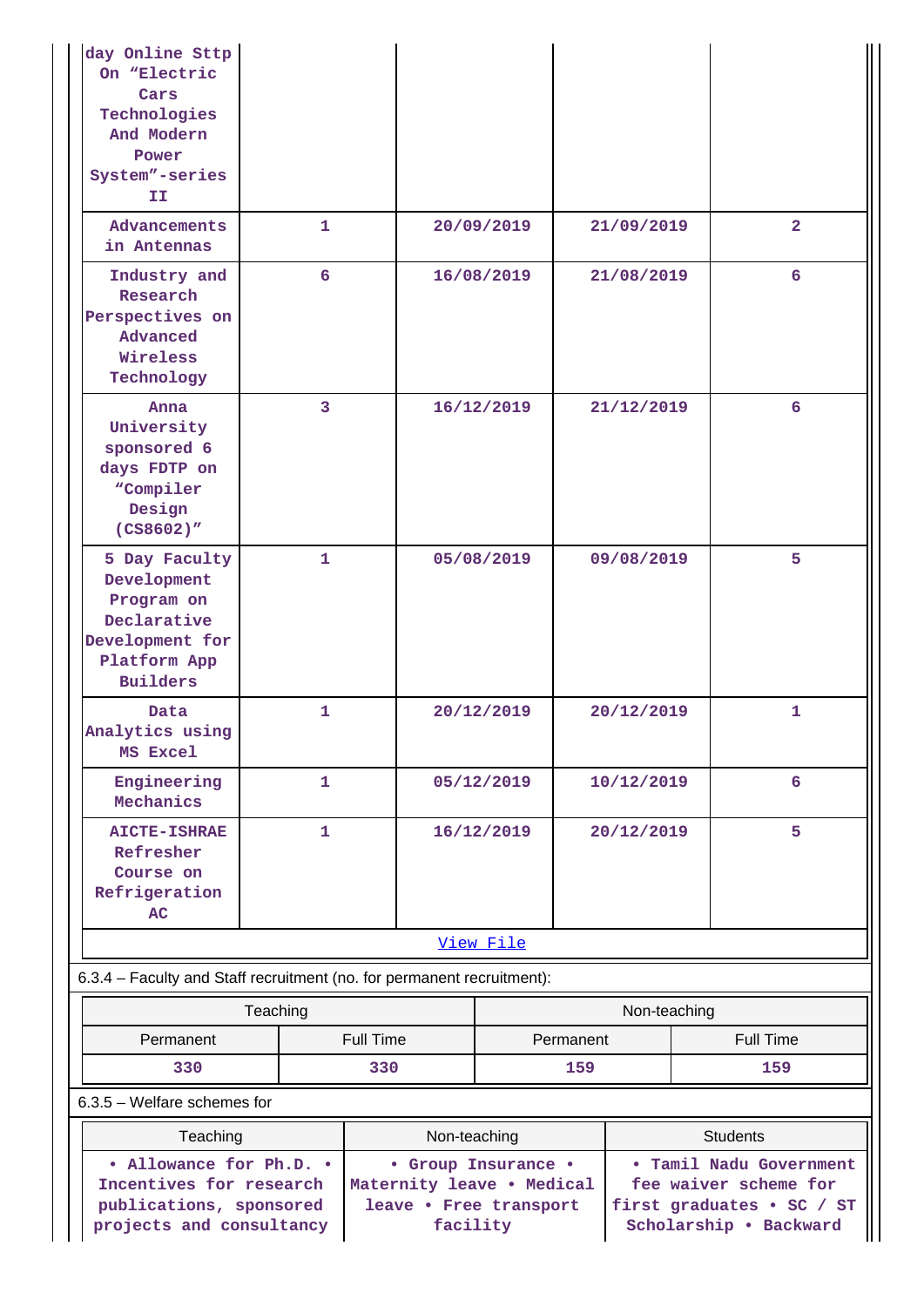| day Online Sttp<br>On "Electric<br>Cars<br>Technologies<br>And Modern<br>Power<br>System"-series<br>II                |                                                                                                        |                  |            |                                                                                                                            |              |                  |
|-----------------------------------------------------------------------------------------------------------------------|--------------------------------------------------------------------------------------------------------|------------------|------------|----------------------------------------------------------------------------------------------------------------------------|--------------|------------------|
| Advancements<br>in Antennas                                                                                           | 1                                                                                                      |                  | 20/09/2019 |                                                                                                                            | 21/09/2019   | $\overline{2}$   |
| Industry and<br>Research<br>Perspectives on<br>Advanced<br>Wireless<br>Technology                                     | 6                                                                                                      |                  | 16/08/2019 |                                                                                                                            | 21/08/2019   | 6                |
| Anna<br>University<br>sponsored 6<br>days FDTP on<br>"Compiler<br>Design<br>(CS8602)''                                | 3                                                                                                      |                  | 16/12/2019 |                                                                                                                            | 21/12/2019   | 6                |
| 5 Day Faculty<br>Development<br>Program on<br>Declarative<br>Development for<br>Platform App<br><b>Builders</b>       | $\mathbf{1}$                                                                                           |                  | 05/08/2019 |                                                                                                                            | 09/08/2019   | 5                |
| Data<br>Analytics using<br>MS Excel                                                                                   | 1.                                                                                                     |                  | 20/12/2019 |                                                                                                                            | 20/12/2019   | 1                |
| Engineering<br>Mechanics                                                                                              | $\mathbf{1}$                                                                                           |                  | 05/12/2019 |                                                                                                                            | 10/12/2019   | 6                |
| <b>AICTE-ISHRAE</b><br>Refresher<br>Course on<br>Refrigeration<br>AC                                                  | $\mathbf{1}$                                                                                           |                  | 16/12/2019 |                                                                                                                            | 20/12/2019   | 5                |
|                                                                                                                       |                                                                                                        |                  | View File  |                                                                                                                            |              |                  |
| 6.3.4 - Faculty and Staff recruitment (no. for permanent recruitment):                                                |                                                                                                        |                  |            |                                                                                                                            |              |                  |
| Teaching                                                                                                              |                                                                                                        |                  |            |                                                                                                                            | Non-teaching |                  |
| Permanent                                                                                                             |                                                                                                        | <b>Full Time</b> |            | Permanent                                                                                                                  |              | <b>Full Time</b> |
| 6.3.5 - Welfare schemes for                                                                                           | 330<br>330                                                                                             |                  |            | 159                                                                                                                        |              | 159              |
|                                                                                                                       |                                                                                                        |                  |            |                                                                                                                            |              |                  |
| Teaching<br>• Allowance for Ph.D. •<br>Incentives for research<br>publications, sponsored<br>projects and consultancy | Non-teaching<br>• Group Insurance •<br>Maternity leave . Medical<br>leave . Free transport<br>facility |                  |            | <b>Students</b><br>. Tamil Nadu Government<br>fee waiver scheme for<br>first graduates • SC / ST<br>Scholarship . Backward |              |                  |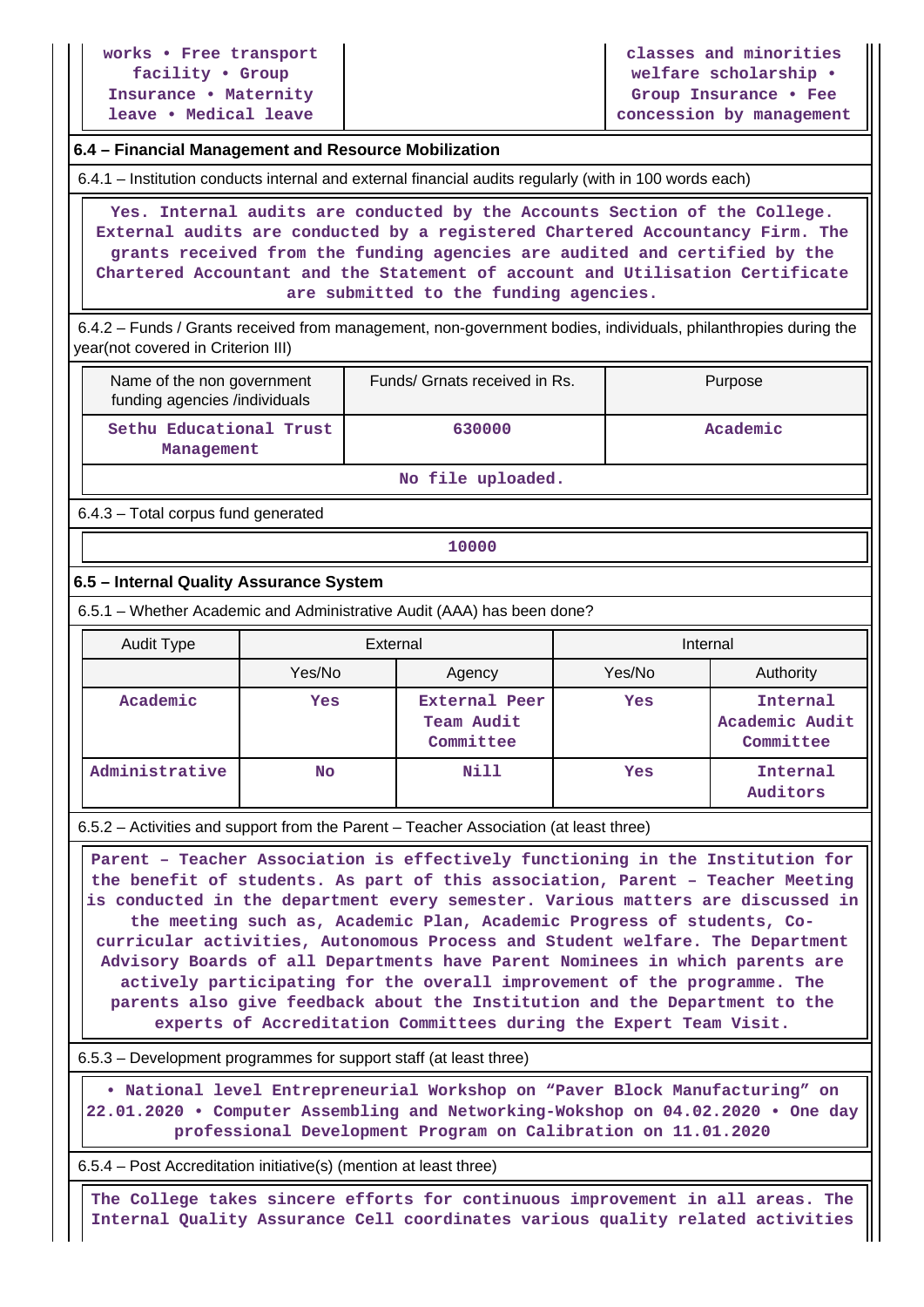**works • Free transport facility • Group Insurance • Maternity leave • Medical leave**

**classes and minorities welfare scholarship • Group Insurance • Fee concession by management**

#### **6.4 – Financial Management and Resource Mobilization**

6.4.1 – Institution conducts internal and external financial audits regularly (with in 100 words each)

 **Yes. Internal audits are conducted by the Accounts Section of the College. External audits are conducted by a registered Chartered Accountancy Firm. The grants received from the funding agencies are audited and certified by the Chartered Accountant and the Statement of account and Utilisation Certificate are submitted to the funding agencies.**

 6.4.2 – Funds / Grants received from management, non-government bodies, individuals, philanthropies during the year(not covered in Criterion III)

| Name of the non government<br>funding agencies /individuals | Funds/ Grnats received in Rs. | Purpose  |  |
|-------------------------------------------------------------|-------------------------------|----------|--|
| Sethu Educational Trust<br>Management                       | 630000                        | Academic |  |

#### **No file uploaded.**

6.4.3 – Total corpus fund generated

**10000**

#### **6.5 – Internal Quality Assurance System**

6.5.1 – Whether Academic and Administrative Audit (AAA) has been done?

| Audit Type     | External         |                                                 | Internal |                                         |  |
|----------------|------------------|-------------------------------------------------|----------|-----------------------------------------|--|
|                | Yes/No<br>Agency |                                                 | Yes/No   | Authority                               |  |
| Academic       | Yes              | <b>External Peer</b><br>Team Audit<br>Committee | Yes      | Internal<br>Academic Audit<br>Committee |  |
| Administrative | <b>No</b>        | Nill                                            | Yes      | Internal<br>Auditors                    |  |

6.5.2 – Activities and support from the Parent – Teacher Association (at least three)

 **Parent – Teacher Association is effectively functioning in the Institution for the benefit of students. As part of this association, Parent – Teacher Meeting is conducted in the department every semester. Various matters are discussed in the meeting such as, Academic Plan, Academic Progress of students, Cocurricular activities, Autonomous Process and Student welfare. The Department Advisory Boards of all Departments have Parent Nominees in which parents are actively participating for the overall improvement of the programme. The parents also give feedback about the Institution and the Department to the experts of Accreditation Committees during the Expert Team Visit.**

6.5.3 – Development programmes for support staff (at least three)

 **• National level Entrepreneurial Workshop on "Paver Block Manufacturing" on 22.01.2020 • Computer Assembling and Networking-Wokshop on 04.02.2020 • One day professional Development Program on Calibration on 11.01.2020**

6.5.4 – Post Accreditation initiative(s) (mention at least three)

 **The College takes sincere efforts for continuous improvement in all areas. The Internal Quality Assurance Cell coordinates various quality related activities**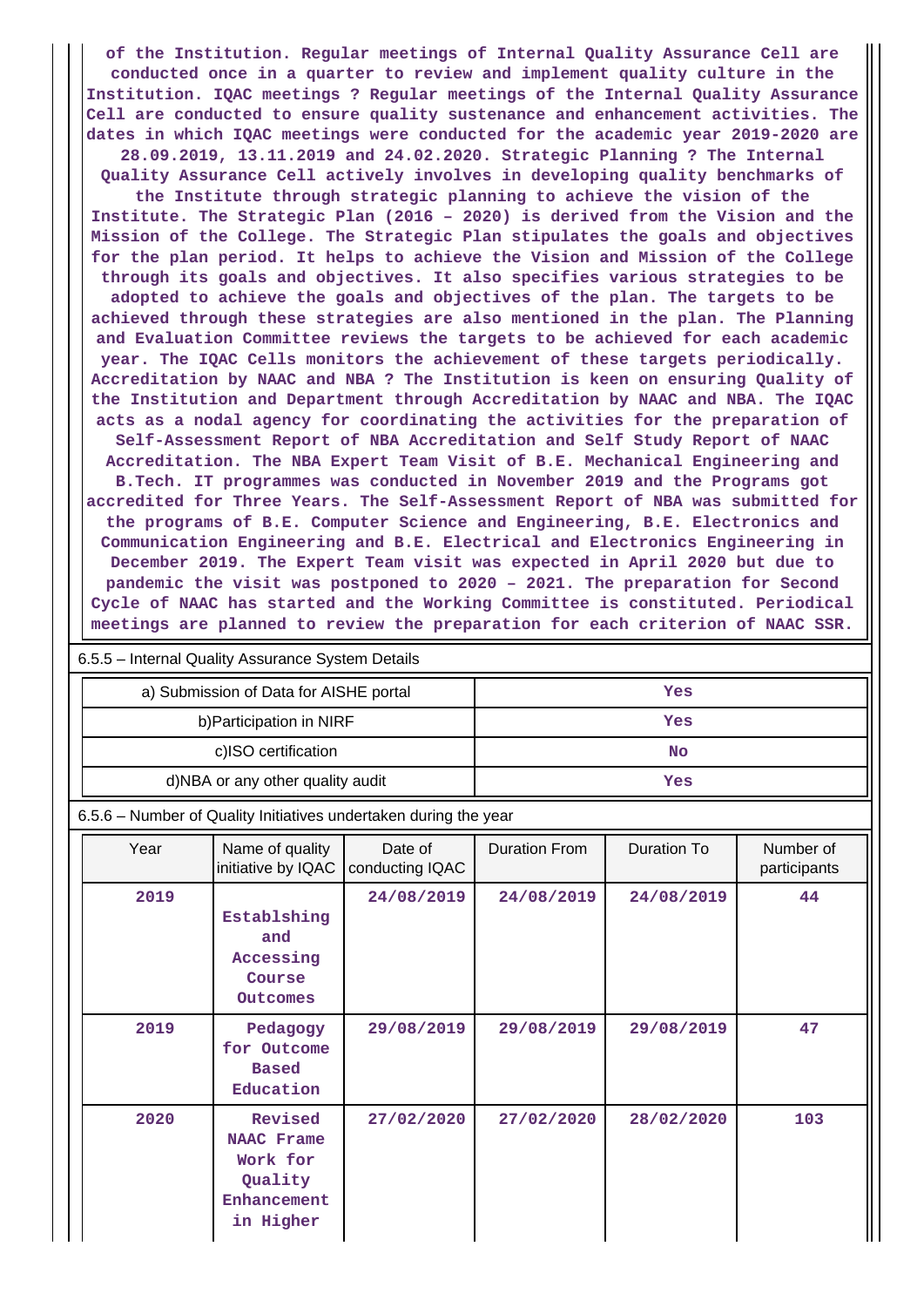**of the Institution. Regular meetings of Internal Quality Assurance Cell are conducted once in a quarter to review and implement quality culture in the Institution. IQAC meetings ? Regular meetings of the Internal Quality Assurance Cell are conducted to ensure quality sustenance and enhancement activities. The dates in which IQAC meetings were conducted for the academic year 2019-2020 are**

**28.09.2019, 13.11.2019 and 24.02.2020. Strategic Planning ? The Internal Quality Assurance Cell actively involves in developing quality benchmarks of**

**the Institute through strategic planning to achieve the vision of the Institute. The Strategic Plan (2016 – 2020) is derived from the Vision and the Mission of the College. The Strategic Plan stipulates the goals and objectives for the plan period. It helps to achieve the Vision and Mission of the College through its goals and objectives. It also specifies various strategies to be**

**adopted to achieve the goals and objectives of the plan. The targets to be achieved through these strategies are also mentioned in the plan. The Planning and Evaluation Committee reviews the targets to be achieved for each academic year. The IQAC Cells monitors the achievement of these targets periodically. Accreditation by NAAC and NBA ? The Institution is keen on ensuring Quality of the Institution and Department through Accreditation by NAAC and NBA. The IQAC acts as a nodal agency for coordinating the activities for the preparation of Self-Assessment Report of NBA Accreditation and Self Study Report of NAAC Accreditation. The NBA Expert Team Visit of B.E. Mechanical Engineering and B.Tech. IT programmes was conducted in November 2019 and the Programs got accredited for Three Years. The Self-Assessment Report of NBA was submitted for the programs of B.E. Computer Science and Engineering, B.E. Electronics and Communication Engineering and B.E. Electrical and Electronics Engineering in December 2019. The Expert Team visit was expected in April 2020 but due to pandemic the visit was postponed to 2020 – 2021. The preparation for Second Cycle of NAAC has started and the Working Committee is constituted. Periodical meetings are planned to review the preparation for each criterion of NAAC SSR.**

|                                                                  | $0.5.5 -$ internal Quality Assurance System Details |                                                                    |                            |                      |                    |                           |  |  |  |
|------------------------------------------------------------------|-----------------------------------------------------|--------------------------------------------------------------------|----------------------------|----------------------|--------------------|---------------------------|--|--|--|
|                                                                  |                                                     | a) Submission of Data for AISHE portal                             |                            | Yes                  |                    |                           |  |  |  |
|                                                                  |                                                     | b) Participation in NIRF                                           |                            | Yes                  |                    |                           |  |  |  |
|                                                                  |                                                     | c)ISO certification                                                |                            | <b>No</b>            |                    |                           |  |  |  |
|                                                                  |                                                     | d)NBA or any other quality audit                                   |                            | Yes                  |                    |                           |  |  |  |
| 6.5.6 - Number of Quality Initiatives undertaken during the year |                                                     |                                                                    |                            |                      |                    |                           |  |  |  |
|                                                                  | Year                                                | Name of quality<br>initiative by IQAC                              | Date of<br>conducting IQAC | <b>Duration From</b> | <b>Duration To</b> | Number of<br>participants |  |  |  |
|                                                                  | 2019                                                | Establshing<br>and<br>Accessing<br>Course<br>Outcomes              | 24/08/2019                 | 24/08/2019           | 24/08/2019         | 44                        |  |  |  |
|                                                                  | 2019                                                | Pedagogy<br>for Outcome<br><b>Based</b><br>Education               | 29/08/2019                 | 29/08/2019           | 29/08/2019         | 47                        |  |  |  |
|                                                                  | 2020                                                | Revised<br><b>NAAC Frame</b><br>Work for<br>Quality<br>Enhancement | 27/02/2020                 | 27/02/2020           | 28/02/2020         | 103                       |  |  |  |

6.5.5 – Internal Quality Assurance System Details

**in Higher**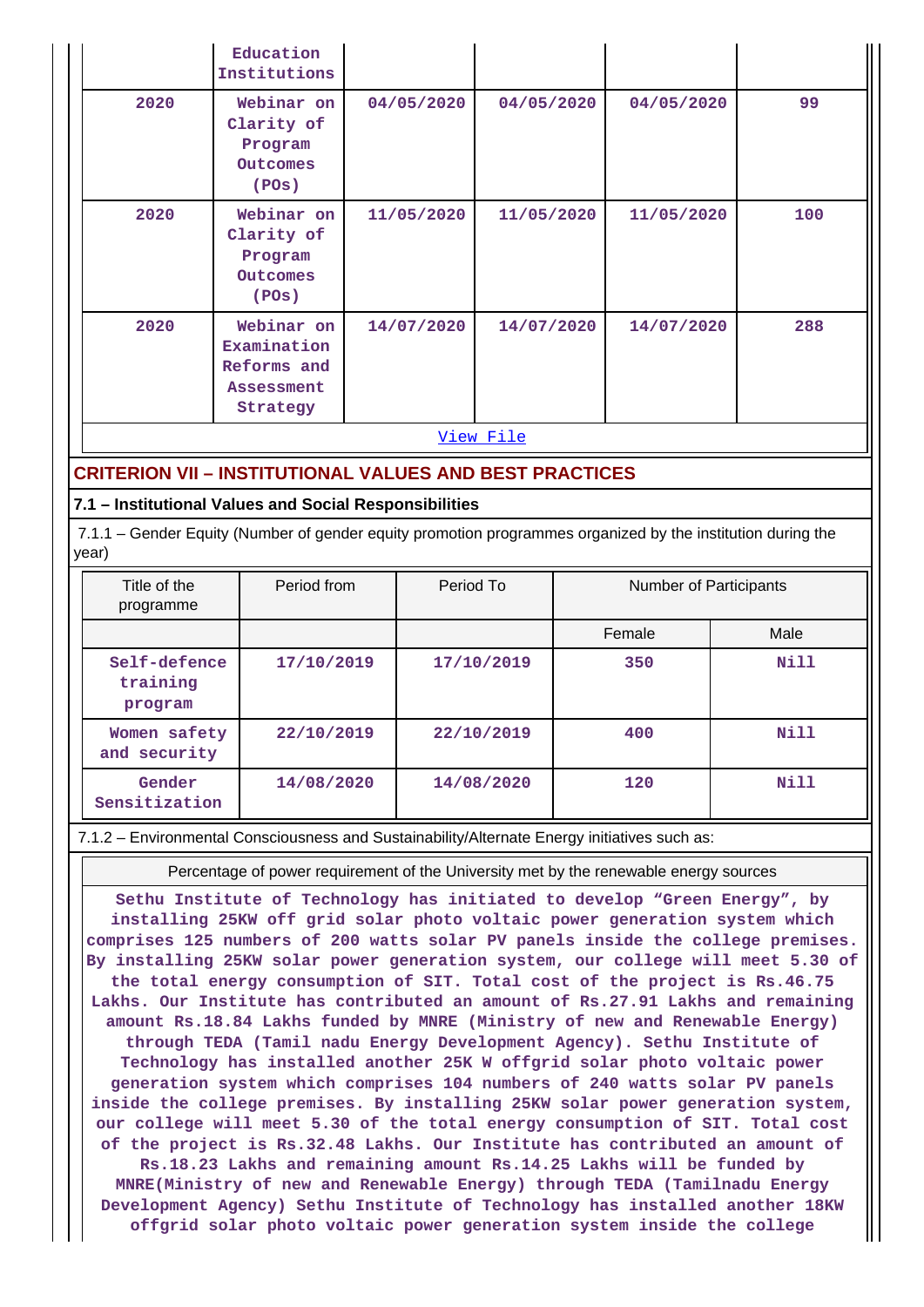|      | Education<br>Institutions                                          |            |            |            |     |
|------|--------------------------------------------------------------------|------------|------------|------------|-----|
| 2020 | Webinar on<br>Clarity of<br>Program<br>Outcomes<br>(POS)           | 04/05/2020 | 04/05/2020 | 04/05/2020 | 99  |
| 2020 | Webinar on<br>Clarity of<br>Program<br>Outcomes<br>(POS)           | 11/05/2020 | 11/05/2020 | 11/05/2020 | 100 |
| 2020 | Webinar on<br>Examination<br>Reforms and<br>Assessment<br>Strategy | 14/07/2020 | 14/07/2020 | 14/07/2020 | 288 |

[View File](https://assessmentonline.naac.gov.in/public/Postacc/Quality_Initiatives_B/11242_Quality_Initiatives_B_1628574247.xlsx)

#### **CRITERION VII – INSTITUTIONAL VALUES AND BEST PRACTICES**

#### **7.1 – Institutional Values and Social Responsibilities**

 7.1.1 – Gender Equity (Number of gender equity promotion programmes organized by the institution during the year)

| Title of the<br>programme           | Period from | Period To  | <b>Number of Participants</b> |      |
|-------------------------------------|-------------|------------|-------------------------------|------|
|                                     |             |            | Female                        | Male |
| Self-defence<br>training<br>program | 17/10/2019  | 17/10/2019 | 350                           | Nill |
| Women safety<br>and security        | 22/10/2019  | 22/10/2019 | 400                           | Nill |
| Gender<br>Sensitization             | 14/08/2020  | 14/08/2020 | 120                           | Nill |

7.1.2 – Environmental Consciousness and Sustainability/Alternate Energy initiatives such as:

Percentage of power requirement of the University met by the renewable energy sources

**Sethu Institute of Technology has initiated to develop "Green Energy", by installing 25KW off grid solar photo voltaic power generation system which comprises 125 numbers of 200 watts solar PV panels inside the college premises. By installing 25KW solar power generation system, our college will meet 5.30 of the total energy consumption of SIT. Total cost of the project is Rs.46.75 Lakhs. Our Institute has contributed an amount of Rs.27.91 Lakhs and remaining amount Rs.18.84 Lakhs funded by MNRE (Ministry of new and Renewable Energy) through TEDA (Tamil nadu Energy Development Agency). Sethu Institute of Technology has installed another 25K W offgrid solar photo voltaic power generation system which comprises 104 numbers of 240 watts solar PV panels inside the college premises. By installing 25KW solar power generation system, our college will meet 5.30 of the total energy consumption of SIT. Total cost of the project is Rs.32.48 Lakhs. Our Institute has contributed an amount of Rs.18.23 Lakhs and remaining amount Rs.14.25 Lakhs will be funded by MNRE(Ministry of new and Renewable Energy) through TEDA (Tamilnadu Energy Development Agency) Sethu Institute of Technology has installed another 18KW offgrid solar photo voltaic power generation system inside the college**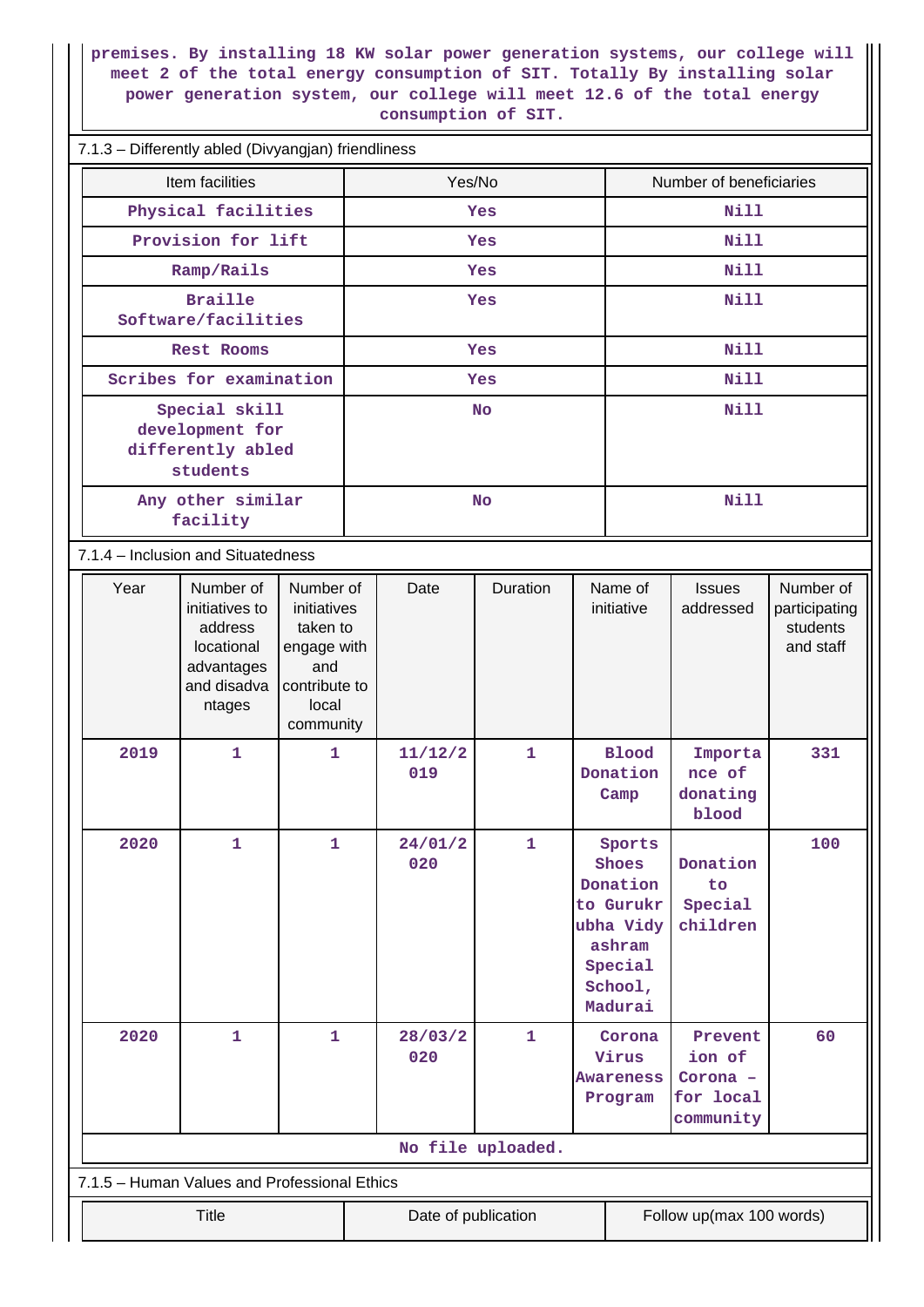**premises. By installing 18 KW solar power generation systems, our college will meet 2 of the total energy consumption of SIT. Totally By installing solar power generation system, our college will meet 12.6 of the total energy consumption of SIT.**

#### 7.1.3 – Differently abled (Divyangjan) friendliness

|                                              | phroromy abiod (Divyanglam) monamicod                             |                                                                                             |                                                                                                   |           |                                                |                                                                                             |                         |                                  |                                        |                                                     |
|----------------------------------------------|-------------------------------------------------------------------|---------------------------------------------------------------------------------------------|---------------------------------------------------------------------------------------------------|-----------|------------------------------------------------|---------------------------------------------------------------------------------------------|-------------------------|----------------------------------|----------------------------------------|-----------------------------------------------------|
|                                              | Item facilities                                                   |                                                                                             |                                                                                                   | Yes/No    |                                                |                                                                                             | Number of beneficiaries |                                  |                                        |                                                     |
|                                              | Physical facilities                                               |                                                                                             |                                                                                                   | Yes       |                                                |                                                                                             | Nill                    |                                  |                                        |                                                     |
|                                              | Provision for lift                                                |                                                                                             |                                                                                                   |           |                                                | Yes                                                                                         |                         | <b>Nill</b>                      |                                        |                                                     |
|                                              |                                                                   | Ramp/Rails                                                                                  |                                                                                                   |           |                                                | Yes                                                                                         |                         | Nill                             |                                        |                                                     |
|                                              | <b>Braille</b><br>Software/facilities                             |                                                                                             |                                                                                                   |           |                                                | Yes                                                                                         |                         | <b>Nill</b>                      |                                        |                                                     |
|                                              | Rest Rooms                                                        |                                                                                             |                                                                                                   | Yes       |                                                |                                                                                             | Nill                    |                                  |                                        |                                                     |
|                                              | Scribes for examination                                           |                                                                                             |                                                                                                   | Yes       |                                                |                                                                                             | Nill                    |                                  |                                        |                                                     |
|                                              | Special skill<br>development for<br>differently abled<br>students |                                                                                             |                                                                                                   | <b>No</b> |                                                |                                                                                             |                         | <b>Nill</b>                      |                                        |                                                     |
|                                              | Any other similar<br>facility                                     |                                                                                             |                                                                                                   |           |                                                | <b>No</b>                                                                                   |                         | <b>Nill</b>                      |                                        |                                                     |
|                                              |                                                                   | 7.1.4 - Inclusion and Situatedness                                                          |                                                                                                   |           |                                                |                                                                                             |                         |                                  |                                        |                                                     |
|                                              | Year                                                              | Number of<br>initiatives to<br>address<br>locational<br>advantages<br>and disadva<br>ntages | Number of<br>initiatives<br>taken to<br>engage with<br>and<br>contribute to<br>local<br>community |           | Date                                           | Duration                                                                                    |                         | Name of<br>initiative            | <b>Issues</b><br>addressed             | Number of<br>participating<br>students<br>and staff |
|                                              | 2019                                                              | $\mathbf{1}$                                                                                | $\mathbf{1}$                                                                                      |           | 11/12/2<br>019                                 | $\mathbf{1}$                                                                                |                         | <b>Blood</b><br>Donation<br>Camp | Importa<br>nce of<br>donating<br>blood | 331                                                 |
|                                              | 2020                                                              | 1                                                                                           | 1                                                                                                 |           | 24/01/2<br>020                                 | 1<br>Shoes<br>Donation<br>to Gurukr<br>ubha Vidy<br>ashram<br>Special<br>School,<br>Madurai |                         | Sports                           | Donation<br>to<br>Special<br>children  | 100                                                 |
|                                              | 2020                                                              | 1                                                                                           | 28/03/2<br>$\mathbf{1}$<br>$\mathbf{1}$<br>020                                                    |           | Corona<br>Virus<br><b>Awareness</b><br>Program | Prevent<br>ion of<br>Corona -<br>for local<br>community                                     | 60                      |                                  |                                        |                                                     |
|                                              | No file uploaded.                                                 |                                                                                             |                                                                                                   |           |                                                |                                                                                             |                         |                                  |                                        |                                                     |
| 7.1.5 - Human Values and Professional Ethics |                                                                   |                                                                                             |                                                                                                   |           |                                                |                                                                                             |                         |                                  |                                        |                                                     |
|                                              | Follow up(max 100 words)<br><b>Title</b><br>Date of publication   |                                                                                             |                                                                                                   |           |                                                |                                                                                             |                         |                                  |                                        |                                                     |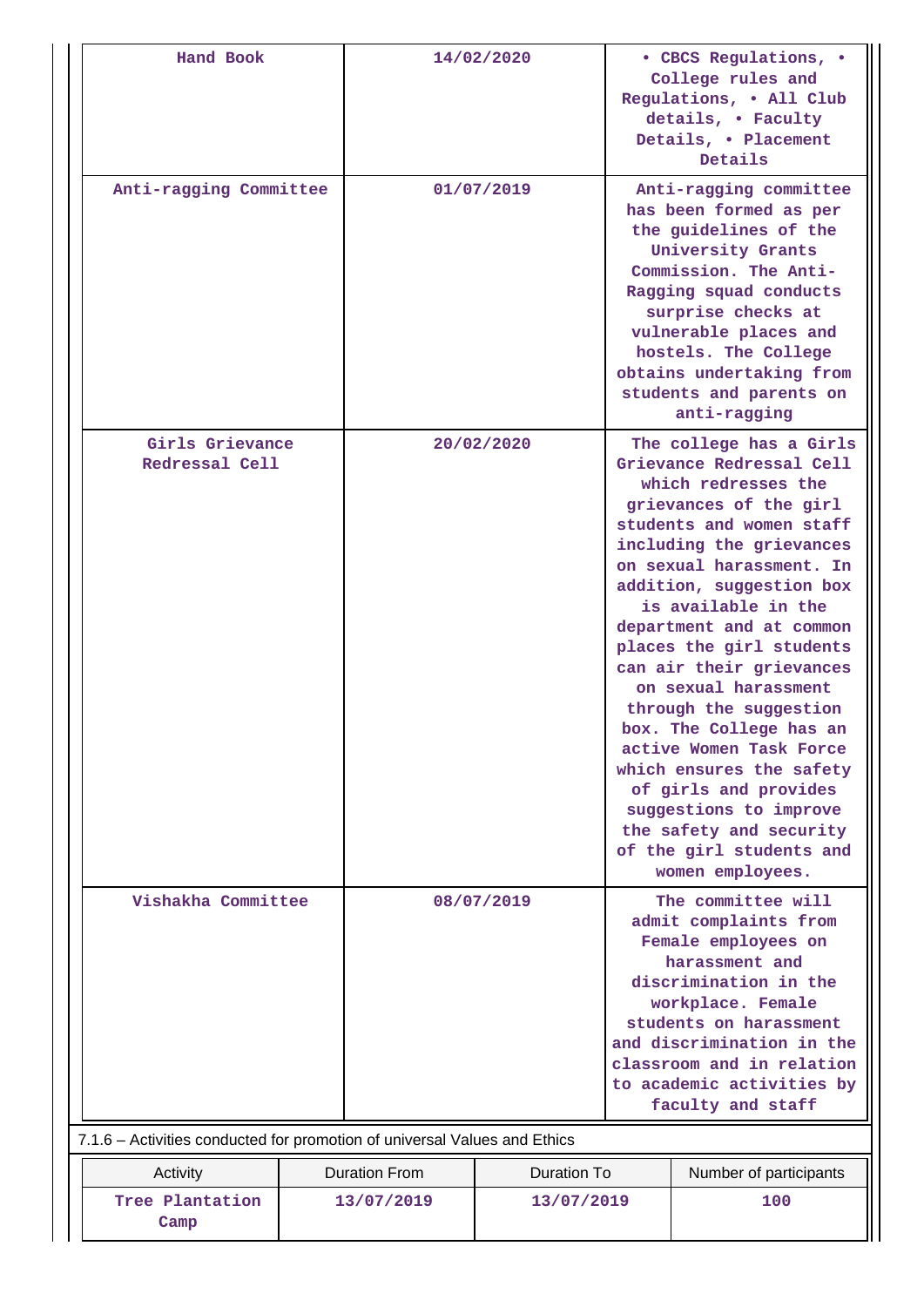| Hand Book               |                                                                           | 14/02/2020                                 |            | • CBCS Regulations, •<br>College rules and<br>Regulations, . All Club<br>details, . Faculty<br>Details, . Placement<br>Details                                                                                                                                                                  |                                                                                                                                                                                                                                                                                                                                                                                                                                                                                                                                                                               |  |  |
|-------------------------|---------------------------------------------------------------------------|--------------------------------------------|------------|-------------------------------------------------------------------------------------------------------------------------------------------------------------------------------------------------------------------------------------------------------------------------------------------------|-------------------------------------------------------------------------------------------------------------------------------------------------------------------------------------------------------------------------------------------------------------------------------------------------------------------------------------------------------------------------------------------------------------------------------------------------------------------------------------------------------------------------------------------------------------------------------|--|--|
| Anti-ragging Committee  |                                                                           |                                            | 01/07/2019 | Anti-ragging committee<br>has been formed as per<br>the guidelines of the<br>University Grants<br>Commission. The Anti-<br>Ragging squad conducts<br>surprise checks at<br>vulnerable places and<br>hostels. The College<br>obtains undertaking from<br>students and parents on<br>anti-ragging |                                                                                                                                                                                                                                                                                                                                                                                                                                                                                                                                                                               |  |  |
|                         | Girls Grievance<br>Redressal Cell                                         |                                            | 20/02/2020 | women employees.                                                                                                                                                                                                                                                                                | The college has a Girls<br>Grievance Redressal Cell<br>which redresses the<br>grievances of the girl<br>students and women staff<br>including the grievances<br>on sexual harassment. In<br>addition, suggestion box<br>is available in the<br>department and at common<br>places the girl students<br>can air their grievances<br>on sexual harassment<br>through the suggestion<br>box. The College has an<br>active Women Task Force<br>which ensures the safety<br>of girls and provides<br>suggestions to improve<br>the safety and security<br>of the girl students and |  |  |
| Vishakha Committee      |                                                                           | 08/07/2019                                 |            | The committee will<br>admit complaints from<br>Female employees on<br>harassment and<br>discrimination in the<br>workplace. Female<br>students on harassment<br>and discrimination in the<br>classroom and in relation<br>to academic activities by<br>faculty and staff                        |                                                                                                                                                                                                                                                                                                                                                                                                                                                                                                                                                                               |  |  |
|                         | 7.1.6 - Activities conducted for promotion of universal Values and Ethics |                                            |            |                                                                                                                                                                                                                                                                                                 |                                                                                                                                                                                                                                                                                                                                                                                                                                                                                                                                                                               |  |  |
| Activity                |                                                                           | <b>Duration From</b><br><b>Duration To</b> |            |                                                                                                                                                                                                                                                                                                 | Number of participants                                                                                                                                                                                                                                                                                                                                                                                                                                                                                                                                                        |  |  |
| Tree Plantation<br>Camp | 13/07/2019                                                                |                                            | 13/07/2019 |                                                                                                                                                                                                                                                                                                 | 100                                                                                                                                                                                                                                                                                                                                                                                                                                                                                                                                                                           |  |  |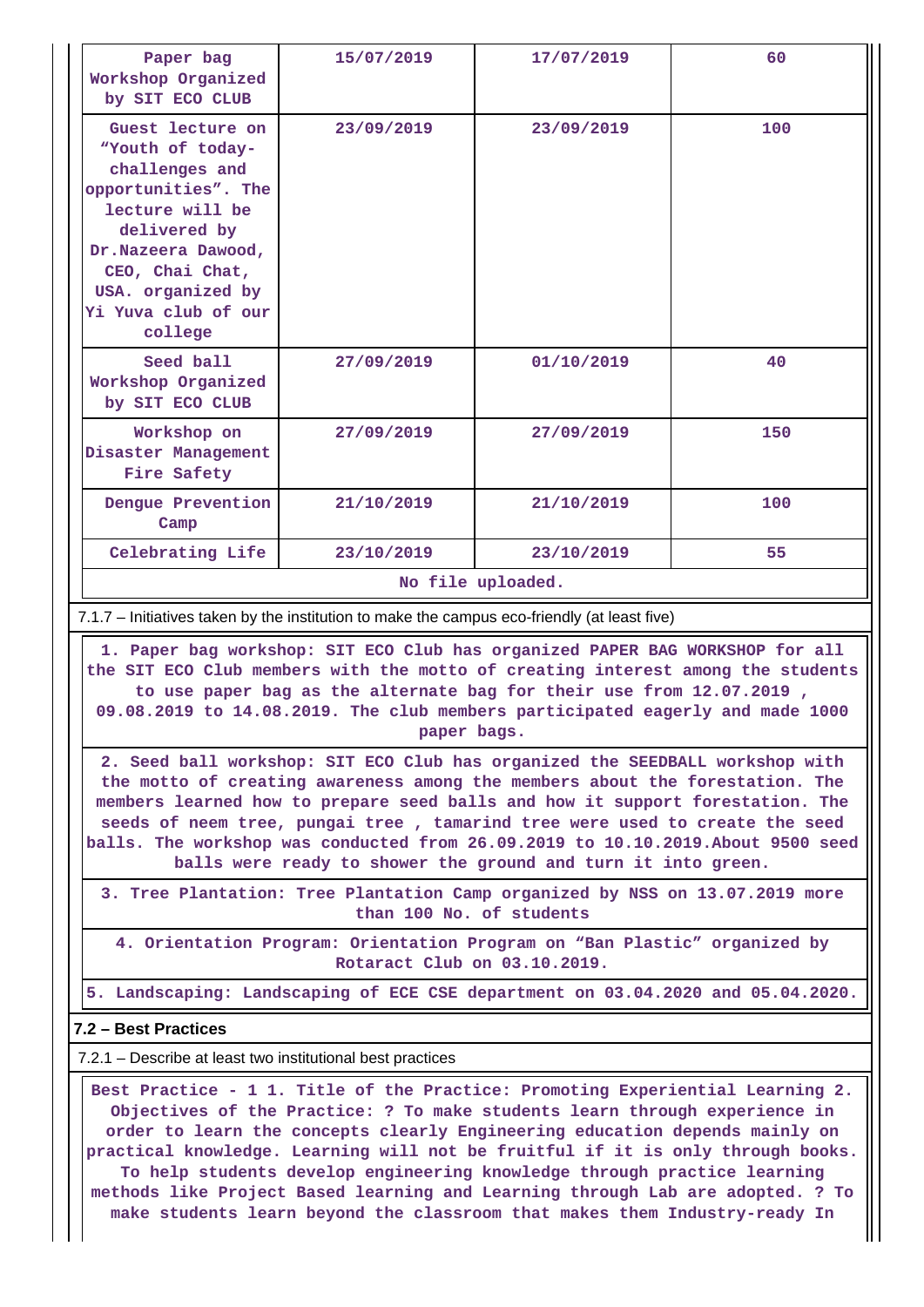| Paper bag<br>Workshop Organized<br>by SIT ECO CLUB                                                                                                                                                               | 15/07/2019 | 17/07/2019 | 60  |  |  |  |  |
|------------------------------------------------------------------------------------------------------------------------------------------------------------------------------------------------------------------|------------|------------|-----|--|--|--|--|
| Guest lecture on<br>"Youth of today-<br>challenges and<br>opportunities". The<br>lecture will be<br>delivered by<br>Dr.Nazeera Dawood,<br>CEO, Chai Chat,<br>USA. organized by<br>Yi Yuva club of our<br>college | 23/09/2019 | 23/09/2019 | 100 |  |  |  |  |
| Seed ball<br>Workshop Organized<br>by SIT ECO CLUB                                                                                                                                                               | 27/09/2019 | 01/10/2019 | 40  |  |  |  |  |
| Workshop on<br>Disaster Management<br>Fire Safety                                                                                                                                                                | 27/09/2019 | 27/09/2019 | 150 |  |  |  |  |
| Denque Prevention<br>Camp                                                                                                                                                                                        | 21/10/2019 | 21/10/2019 | 100 |  |  |  |  |
| Celebrating Life                                                                                                                                                                                                 | 23/10/2019 | 23/10/2019 | 55  |  |  |  |  |
| No file uploaded.                                                                                                                                                                                                |            |            |     |  |  |  |  |

7.1.7 – Initiatives taken by the institution to make the campus eco-friendly (at least five)

 **1. Paper bag workshop: SIT ECO Club has organized PAPER BAG WORKSHOP for all the SIT ECO Club members with the motto of creating interest among the students to use paper bag as the alternate bag for their use from 12.07.2019 , 09.08.2019 to 14.08.2019. The club members participated eagerly and made 1000 paper bags.**

**2. Seed ball workshop: SIT ECO Club has organized the SEEDBALL workshop with the motto of creating awareness among the members about the forestation. The members learned how to prepare seed balls and how it support forestation. The seeds of neem tree, pungai tree , tamarind tree were used to create the seed balls. The workshop was conducted from 26.09.2019 to 10.10.2019.About 9500 seed balls were ready to shower the ground and turn it into green.**

**3. Tree Plantation: Tree Plantation Camp organized by NSS on 13.07.2019 more than 100 No. of students**

**4. Orientation Program: Orientation Program on "Ban Plastic" organized by Rotaract Club on 03.10.2019.**

**5. Landscaping: Landscaping of ECE CSE department on 03.04.2020 and 05.04.2020.**

#### **7.2 – Best Practices**

7.2.1 – Describe at least two institutional best practices

 **Best Practice - 1 1. Title of the Practice: Promoting Experiential Learning 2. Objectives of the Practice: ? To make students learn through experience in order to learn the concepts clearly Engineering education depends mainly on practical knowledge. Learning will not be fruitful if it is only through books. To help students develop engineering knowledge through practice learning methods like Project Based learning and Learning through Lab are adopted. ? To make students learn beyond the classroom that makes them Industry-ready In**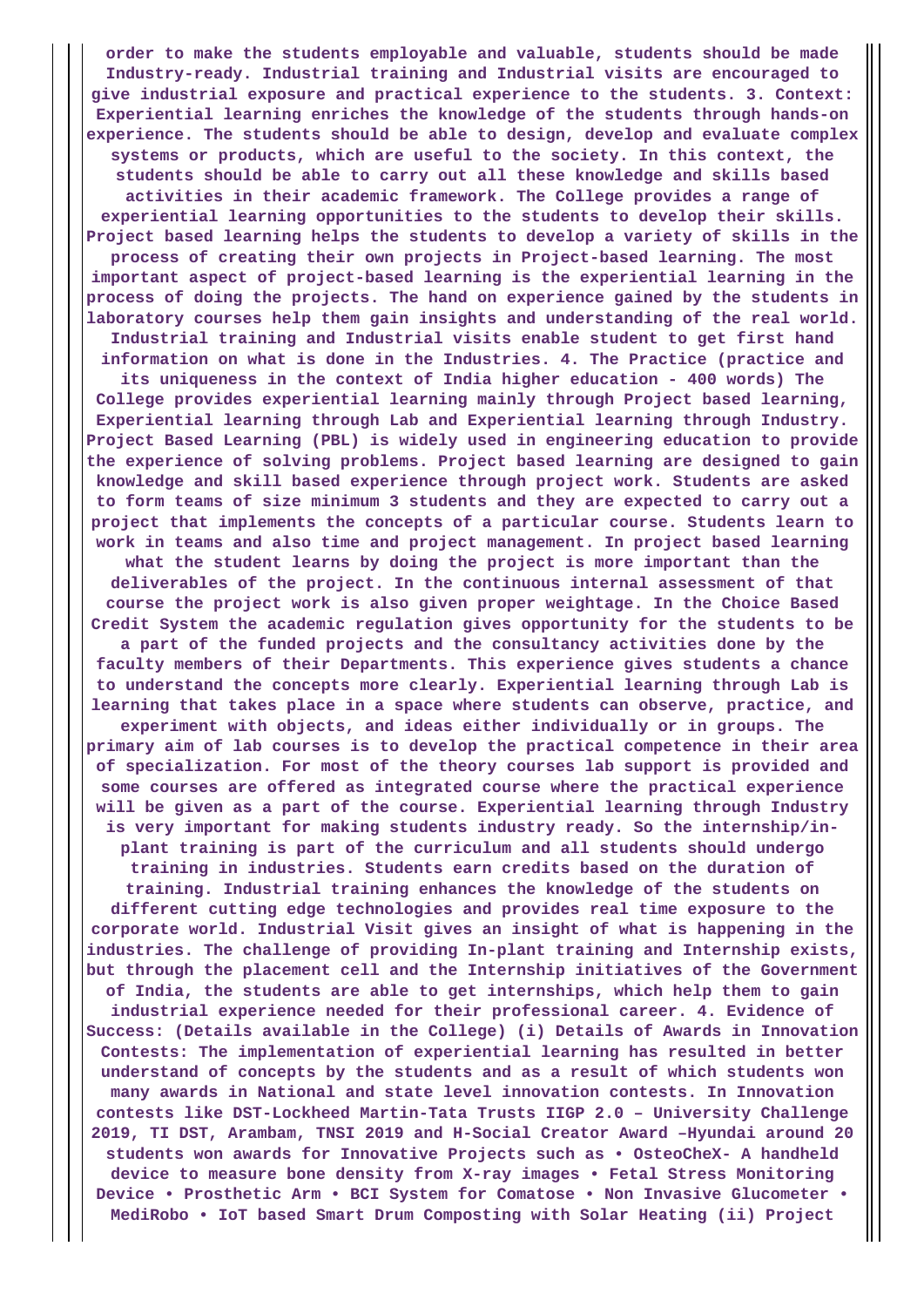**order to make the students employable and valuable, students should be made Industry-ready. Industrial training and Industrial visits are encouraged to give industrial exposure and practical experience to the students. 3. Context: Experiential learning enriches the knowledge of the students through hands-on experience. The students should be able to design, develop and evaluate complex systems or products, which are useful to the society. In this context, the students should be able to carry out all these knowledge and skills based activities in their academic framework. The College provides a range of experiential learning opportunities to the students to develop their skills. Project based learning helps the students to develop a variety of skills in the process of creating their own projects in Project-based learning. The most important aspect of project-based learning is the experiential learning in the process of doing the projects. The hand on experience gained by the students in laboratory courses help them gain insights and understanding of the real world. Industrial training and Industrial visits enable student to get first hand information on what is done in the Industries. 4. The Practice (practice and its uniqueness in the context of India higher education - 400 words) The College provides experiential learning mainly through Project based learning, Experiential learning through Lab and Experiential learning through Industry. Project Based Learning (PBL) is widely used in engineering education to provide the experience of solving problems. Project based learning are designed to gain knowledge and skill based experience through project work. Students are asked to form teams of size minimum 3 students and they are expected to carry out a project that implements the concepts of a particular course. Students learn to work in teams and also time and project management. In project based learning what the student learns by doing the project is more important than the deliverables of the project. In the continuous internal assessment of that course the project work is also given proper weightage. In the Choice Based Credit System the academic regulation gives opportunity for the students to be a part of the funded projects and the consultancy activities done by the faculty members of their Departments. This experience gives students a chance to understand the concepts more clearly. Experiential learning through Lab is learning that takes place in a space where students can observe, practice, and experiment with objects, and ideas either individually or in groups. The primary aim of lab courses is to develop the practical competence in their area of specialization. For most of the theory courses lab support is provided and some courses are offered as integrated course where the practical experience will be given as a part of the course. Experiential learning through Industry is very important for making students industry ready. So the internship/inplant training is part of the curriculum and all students should undergo training in industries. Students earn credits based on the duration of training. Industrial training enhances the knowledge of the students on different cutting edge technologies and provides real time exposure to the corporate world. Industrial Visit gives an insight of what is happening in the industries. The challenge of providing In-plant training and Internship exists, but through the placement cell and the Internship initiatives of the Government of India, the students are able to get internships, which help them to gain industrial experience needed for their professional career. 4. Evidence of Success: (Details available in the College) (i) Details of Awards in Innovation Contests: The implementation of experiential learning has resulted in better understand of concepts by the students and as a result of which students won many awards in National and state level innovation contests. In Innovation contests like DST-Lockheed Martin-Tata Trusts IIGP 2.0 – University Challenge 2019, TI DST, Arambam, TNSI 2019 and H-Social Creator Award –Hyundai around 20 students won awards for Innovative Projects such as • OsteoCheX- A handheld device to measure bone density from X-ray images • Fetal Stress Monitoring Device • Prosthetic Arm • BCI System for Comatose • Non Invasive Glucometer • MediRobo • IoT based Smart Drum Composting with Solar Heating (ii) Project**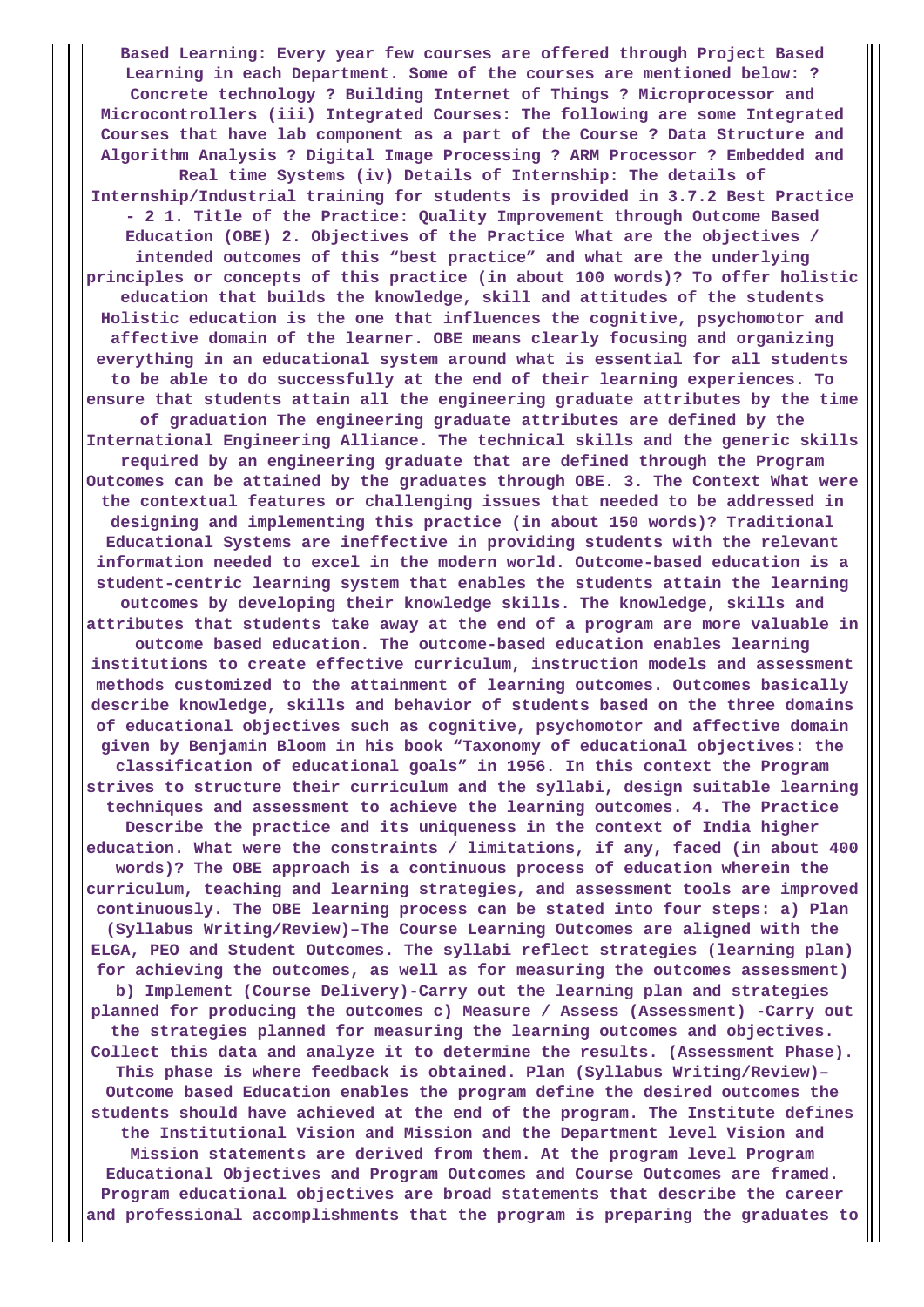**Based Learning: Every year few courses are offered through Project Based Learning in each Department. Some of the courses are mentioned below: ? Concrete technology ? Building Internet of Things ? Microprocessor and Microcontrollers (iii) Integrated Courses: The following are some Integrated Courses that have lab component as a part of the Course ? Data Structure and Algorithm Analysis ? Digital Image Processing ? ARM Processor ? Embedded and Real time Systems (iv) Details of Internship: The details of Internship/Industrial training for students is provided in 3.7.2 Best Practice - 2 1. Title of the Practice: Quality Improvement through Outcome Based Education (OBE) 2. Objectives of the Practice What are the objectives / intended outcomes of this "best practice" and what are the underlying principles or concepts of this practice (in about 100 words)? To offer holistic education that builds the knowledge, skill and attitudes of the students Holistic education is the one that influences the cognitive, psychomotor and affective domain of the learner. OBE means clearly focusing and organizing everything in an educational system around what is essential for all students to be able to do successfully at the end of their learning experiences. To ensure that students attain all the engineering graduate attributes by the time of graduation The engineering graduate attributes are defined by the International Engineering Alliance. The technical skills and the generic skills required by an engineering graduate that are defined through the Program Outcomes can be attained by the graduates through OBE. 3. The Context What were the contextual features or challenging issues that needed to be addressed in designing and implementing this practice (in about 150 words)? Traditional Educational Systems are ineffective in providing students with the relevant information needed to excel in the modern world. Outcome-based education is a student-centric learning system that enables the students attain the learning outcomes by developing their knowledge skills. The knowledge, skills and attributes that students take away at the end of a program are more valuable in outcome based education. The outcome-based education enables learning institutions to create effective curriculum, instruction models and assessment methods customized to the attainment of learning outcomes. Outcomes basically describe knowledge, skills and behavior of students based on the three domains of educational objectives such as cognitive, psychomotor and affective domain given by Benjamin Bloom in his book "Taxonomy of educational objectives: the classification of educational goals" in 1956. In this context the Program strives to structure their curriculum and the syllabi, design suitable learning techniques and assessment to achieve the learning outcomes. 4. The Practice Describe the practice and its uniqueness in the context of India higher education. What were the constraints / limitations, if any, faced (in about 400 words)? The OBE approach is a continuous process of education wherein the curriculum, teaching and learning strategies, and assessment tools are improved continuously. The OBE learning process can be stated into four steps: a) Plan (Syllabus Writing/Review)–The Course Learning Outcomes are aligned with the ELGA, PEO and Student Outcomes. The syllabi reflect strategies (learning plan) for achieving the outcomes, as well as for measuring the outcomes assessment) b) Implement (Course Delivery)-Carry out the learning plan and strategies planned for producing the outcomes c) Measure / Assess (Assessment) -Carry out the strategies planned for measuring the learning outcomes and objectives. Collect this data and analyze it to determine the results. (Assessment Phase). This phase is where feedback is obtained. Plan (Syllabus Writing/Review)– Outcome based Education enables the program define the desired outcomes the students should have achieved at the end of the program. The Institute defines the Institutional Vision and Mission and the Department level Vision and Mission statements are derived from them. At the program level Program Educational Objectives and Program Outcomes and Course Outcomes are framed. Program educational objectives are broad statements that describe the career**

**and professional accomplishments that the program is preparing the graduates to**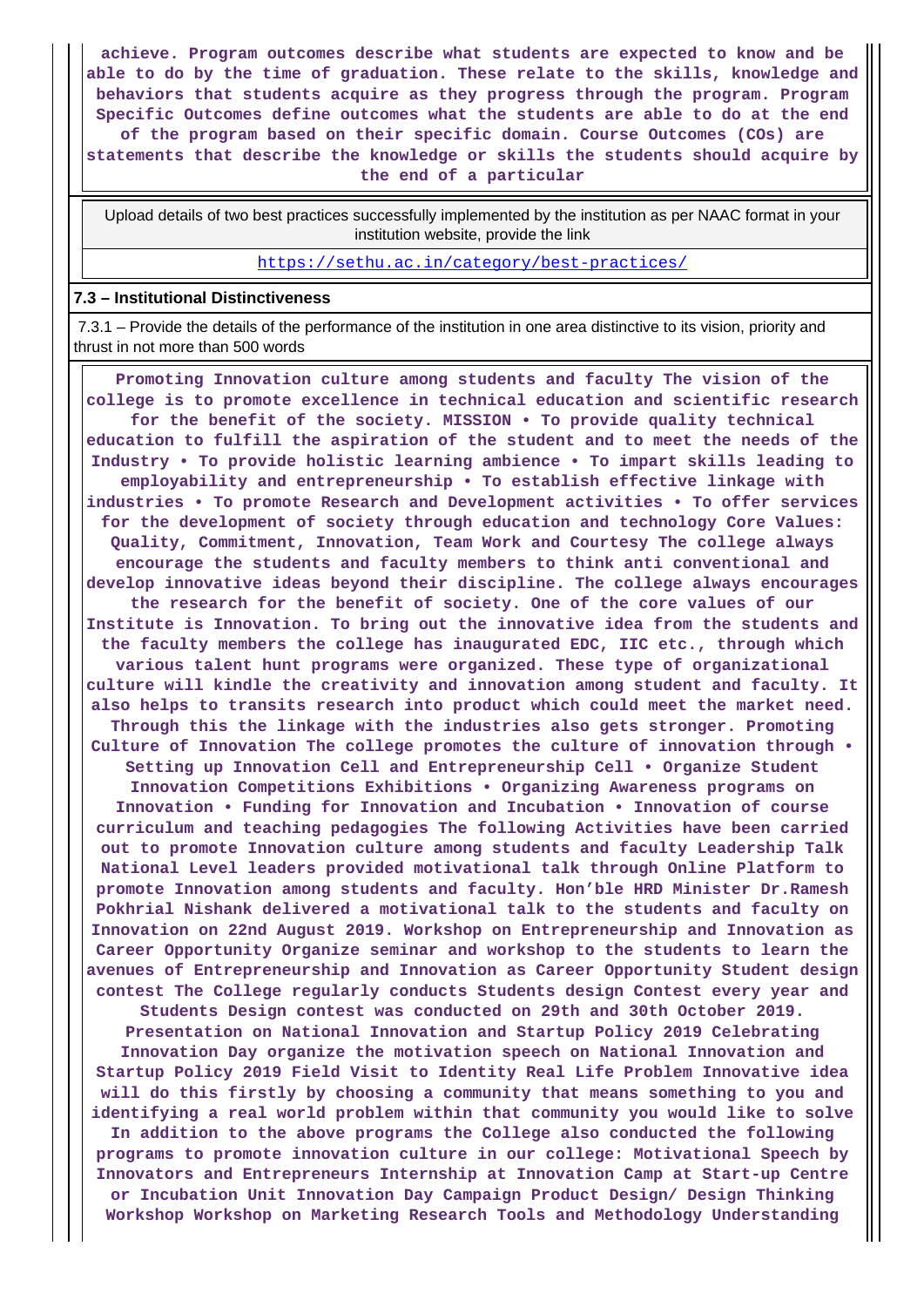**achieve. Program outcomes describe what students are expected to know and be able to do by the time of graduation. These relate to the skills, knowledge and behaviors that students acquire as they progress through the program. Program Specific Outcomes define outcomes what the students are able to do at the end of the program based on their specific domain. Course Outcomes (COs) are statements that describe the knowledge or skills the students should acquire by the end of a particular**

 Upload details of two best practices successfully implemented by the institution as per NAAC format in your institution website, provide the link

<https://sethu.ac.in/category/best-practices/>

#### **7.3 – Institutional Distinctiveness**

 7.3.1 – Provide the details of the performance of the institution in one area distinctive to its vision, priority and thrust in not more than 500 words

 **Promoting Innovation culture among students and faculty The vision of the college is to promote excellence in technical education and scientific research for the benefit of the society. MISSION • To provide quality technical education to fulfill the aspiration of the student and to meet the needs of the Industry • To provide holistic learning ambience • To impart skills leading to employability and entrepreneurship • To establish effective linkage with industries • To promote Research and Development activities • To offer services for the development of society through education and technology Core Values: Quality, Commitment, Innovation, Team Work and Courtesy The college always encourage the students and faculty members to think anti conventional and develop innovative ideas beyond their discipline. The college always encourages the research for the benefit of society. One of the core values of our Institute is Innovation. To bring out the innovative idea from the students and the faculty members the college has inaugurated EDC, IIC etc., through which various talent hunt programs were organized. These type of organizational culture will kindle the creativity and innovation among student and faculty. It also helps to transits research into product which could meet the market need. Through this the linkage with the industries also gets stronger. Promoting Culture of Innovation The college promotes the culture of innovation through • Setting up Innovation Cell and Entrepreneurship Cell • Organize Student Innovation Competitions Exhibitions • Organizing Awareness programs on Innovation • Funding for Innovation and Incubation • Innovation of course curriculum and teaching pedagogies The following Activities have been carried out to promote Innovation culture among students and faculty Leadership Talk National Level leaders provided motivational talk through Online Platform to promote Innovation among students and faculty. Hon'ble HRD Minister Dr.Ramesh Pokhrial Nishank delivered a motivational talk to the students and faculty on Innovation on 22nd August 2019. Workshop on Entrepreneurship and Innovation as Career Opportunity Organize seminar and workshop to the students to learn the avenues of Entrepreneurship and Innovation as Career Opportunity Student design contest The College regularly conducts Students design Contest every year and Students Design contest was conducted on 29th and 30th October 2019. Presentation on National Innovation and Startup Policy 2019 Celebrating Innovation Day organize the motivation speech on National Innovation and Startup Policy 2019 Field Visit to Identity Real Life Problem Innovative idea will do this firstly by choosing a community that means something to you and identifying a real world problem within that community you would like to solve In addition to the above programs the College also conducted the following programs to promote innovation culture in our college: Motivational Speech by Innovators and Entrepreneurs Internship at Innovation Camp at Start-up Centre or Incubation Unit Innovation Day Campaign Product Design/ Design Thinking Workshop Workshop on Marketing Research Tools and Methodology Understanding**